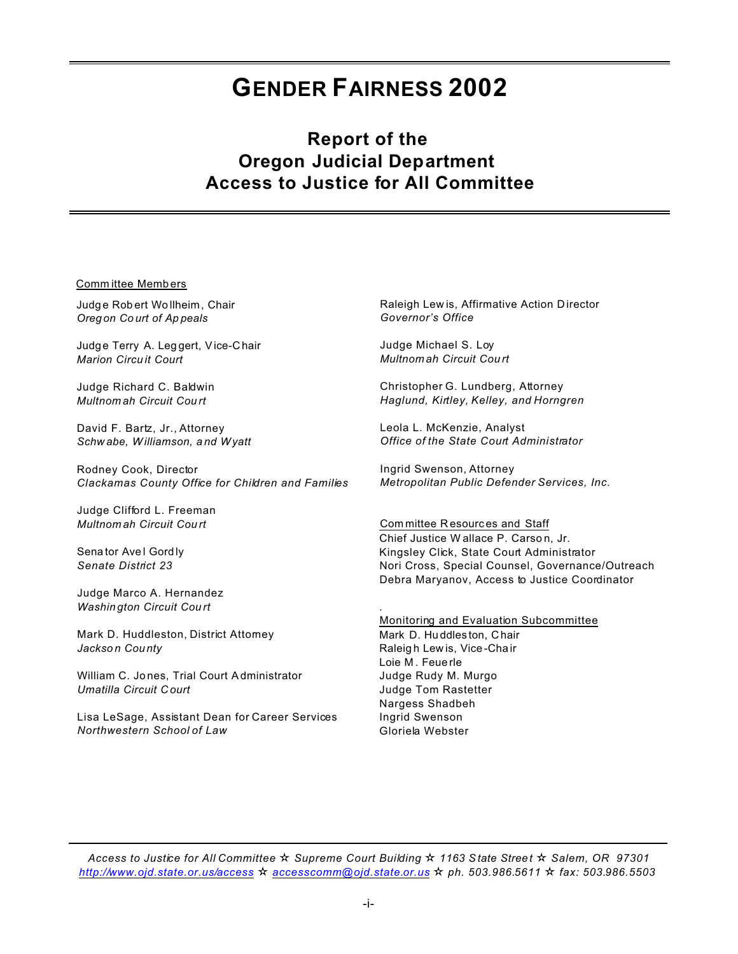# **GENDER FAIRNESS 2002**

# **Report of the Oregon Judicial Department Access to Justice for All Committee**

**Committee Members** 

Judge Robert Wollheim, Chair Oregon Court of Appeals

Judge Terry A. Leggert, Vice-Chair **Marion Circuit Court** 

Judge Richard C. Baldwin Multnom ah Circuit Court

David F. Bartz, Jr., Attorney Schwabe, Williamson, and Wyatt

Rodney Cook, Director Clackamas County Office for Children and Families

Judge Clifford L. Freeman Multnomah Circuit Court

Senator Avel Gordly Senate District 23

Judge Marco A. Hernandez **Washington Circuit Court** 

Mark D. Huddleston, District Attomey Jackson County

William C. Jones, Trial Court Administrator Umatilla Circuit Court

Lisa LeSage, Assistant Dean for Career Services Northwestern School of Law

Raleigh Lew is, Affirmative Action Director Governor's Office

Judge Michael S. Loy Multnom ah Circuit Court

Christopher G. Lundberg, Attorney Haglund, Kirtley, Kelley, and Horngren

Leola L. McKenzie, Analyst Office of the State Court Administrator

Ingrid Swenson, Attorney Metropolitan Public Defender Services, Inc.

Committee Resources and Staff Chief Justice Wallace P. Carson, Jr. Kingsley Click, State Court Administrator Nori Cross, Special Counsel, Governance/Outreach Debra Maryanov, Access to Justice Coordinator

Monitoring and Evaluation Subcommittee Mark D. Huddleston, Chair Raleigh Lewis, Vice-Chair Loie M. Feuerle Judge Rudy M. Murgo Judge Tom Rastetter Nargess Shadbeh Ingrid Swenson Gloriela Webster

Access to Justice for All Committee  $\star$  Supreme Court Building  $\star$  1163 State Street  $\star$  Salem, OR 97301 http://www.ojd.state.or.us/access  $\star$  accesscomm@ojd.state.or.us  $\star$  ph. 503.986.5611  $\star$  fax: 503.986.5503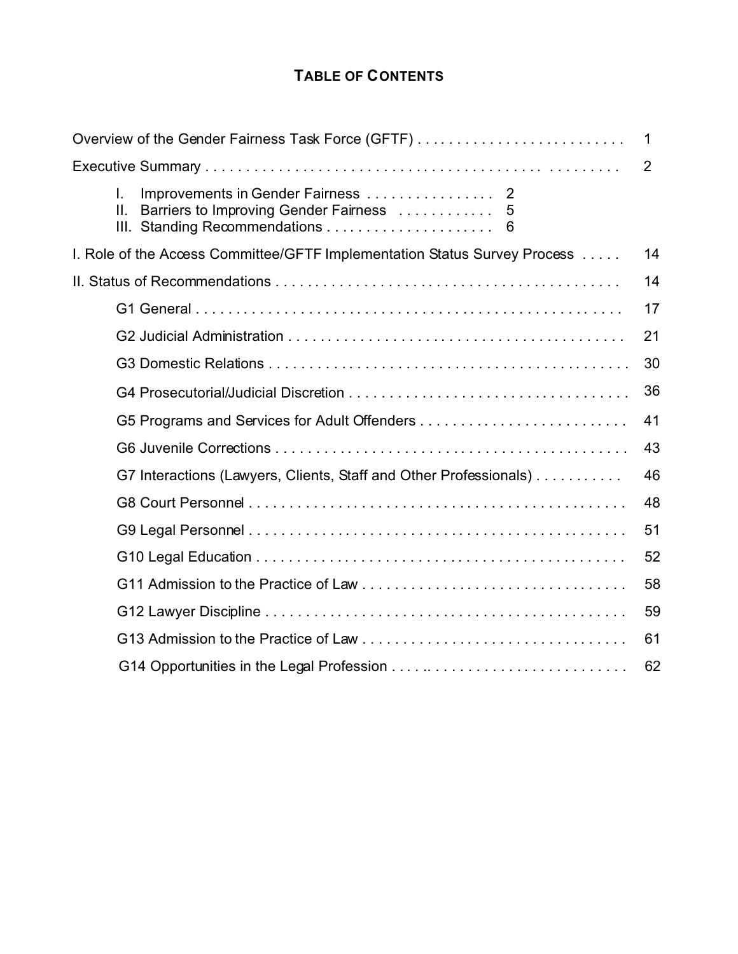# **TABLE OF CONTENTS**

| Overview of the Gender Fairness Task Force (GFTF)                         | 1  |
|---------------------------------------------------------------------------|----|
|                                                                           | 2  |
| I.<br>ΙΙ.<br>Barriers to Improving Gender Fairness<br>5<br>6              |    |
| I. Role of the Access Committee/GFTF Implementation Status Survey Process | 14 |
|                                                                           | 14 |
|                                                                           | 17 |
|                                                                           | 21 |
|                                                                           | 30 |
|                                                                           | 36 |
|                                                                           | 41 |
|                                                                           | 43 |
| G7 Interactions (Lawyers, Clients, Staff and Other Professionals)         | 46 |
|                                                                           | 48 |
|                                                                           | 51 |
|                                                                           | 52 |
|                                                                           | 58 |
|                                                                           | 59 |
|                                                                           | 61 |
|                                                                           | 62 |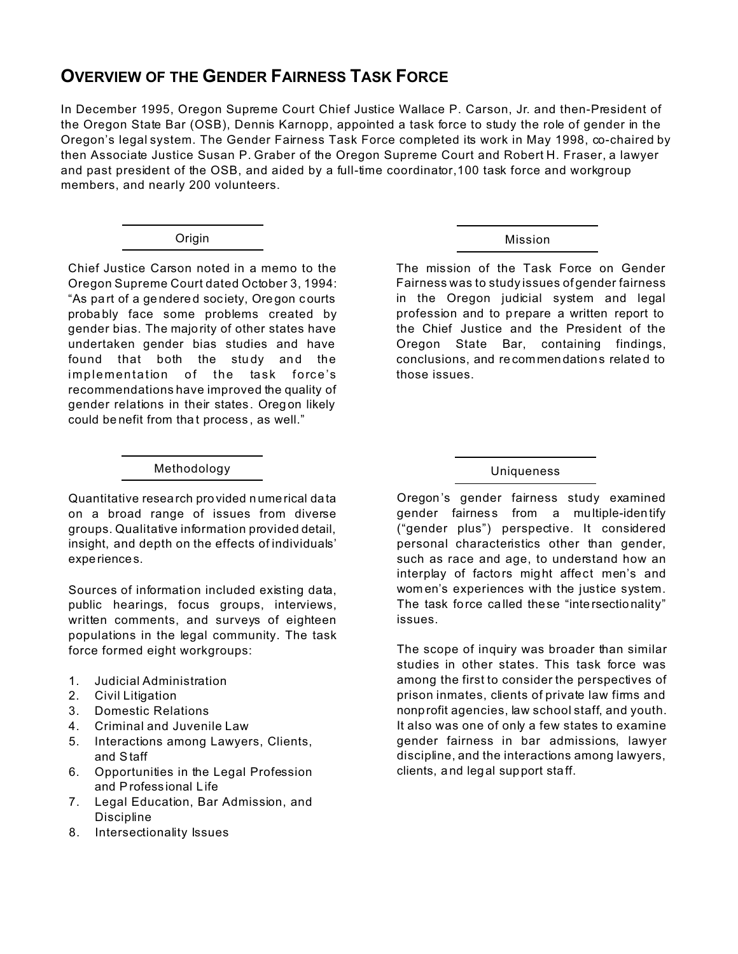# **OVERVIEW OF THE GENDER FAIRNESS TASK FORCE**

In December 1995, Oregon Supreme Court Chief Justice Wallace P. Carson, Jr. and then-President of the Oregon State Bar (OSB), Dennis Karnopp, appointed a task force to study the role of gender in the Oregon's legal system. The Gender Fairness Task Force completed its work in May 1998, co-chaired by then Associate Justice Susan P. Graber of the Oregon Supreme Court and Robert H. Fraser, a lawyer and past president of the OSB, and aided by a full-time coordinator,100 task force and workgroup members, and nearly 200 volunteers.

Chief Justice Carson noted in a memo to the Oregon Supreme Court dated October 3, 1994: "As pa rt of a ge ndere d soc iety, Ore gon courts proba bly face some problems created by gender bias. The majority of other states have undertaken gender bias studies and have found that both the study and the implementation of the task force's recommendations have improved the quality of gender relations in their states . Oregon likely could be nefit from that process, as well."

# Origin Mission

The mission of the Task Force on Gender Fairness was to study issues of gender fairness in the Oregon judicial system and legal profession and to prepare a written report to the Chief Justice and the President of the Oregon State Bar, containing findings, conclusions, and re commen dations related to those issues.

#### Methodology Uniqueness

Quantitative resea rch pro vided n ume rical data on a broad range of issues from diverse groups. Qualitative information provided detail, insight, and depth on the effects of individuals' experiences.

Sources of information included existing data, public hearings, focus groups, interviews, written comments, and surveys of eighteen populations in the legal community. The task force formed eight workgroups:

- 1. Judicial Administration
- 2. Civil Litigation
- 3. Domestic Relations
- 4. Criminal and Juvenile Law
- 5. Interactions among Lawyers, Clients, and Staff
- 6. Opportunities in the Legal Profession and Profess ional Life
- 7. Legal Education, Bar Admission, and **Discipline**
- 8. Intersectionality Issues

Oregon 's gender fairness study examined gender fairness from a multiple-identify ("gender plus") perspective. It considered personal characteristics other than gender, such as race and age, to understand how an interplay of factors might affect men's and wom en's experiences with the justice system. The task force called these "intersectionality" issues.

The scope of inquiry was broader than similar studies in other states. This task force was among the first to consider the perspectives of prison inmates, clients of private law firms and nonp rofit agencies, law school staff, and youth. It also was one of only a few states to examine gender fairness in bar admissions, lawyer discipline, and the interactions among lawyers, clients, a nd legal support sta ff.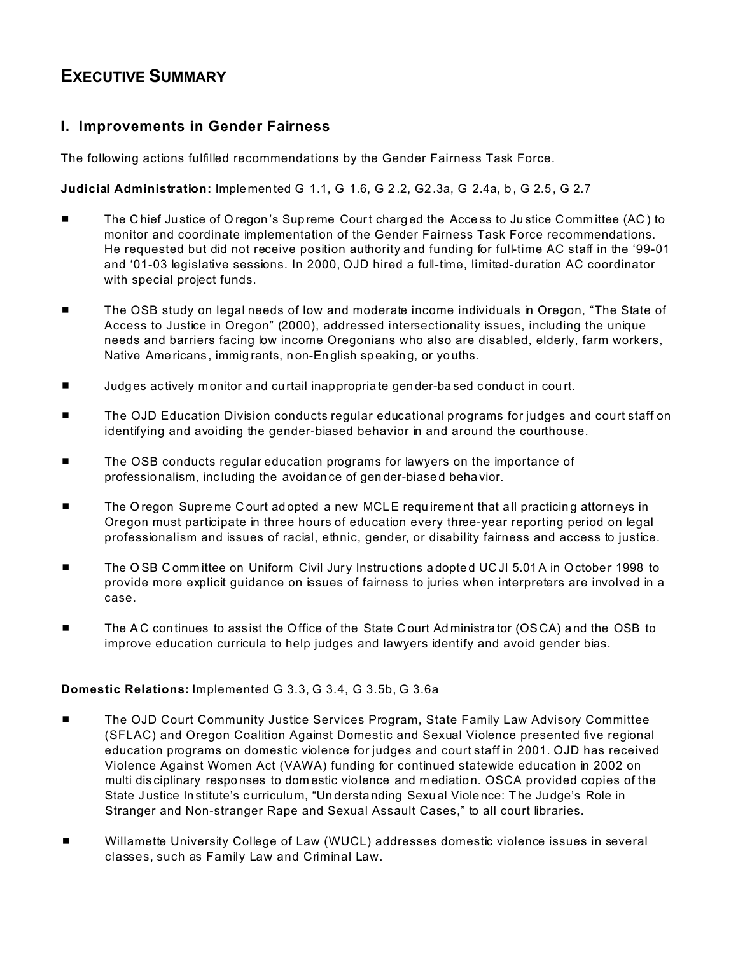# **EXECUTIVE SUMMARY**

## I. Improvements in Gender Fairness

The following actions fulfilled recommendations by the Gender Fairness Task Force.

Judicial Administration: Implemented G 1.1, G 1.6, G 2.2, G 2.3a, G 2.4a, b, G 2.5, G 2.7

- The Chief Justice of Oregon's Supreme Court charged the Access to Justice Committee (AC) to monitor and coordinate implementation of the Gender Fairness Task Force recommendations. He requested but did not receive position authority and funding for full-time AC staff in the '99-01 and '01-03 legislative sessions. In 2000, OJD hired a full-time, limited-duration AC coordinator with special project funds.
- The OSB study on legal needs of low and moderate income individuals in Oregon, "The State of  $\blacksquare$ Access to Justice in Oregon" (2000), addressed intersectionality issues, including the unique needs and barriers facing low income Oregonians who also are disabled, elderly, farm workers, Native Americans, immigrants, non-English speaking, or youths.
- Judges actively monitor and curtail inappropriate gender-based conduct in court. ٠
- The OJD Education Division conducts regular educational programs for judges and court staff on . identifying and avoiding the gender-biased behavior in and around the courthouse.
- The OSB conducts regular education programs for lawyers on the importance of professionalism, including the avoidance of gender-biased behavior.
- The Oregon Supreme Court adopted a new MCLE requirement that all practicing attorneys in  $\blacksquare$ Oregon must participate in three hours of education every three-year reporting period on legal professionalism and issues of racial, ethnic, gender, or disability fairness and access to justice.
- The OSB Committee on Uniform Civil Jury Instructions adopted UCJI 5.01A in October 1998 to  $\blacksquare$ provide more explicit guidance on issues of fairness to juries when interpreters are involved in a case.
- The AC continues to assist the Office of the State Court Administrator (OSCA) and the OSB to improve education curricula to help judges and lawyers identify and avoid gender bias.

### Domestic Relations: Implemented G 3.3, G 3.4, G 3.5b, G 3.6a

- The OJD Court Community Justice Services Program, State Family Law Advisory Committee  $\blacksquare$ (SFLAC) and Oregon Coalition Against Domestic and Sexual Violence presented five regional education programs on domestic violence for judges and court staff in 2001. OJD has received Violence Against Women Act (VAWA) funding for continued statewide education in 2002 on multi disciplinary responses to domestic violence and mediation. OSCA provided copies of the State Justice Institute's curriculum, "Understanding Sexual Violence: The Judge's Role in Stranger and Non-stranger Rape and Sexual Assault Cases," to all court libraries.
- Willamette University College of Law (WUCL) addresses domestic violence issues in several . classes, such as Family Law and Criminal Law.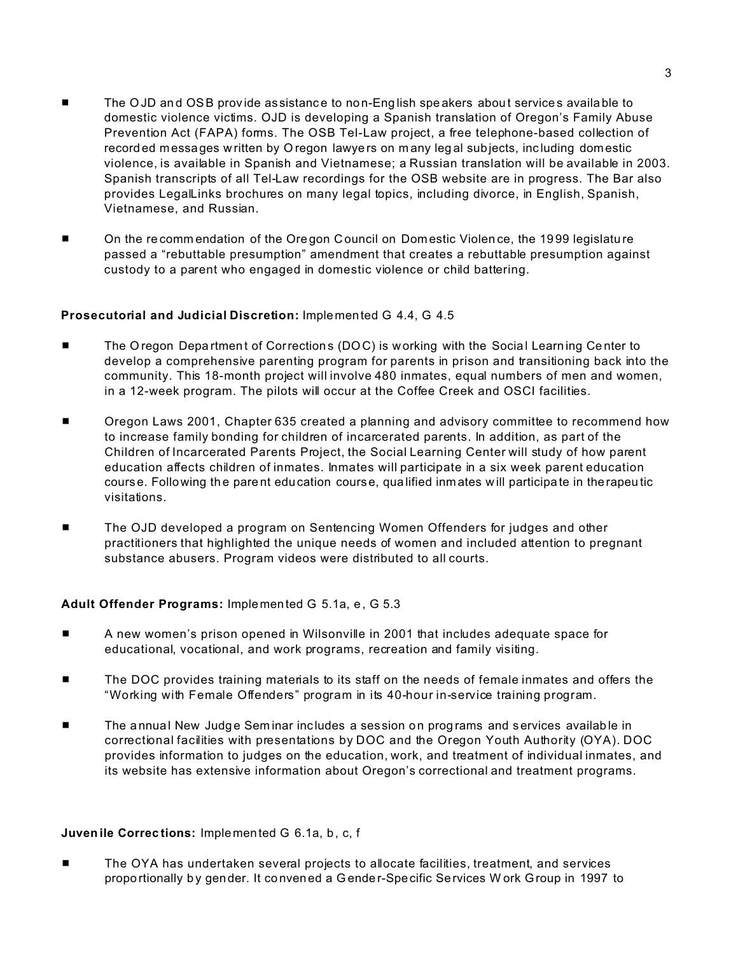- The OJD and OSB provide assistance to non-English speakers about services available to domestic violence victims. OJD is developing a Spanish translation of Oregon's Family Abuse Prevention Act (FAPA) forms. The OSB Tel-Law project, a free telephone-based collection of record ed messages w ritten by O regon lawye rs on m any leg al subjects, inc luding domestic violence, is available in Spanish and Vietnamese; a Russian translation will be available in 2003. Spanish transcripts of all Tel-Law recordings for the OSB website are in progress. The Bar also provides LegalLinks brochures on many legal topics, including divorce, in English, Spanish, Vietnamese, and Russian.
- On the recomm endation of the Oregon Council on Dom estic Violence, the 1999 legislature passed a "rebuttable presumption" amendment that creates a rebuttable presumption against custody to a parent who engaged in domestic violence or child battering.

#### **Prosecutorial and Judicial Discretion:** Implemen ted G 4.4, G 4.5

- The O regon Depa rtment of Corrections (DOC) is working with the Social Learning Center to develop a comprehensive parenting program for parents in prison and transitioning back into the community. This 18-month project will involve 480 inmates, equal numbers of men and women, in a 12-week program. The pilots will occur at the Coffee Creek and OSCI facilities.
- Oregon Laws 2001, Chapter 635 created a planning and advisory committee to recommend how to increase family bonding for children of incarcerated parents. In addition, as part of the Children of Incarcerated Parents Project, the Social Learning Center will study of how parent education affects children of inmates. Inmates will participate in a six week parent education course. Following the parent edu cation course, qualified inmates will participate in therapeutic visitations.
- The OJD developed a program on Sentencing Women Offenders for judges and other practitioners that highlighted the unique needs of women and included attention to pregnant substance abusers. Program videos were distributed to all courts.

#### **Adult Offender Programs:** Implemen ted G 5.1a, e , G 5.3

- **EXECT** A new women's prison opened in Wilsonville in 2001 that includes adequate space for educational, vocational, and work programs, recreation and family visiting.
- **EXECUTE:** The DOC provides training materials to its staff on the needs of female inmates and offers the "Working with Female Offenders" program in its 40-hour in-service training program.
- **EXECT** The annual New Judge Seminar includes a session on programs and services available in correctional facilities with presentations by DOC and the Oregon Youth Authority (OYA). DOC provides information to judges on the education, work, and treatment of individual inmates, and its website has extensive information about Oregon's correctional and treatment programs.

#### **Juven ile Correc tions:** Implemen ted G 6.1a, b , c, f

■ The OYA has undertaken several projects to allocate facilities, treatment, and services propo rtionally by gender. It convened a Gender-Specific Services Work Group in 1997 to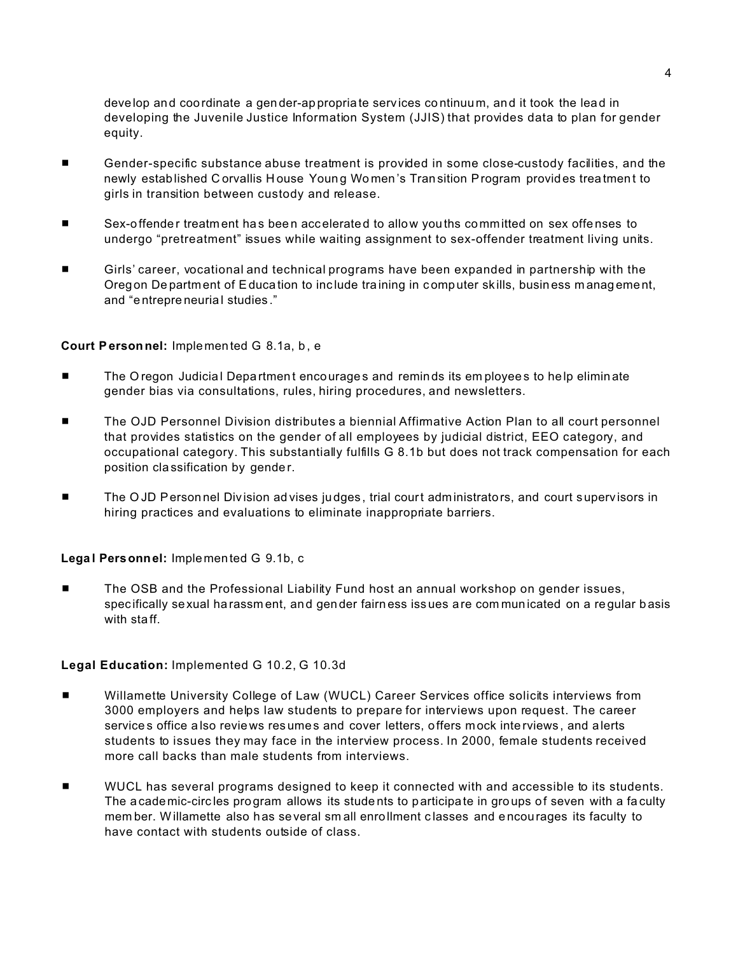develop and coordinate a gender-appropriate services continuum, and it took the lead in developing the Juvenile Justice Information System (JJIS) that provides data to plan for gender equity.

- Gender-specific substance abuse treatment is provided in some close-custody facilities, and the  $\blacksquare$ newly established Corvallis House Young Women's Transition Program provides treatment to girls in transition between custody and release.
- Sex-offender treatment has been accelerated to allow youths committed on sex offenses to undergo "pretreatment" issues while waiting assignment to sex-offender treatment living units.
- Girls' career, vocational and technical programs have been expanded in partnership with the Oregon Department of Education to include training in computer skills, business management, and "entrepreneurial studies."

#### Court Personnel: Implemented G 8.1a, b, e

- The Oregon Judicial Department encourages and reminds its employees to help eliminate gender bias via consultations, rules, hiring procedures, and newsletters.
- The OJD Personnel Division distributes a biennial Affirmative Action Plan to all court personnel that provides statistics on the gender of all employees by judicial district, EEO category, and occupational category. This substantially fulfills G 8.1b but does not track compensation for each position classification by gender.
- The OJD Personnel Division advises judges, trial court administrators, and court supervisors in hiring practices and evaluations to eliminate inappropriate barriers.

#### Legal Personnel: Implemented G 9.1b, c

The OSB and the Professional Liability Fund host an annual workshop on gender issues,  $\blacksquare$ specifically sexual harassment, and gender fairness issues are communicated on a regular basis with staff.

#### Legal Education: Implemented G 10.2, G 10.3d

- $\blacksquare$ Willamette University College of Law (WUCL) Career Services office solicits interviews from 3000 employers and helps law students to prepare for interviews upon request. The career services office also reviews resumes and cover letters, offers mock interviews, and alerts students to issues they may face in the interview process. In 2000, female students received more call backs than male students from interviews.
- WUCL has several programs designed to keep it connected with and accessible to its students. The academic-circles program allows its students to participate in groups of seven with a faculty member. Willamette also has several small enrollment classes and encourages its faculty to have contact with students outside of class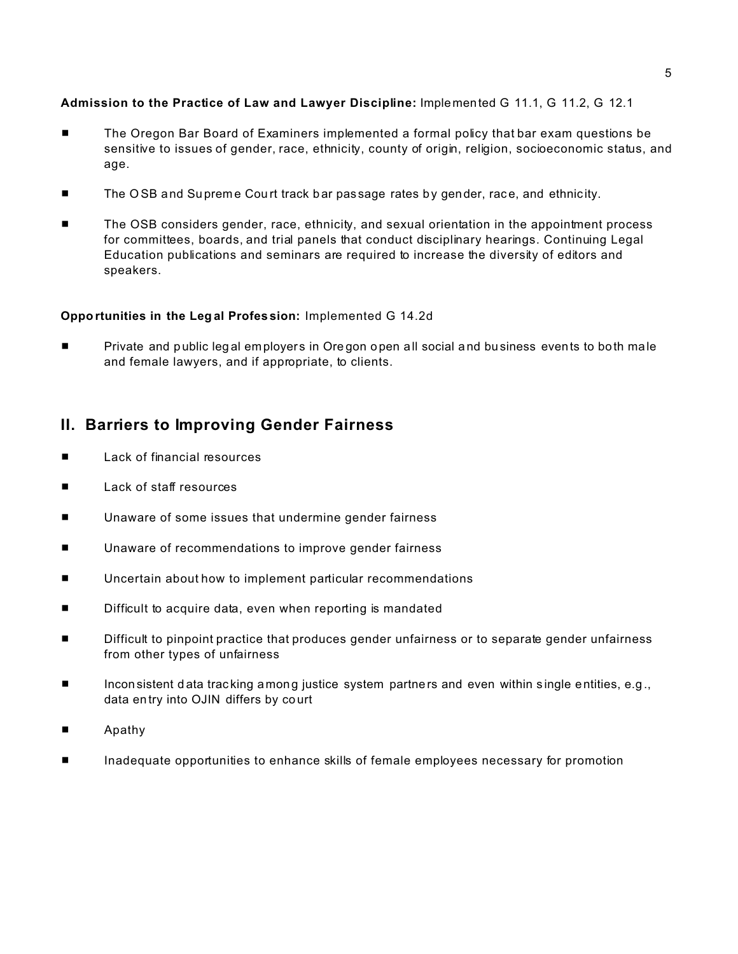#### Admission to the Practice of Law and Lawyer Discipline: Implemented G 11.1, G 11.2, G 12.1

- The Oregon Bar Board of Examiners implemented a formal policy that bar exam questions be  $\blacksquare$ sensitive to issues of gender, race, ethnicity, county of origin, religion, socioeconomic status, and age.
- The OSB and Supreme Court track bar passage rates by gender, race, and ethnicity.
- The OSB considers gender, race, ethnicity, and sexual orientation in the appointment process for committees, boards, and trial panels that conduct disciplinary hearings. Continuing Legal Education publications and seminars are required to increase the diversity of editors and speakers.

#### Opportunities in the Legal Profession: Implemented G 14.2d

Private and public legal employers in Oregon open all social and business events to both male and female lawyers, and if appropriate, to clients.

# II. Barriers to Improving Gender Fairness

- Lack of financial resources  $\blacksquare$
- $\blacksquare$ Lack of staff resources
- Unaware of some issues that undermine gender fairness .
- Unaware of recommendations to improve gender fairness  $\blacksquare$
- Uncertain about how to implement particular recommendations п
- Difficult to acquire data, even when reporting is mandated
- Difficult to pinpoint practice that produces gender unfairness or to separate gender unfairness  $\blacksquare$ from other types of unfairness
- Inconsistent data tracking among justice system partners and even within single entities, e.g.,  $\blacksquare$ data entry into OJIN differs by court
- Apathy п
- . Inadequate opportunities to enhance skills of female employees necessary for promotion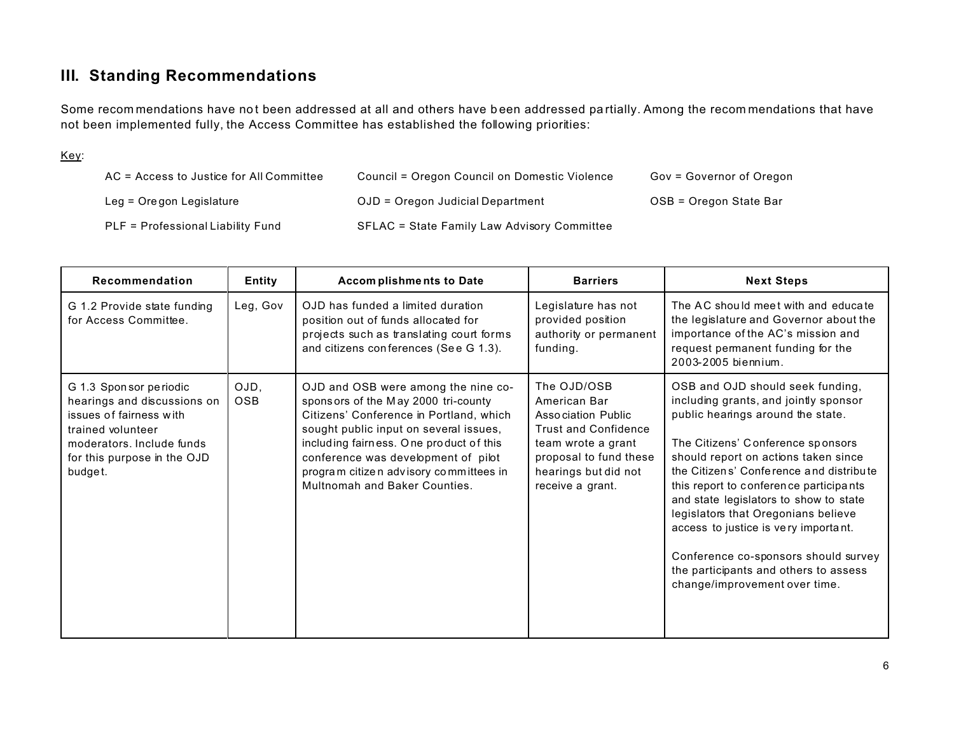# **III. Standing Recommendations**

Some recommendations have not been addressed at all and others have been addressed partially. Among the recommendations that have not been implemented fully, the Access Committee has established the following priorities:

#### Key:

| AC = Access to Justice for All Committee | Council = Oregon Council on Domestic Violence | Gov = Governor of Oregon |
|------------------------------------------|-----------------------------------------------|--------------------------|
| Leg = Oregon Legislature                 | OJD = Oregon Judicial Department              | OSB = Oregon State Bar   |
| PLF = Professional Liability Fund        | SFLAC = State Family Law Advisory Committee   |                          |

| Recommendation                                                                                                                                                               | <b>Entity</b>      | <b>Accomplishments to Date</b>                                                                                                                                                                                                                                                                                               | <b>Barriers</b>                                                                                                                                                              | <b>Next Steps</b>                                                                                                                                                                                                                                                                                                                                                                                                                                                                                                           |
|------------------------------------------------------------------------------------------------------------------------------------------------------------------------------|--------------------|------------------------------------------------------------------------------------------------------------------------------------------------------------------------------------------------------------------------------------------------------------------------------------------------------------------------------|------------------------------------------------------------------------------------------------------------------------------------------------------------------------------|-----------------------------------------------------------------------------------------------------------------------------------------------------------------------------------------------------------------------------------------------------------------------------------------------------------------------------------------------------------------------------------------------------------------------------------------------------------------------------------------------------------------------------|
| G 1.2 Provide state funding<br>for Access Committee.                                                                                                                         | Leg, Gov           | OJD has funded a limited duration<br>position out of funds allocated for<br>projects such as translating court forms<br>and citizens conferences (See G 1.3).                                                                                                                                                                | Legislature has not<br>provided position<br>authority or permanent<br>funding.                                                                                               | The AC should meet with and educate<br>the legislature and Governor about the<br>importance of the AC's mission and<br>request permanent funding for the<br>2003-2005 biennium.                                                                                                                                                                                                                                                                                                                                             |
| G 1.3 Sponsor periodic<br>hearings and discussions on<br>issues of fairness with<br>trained volunteer<br>moderators, Include funds<br>for this purpose in the OJD<br>budget. | OJD,<br><b>OSB</b> | OJD and OSB were among the nine co-<br>sponsors of the May 2000 tri-county<br>Citizens' Conference in Portland, which<br>sought public input on several issues,<br>including fairness. One product of this<br>conference was development of pilot<br>program citizen advisory committees in<br>Multnomah and Baker Counties. | The OJD/OSB<br>American Bar<br>Association Public<br><b>Trust and Confidence</b><br>team wrote a grant<br>proposal to fund these<br>hearings but did not<br>receive a grant. | OSB and OJD should seek funding,<br>including grants, and jointly sponsor<br>public hearings around the state.<br>The Citizens' Conference sponsors<br>should report on actions taken since<br>the Citizens' Conference and distribute<br>this report to conference participants<br>and state legislators to show to state<br>legislators that Oregonians believe<br>access to justice is very important.<br>Conference co-sponsors should survey<br>the participants and others to assess<br>change/improvement over time. |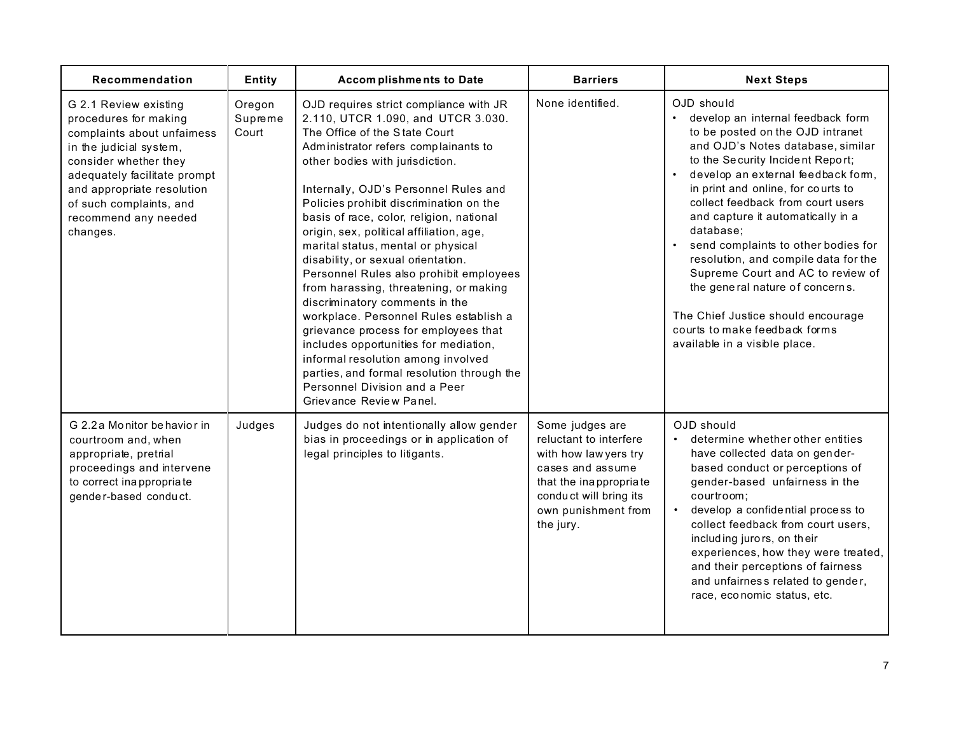| Recommendation                                                                                                                                                                                                                                                | Entity                     | Accomplishments to Date                                                                                                                                                                                                                                                                                                                                                                                                                                                                                                                                                                                                                                                                                                                                                                                                                            | <b>Barriers</b>                                                                                                                                                                | <b>Next Steps</b>                                                                                                                                                                                                                                                                                                                                                                                                                                                                                                                                                                                           |
|---------------------------------------------------------------------------------------------------------------------------------------------------------------------------------------------------------------------------------------------------------------|----------------------------|----------------------------------------------------------------------------------------------------------------------------------------------------------------------------------------------------------------------------------------------------------------------------------------------------------------------------------------------------------------------------------------------------------------------------------------------------------------------------------------------------------------------------------------------------------------------------------------------------------------------------------------------------------------------------------------------------------------------------------------------------------------------------------------------------------------------------------------------------|--------------------------------------------------------------------------------------------------------------------------------------------------------------------------------|-------------------------------------------------------------------------------------------------------------------------------------------------------------------------------------------------------------------------------------------------------------------------------------------------------------------------------------------------------------------------------------------------------------------------------------------------------------------------------------------------------------------------------------------------------------------------------------------------------------|
| G 2.1 Review existing<br>procedures for making<br>complaints about unfaimess<br>in the judicial system,<br>consider whether they<br>adequately facilitate prompt<br>and appropriate resolution<br>of such complaints, and<br>recommend any needed<br>changes. | Oregon<br>Supreme<br>Court | OJD requires strict compliance with JR<br>2.110, UTCR 1.090, and UTCR 3.030.<br>The Office of the State Court<br>Administrator refers complainants to<br>other bodies with jurisdiction.<br>Internally, OJD's Personnel Rules and<br>Policies prohibit discrimination on the<br>basis of race, color, religion, national<br>origin, sex, political affiliation, age,<br>marital status, mental or physical<br>disability, or sexual orientation.<br>Personnel Rules also prohibit employees<br>from harassing, threatening, or making<br>discriminatory comments in the<br>workplace. Personnel Rules establish a<br>grievance process for employees that<br>includes opportunities for mediation,<br>informal resolution among involved<br>parties, and formal resolution through the<br>Personnel Division and a Peer<br>Grievance Review Panel. | None identified.                                                                                                                                                               | OJD should<br>develop an internal feedback form<br>to be posted on the OJD intranet<br>and OJD's Notes database, similar<br>to the Security Incident Report;<br>develop an external feedback form,<br>$\bullet$<br>in print and online, for courts to<br>collect feedback from court users<br>and capture it automatically in a<br>database;<br>send complaints to other bodies for<br>resolution, and compile data for the<br>Supreme Court and AC to review of<br>the general nature of concerns.<br>The Chief Justice should encourage<br>courts to make feedback forms<br>available in a visible place. |
| G 2.2 a Monitor behavior in<br>courtroom and, when<br>appropriate, pretrial<br>proceedings and intervene<br>to correct inappropriate<br>gender-based conduct.                                                                                                 | Judges                     | Judges do not intentionally allow gender<br>bias in proceedings or in application of<br>legal principles to litigants.                                                                                                                                                                                                                                                                                                                                                                                                                                                                                                                                                                                                                                                                                                                             | Some judges are<br>reluctant to interfere<br>with how law yers try<br>cases and assume<br>that the inappropriate<br>conduct will bring its<br>own punishment from<br>the jury. | OJD should<br>• determine whether other entities<br>have collected data on gender-<br>based conduct or perceptions of<br>gender-based unfairness in the<br>courtroom:<br>develop a confidential process to<br>collect feedback from court users,<br>including jurors, on their<br>experiences, how they were treated,<br>and their perceptions of fairness<br>and unfairness related to gender,<br>race, economic status, etc.                                                                                                                                                                              |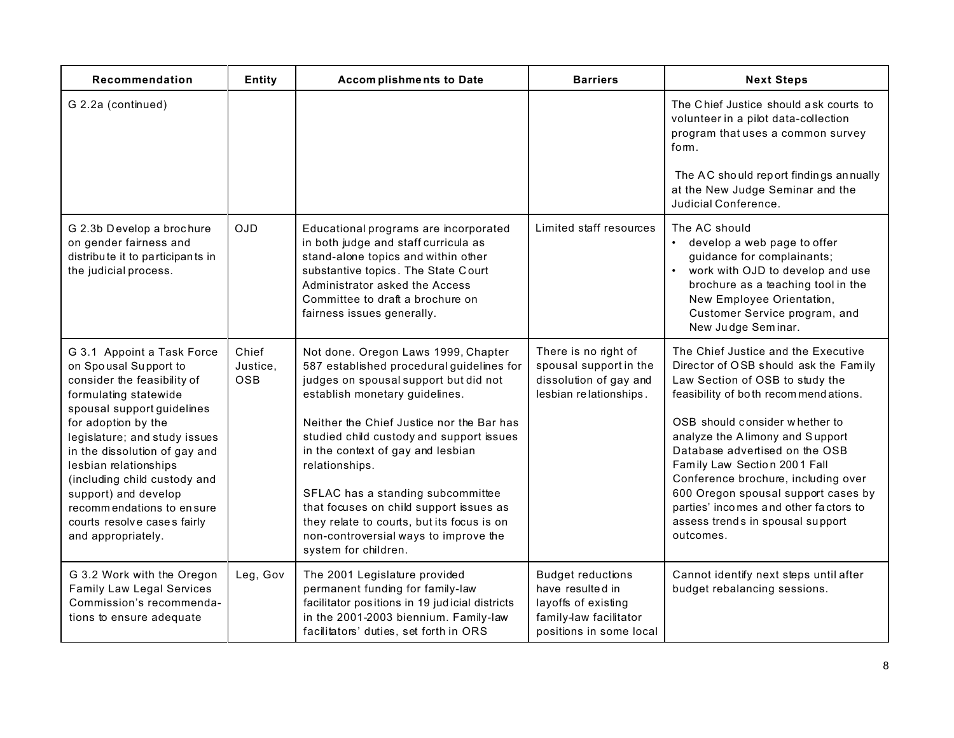| Recommendation                                                                                                                                                                                                                                                                                                                                                                                        | <b>Entity</b>            | Accomplishments to Date                                                                                                                                                                                                                                                                                                                                                                                                                                                                                    | <b>Barriers</b>                                                                                                          | <b>Next Steps</b>                                                                                                                                                                                                                                                                                                                                                                                                                                                       |
|-------------------------------------------------------------------------------------------------------------------------------------------------------------------------------------------------------------------------------------------------------------------------------------------------------------------------------------------------------------------------------------------------------|--------------------------|------------------------------------------------------------------------------------------------------------------------------------------------------------------------------------------------------------------------------------------------------------------------------------------------------------------------------------------------------------------------------------------------------------------------------------------------------------------------------------------------------------|--------------------------------------------------------------------------------------------------------------------------|-------------------------------------------------------------------------------------------------------------------------------------------------------------------------------------------------------------------------------------------------------------------------------------------------------------------------------------------------------------------------------------------------------------------------------------------------------------------------|
| G 2.2a (continued)                                                                                                                                                                                                                                                                                                                                                                                    |                          |                                                                                                                                                                                                                                                                                                                                                                                                                                                                                                            |                                                                                                                          | The Chief Justice should ask courts to<br>volunteer in a pilot data-collection<br>program that uses a common survey<br>fom.<br>The AC should report findings annually<br>at the New Judge Seminar and the<br>Judicial Conference.                                                                                                                                                                                                                                       |
| G 2.3b Develop a brochure<br>on gender fairness and<br>distribute it to participants in<br>the judicial process.                                                                                                                                                                                                                                                                                      | <b>OJD</b>               | Educational programs are incorporated<br>in both judge and staff curricula as<br>stand-alone topics and within other<br>substantive topics. The State Court<br>Administrator asked the Access<br>Committee to draft a brochure on<br>fairness issues generally.                                                                                                                                                                                                                                            | Limited staff resources                                                                                                  | The AC should<br>develop a web page to offer<br>guidance for complainants;<br>work with OJD to develop and use<br>brochure as a teaching tool in the<br>New Employee Orientation,<br>Customer Service program, and<br>New Judge Seminar.                                                                                                                                                                                                                                |
| G 3.1 Appoint a Task Force<br>on Spousal Support to<br>consider the feasibility of<br>formulating statewide<br>spousal support guidelines<br>for adoption by the<br>legislature; and study issues<br>in the dissolution of gay and<br>lesbian relationships<br>(including child custody and<br>support) and develop<br>recommendations to ensure<br>courts resolve cases fairly<br>and appropriately. | Chief<br>Justice,<br>OSB | Not done. Oregon Laws 1999, Chapter<br>587 established procedural guidelines for<br>judges on spousal support but did not<br>establish monetary guidelines.<br>Neither the Chief Justice nor the Bar has<br>studied child custody and support issues<br>in the context of gay and lesbian<br>relationships.<br>SFLAC has a standing subcommittee<br>that focuses on child support issues as<br>they relate to courts, but its focus is on<br>non-controversial ways to improve the<br>system for children. | There is no right of<br>spousal support in the<br>dissolution of gay and<br>lesbian relationships.                       | The Chief Justice and the Executive<br>Director of OSB should ask the Family<br>Law Section of OSB to study the<br>feasibility of both recommend ations.<br>OSB should consider whether to<br>analyze the Alimony and Support<br>Database advertised on the OSB<br>Family Law Section 2001 Fall<br>Conference brochure, including over<br>600 Oregon spousal support cases by<br>parties' incomes and other factors to<br>assess trends in spousal support<br>outcomes. |
| G 3.2 Work with the Oregon<br><b>Family Law Legal Services</b><br>Commission's recommenda-<br>tions to ensure adequate                                                                                                                                                                                                                                                                                | Leg, Gov                 | The 2001 Legislature provided<br>permanent funding for family-law<br>facilitator positions in 19 judicial districts<br>in the 2001-2003 biennium. Family-law<br>facilitators' duties, set forth in ORS                                                                                                                                                                                                                                                                                                     | <b>Budget reductions</b><br>have resulted in<br>layoffs of existing<br>family-law facilitator<br>positions in some local | Cannot identify next steps until after<br>budget rebalancing sessions.                                                                                                                                                                                                                                                                                                                                                                                                  |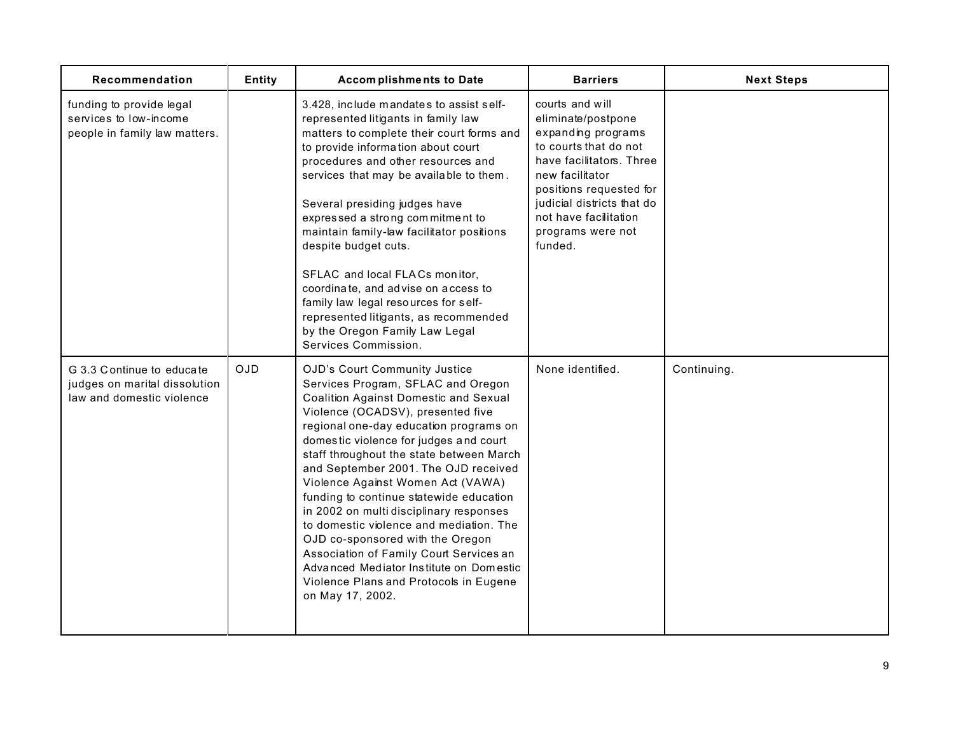| Recommendation                                                                          | Entity     | Accomplishments to Date                                                                                                                                                                                                                                                                                                                                                                                                                                                                                                                                                                                                                                                                        | <b>Barriers</b>                                                                                                                                                                                                                                       | <b>Next Steps</b> |
|-----------------------------------------------------------------------------------------|------------|------------------------------------------------------------------------------------------------------------------------------------------------------------------------------------------------------------------------------------------------------------------------------------------------------------------------------------------------------------------------------------------------------------------------------------------------------------------------------------------------------------------------------------------------------------------------------------------------------------------------------------------------------------------------------------------------|-------------------------------------------------------------------------------------------------------------------------------------------------------------------------------------------------------------------------------------------------------|-------------------|
| funding to provide legal<br>services to low-income<br>people in family law matters.     |            | 3.428, include mandates to assist self-<br>represented litigants in family law<br>matters to complete their court forms and<br>to provide information about court<br>procedures and other resources and<br>services that may be available to them.<br>Several presiding judges have<br>expressed a strong commitment to<br>maintain family-law facilitator positions<br>despite budget cuts.<br>SFLAC and local FLACs monitor,<br>coordinate, and advise on access to<br>family law legal resources for self-<br>represented litigants, as recommended<br>by the Oregon Family Law Legal<br>Services Commission.                                                                               | courts and will<br>eliminate/postpone<br>expanding programs<br>to courts that do not<br>have facilitators. Three<br>new facilitator<br>positions requested for<br>judicial districts that do<br>not have facilitation<br>programs were not<br>funded. |                   |
| G 3.3 Continue to educate<br>judges on marital dissolution<br>law and domestic violence | <b>OJD</b> | OJD's Court Community Justice<br>Services Program, SFLAC and Oregon<br><b>Coalition Against Domestic and Sexual</b><br>Violence (OCADSV), presented five<br>regional one-day education programs on<br>domestic violence for judges and court<br>staff throughout the state between March<br>and September 2001. The OJD received<br>Violence Against Women Act (VAWA)<br>funding to continue statewide education<br>in 2002 on multi disciplinary responses<br>to domestic violence and mediation. The<br>OJD co-sponsored with the Oregon<br>Association of Family Court Services an<br>Advanced Mediator Institute on Domestic<br>Violence Plans and Protocols in Eugene<br>on May 17, 2002. | None identified.                                                                                                                                                                                                                                      | Continuing.       |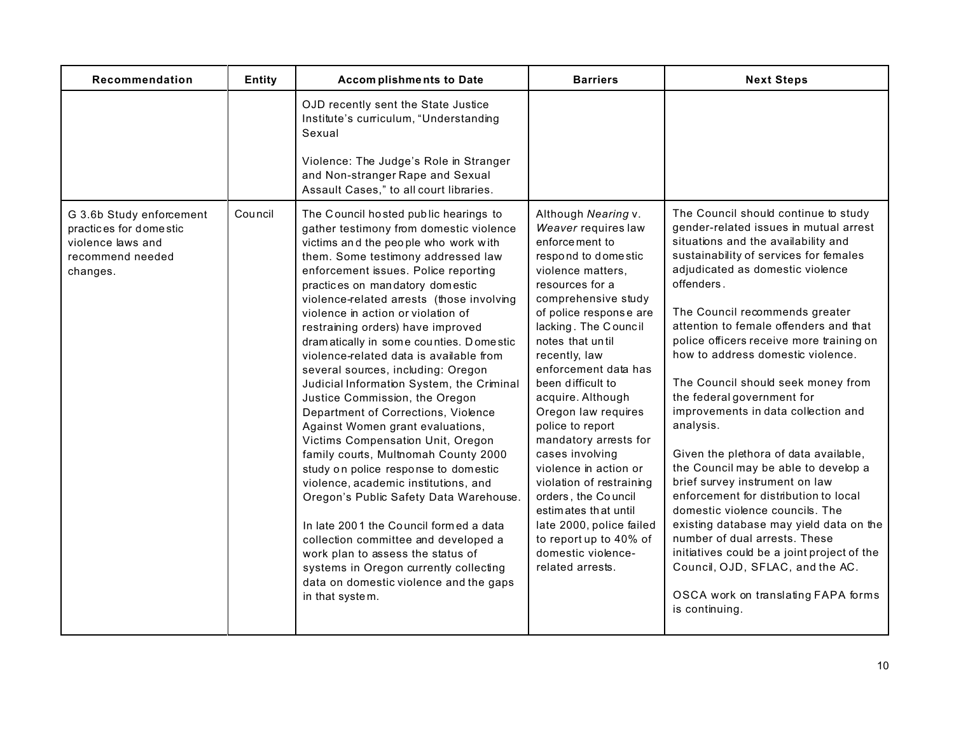| Recommendation                                                                                          | <b>Entity</b> | <b>Accomplishments to Date</b>                                                                                                                                                                                                                                                                                                                                                                                                                                                                                                                                                                                                                                                                                                                                                                                                                                                                                                                                                                                                                                                               | <b>Barriers</b>                                                                                                                                                                                                                                                                                                                                                                                                                                                                                                                                                                                          | <b>Next Steps</b>                                                                                                                                                                                                                                                                                                                                                                                                                                                                                                                                                                                                                                                                                                                                                                                                                                                                                                             |
|---------------------------------------------------------------------------------------------------------|---------------|----------------------------------------------------------------------------------------------------------------------------------------------------------------------------------------------------------------------------------------------------------------------------------------------------------------------------------------------------------------------------------------------------------------------------------------------------------------------------------------------------------------------------------------------------------------------------------------------------------------------------------------------------------------------------------------------------------------------------------------------------------------------------------------------------------------------------------------------------------------------------------------------------------------------------------------------------------------------------------------------------------------------------------------------------------------------------------------------|----------------------------------------------------------------------------------------------------------------------------------------------------------------------------------------------------------------------------------------------------------------------------------------------------------------------------------------------------------------------------------------------------------------------------------------------------------------------------------------------------------------------------------------------------------------------------------------------------------|-------------------------------------------------------------------------------------------------------------------------------------------------------------------------------------------------------------------------------------------------------------------------------------------------------------------------------------------------------------------------------------------------------------------------------------------------------------------------------------------------------------------------------------------------------------------------------------------------------------------------------------------------------------------------------------------------------------------------------------------------------------------------------------------------------------------------------------------------------------------------------------------------------------------------------|
|                                                                                                         |               | OJD recently sent the State Justice<br>Institute's curriculum, "Understanding<br>Sexual<br>Violence: The Judge's Role in Stranger<br>and Non-stranger Rape and Sexual<br>Assault Cases," to all court libraries.                                                                                                                                                                                                                                                                                                                                                                                                                                                                                                                                                                                                                                                                                                                                                                                                                                                                             |                                                                                                                                                                                                                                                                                                                                                                                                                                                                                                                                                                                                          |                                                                                                                                                                                                                                                                                                                                                                                                                                                                                                                                                                                                                                                                                                                                                                                                                                                                                                                               |
| G 3.6b Study enforcement<br>practices for domestic<br>violence laws and<br>recommend needed<br>changes. | Council       | The Council hosted public hearings to<br>gather testimony from domestic violence<br>victims and the people who work with<br>them. Some testimony addressed law<br>enforcement issues. Police reporting<br>practices on mandatory domestic<br>violence-related arrests (those involving<br>violence in action or violation of<br>restraining orders) have improved<br>dramatically in some counties. Domestic<br>violence-related data is available from<br>several sources, including: Oregon<br>Judicial Information System, the Criminal<br>Justice Commission, the Oregon<br>Department of Corrections, Violence<br>Against Women grant evaluations,<br>Victims Compensation Unit, Oregon<br>family courts, Multnomah County 2000<br>study on police response to domestic<br>violence, academic institutions, and<br>Oregon's Public Safety Data Warehouse.<br>In late 2001 the Council formed a data<br>collection committee and developed a<br>work plan to assess the status of<br>systems in Oregon currently collecting<br>data on domestic violence and the gaps<br>in that system. | Although Nearing v.<br>Weaver requires law<br>enforce ment to<br>respond to dome stic<br>violence matters,<br>resources for a<br>comprehensive study<br>of police response are<br>lacking. The Council<br>notes that until<br>recently, law<br>enforcement data has<br>been difficult to<br>acquire. Although<br>Oregon law requires<br>police to report<br>mandatory arrests for<br>cases involving<br>violence in action or<br>violation of restraining<br>orders, the Council<br>estimates that until<br>late 2000, police failed<br>to report up to 40% of<br>domestic violence-<br>related arrests. | The Council should continue to study<br>gender-related issues in mutual arrest<br>situations and the availability and<br>sustainability of services for females<br>adjudicated as domestic violence<br>offenders.<br>The Council recommends greater<br>attention to female offenders and that<br>police officers receive more training on<br>how to address domestic violence.<br>The Council should seek money from<br>the federal government for<br>improvements in data collection and<br>analysis.<br>Given the plethora of data available,<br>the Council may be able to develop a<br>brief survey instrument on law<br>enforcement for distribution to local<br>domestic violence councils. The<br>existing database may yield data on the<br>number of dual arrests. These<br>initiatives could be a joint project of the<br>Council, OJD, SFLAC, and the AC.<br>OSCA work on translating FAPA forms<br>is continuing. |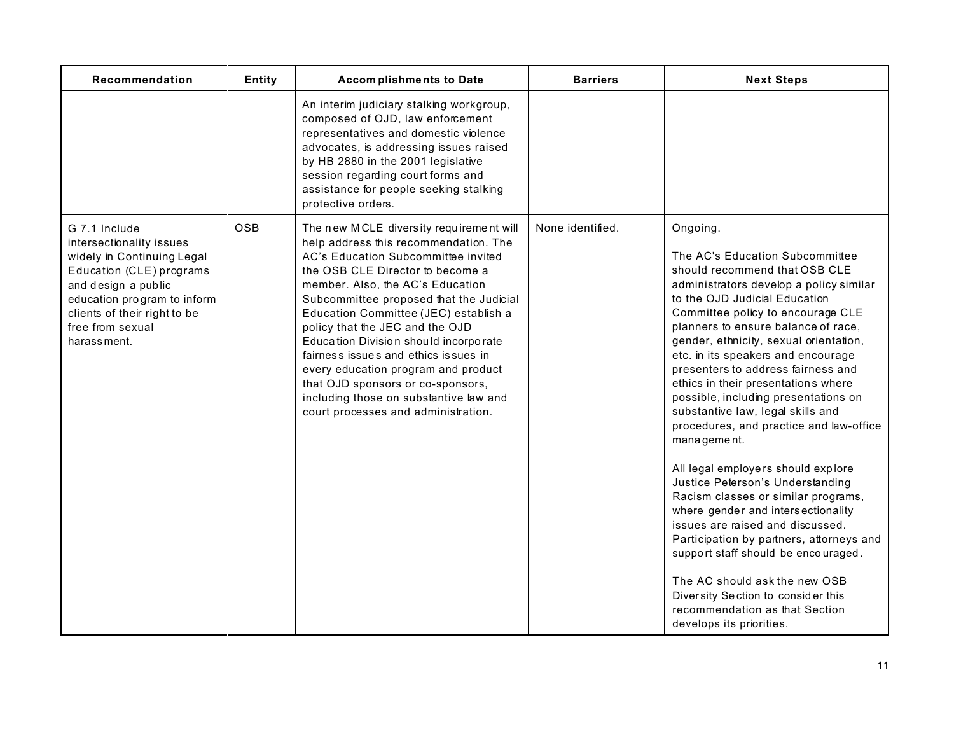| Recommendation                                                                                                                                                                                                               | Entity     | <b>Accomplishments to Date</b>                                                                                                                                                                                                                                                                                                                                                                                                                                                                                                                                       | <b>Barriers</b>  | <b>Next Steps</b>                                                                                                                                                                                                                                                                                                                                                                                                                                                                                                                                                                                                                                                                                                                                                                                                                                                                                                                                           |
|------------------------------------------------------------------------------------------------------------------------------------------------------------------------------------------------------------------------------|------------|----------------------------------------------------------------------------------------------------------------------------------------------------------------------------------------------------------------------------------------------------------------------------------------------------------------------------------------------------------------------------------------------------------------------------------------------------------------------------------------------------------------------------------------------------------------------|------------------|-------------------------------------------------------------------------------------------------------------------------------------------------------------------------------------------------------------------------------------------------------------------------------------------------------------------------------------------------------------------------------------------------------------------------------------------------------------------------------------------------------------------------------------------------------------------------------------------------------------------------------------------------------------------------------------------------------------------------------------------------------------------------------------------------------------------------------------------------------------------------------------------------------------------------------------------------------------|
|                                                                                                                                                                                                                              |            | An interim judiciary stalking workgroup,<br>composed of OJD, law enforcement<br>representatives and domestic violence<br>advocates, is addressing issues raised<br>by HB 2880 in the 2001 legislative<br>session regarding court forms and<br>assistance for people seeking stalking<br>protective orders.                                                                                                                                                                                                                                                           |                  |                                                                                                                                                                                                                                                                                                                                                                                                                                                                                                                                                                                                                                                                                                                                                                                                                                                                                                                                                             |
| G 7.1 Include<br>intersectionality issues<br>widely in Continuing Legal<br>Education (CLE) programs<br>and design a public<br>education program to inform<br>clients of their right to be<br>free from sexual<br>harassment. | <b>OSB</b> | The new MCLE diversity requirement will<br>help address this recommendation. The<br>AC's Education Subcommittee invited<br>the OSB CLE Director to become a<br>member. Also, the AC's Education<br>Subcommittee proposed that the Judicial<br>Education Committee (JEC) establish a<br>policy that the JEC and the OJD<br>Education Division should incorporate<br>fairness issues and ethics issues in<br>every education program and product<br>that OJD sponsors or co-sponsors,<br>including those on substantive law and<br>court processes and administration. | None identified. | Ongoing.<br>The AC's Education Subcommittee<br>should recommend that OSB CLE<br>administrators develop a policy similar<br>to the OJD Judicial Education<br>Committee policy to encourage CLE<br>planners to ensure balance of race,<br>gender, ethnicity, sexual orientation,<br>etc. in its speakers and encourage<br>presenters to address fairness and<br>ethics in their presentations where<br>possible, including presentations on<br>substantive law, legal skills and<br>procedures, and practice and law-office<br>management.<br>All legal employers should explore<br>Justice Peterson's Understanding<br>Racism classes or similar programs,<br>where gender and intersectionality<br>issues are raised and discussed.<br>Participation by partners, attorneys and<br>support staff should be encouraged.<br>The AC should ask the new OSB<br>Diversity Section to consider this<br>recommendation as that Section<br>develops its priorities. |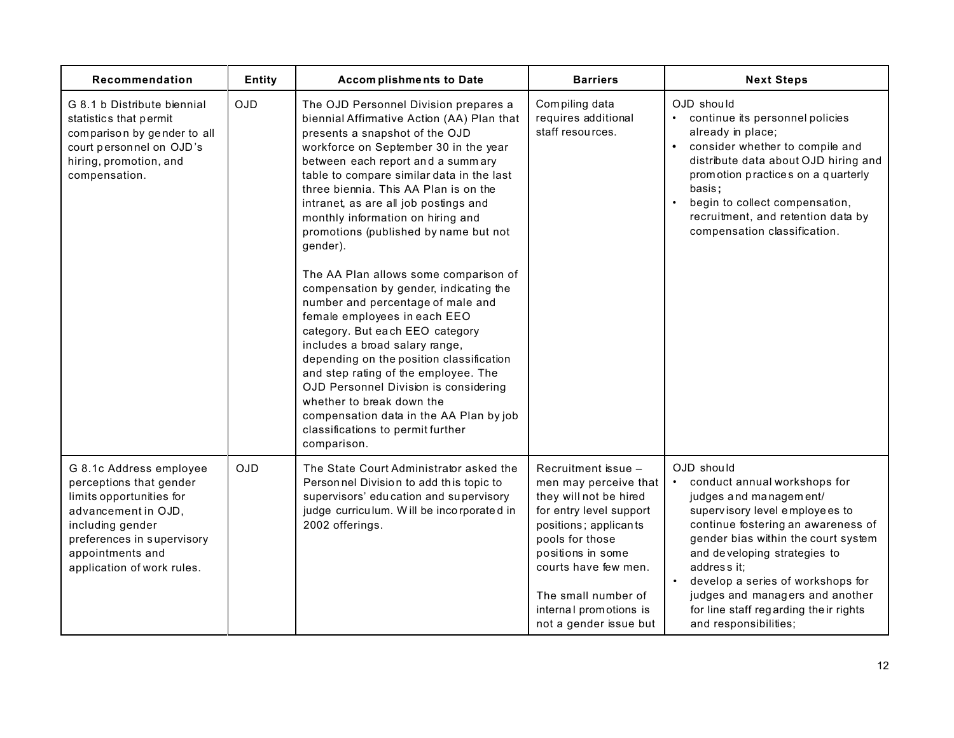| Recommendation                                                                                                                                                                                            | Entity     | Accomplishments to Date                                                                                                                                                                                                                                                                                                                                                                                                                                                                                                                                                                                                                                                                                                                                                                                                                                                                                            | <b>Barriers</b>                                                                                                                                                                                                                                                       | <b>Next Steps</b>                                                                                                                                                                                                                                                                                                                                                             |
|-----------------------------------------------------------------------------------------------------------------------------------------------------------------------------------------------------------|------------|--------------------------------------------------------------------------------------------------------------------------------------------------------------------------------------------------------------------------------------------------------------------------------------------------------------------------------------------------------------------------------------------------------------------------------------------------------------------------------------------------------------------------------------------------------------------------------------------------------------------------------------------------------------------------------------------------------------------------------------------------------------------------------------------------------------------------------------------------------------------------------------------------------------------|-----------------------------------------------------------------------------------------------------------------------------------------------------------------------------------------------------------------------------------------------------------------------|-------------------------------------------------------------------------------------------------------------------------------------------------------------------------------------------------------------------------------------------------------------------------------------------------------------------------------------------------------------------------------|
| G 8.1 b Distribute biennial<br>statistics that permit<br>comparison by gender to all<br>court personnel on OJD's<br>hiring, promotion, and<br>compensation.                                               | <b>OJD</b> | The OJD Personnel Division prepares a<br>biennial Affirmative Action (AA) Plan that<br>presents a snapshot of the OJD<br>workforce on September 30 in the year<br>between each report and a summary<br>table to compare similar data in the last<br>three biennia. This AA Plan is on the<br>intranet, as are all job postings and<br>monthly information on hiring and<br>promotions (published by name but not<br>gender).<br>The AA Plan allows some comparison of<br>compensation by gender, indicating the<br>number and percentage of male and<br>female employees in each EEO<br>category. But each EEO category<br>includes a broad salary range,<br>depending on the position classification<br>and step rating of the employee. The<br>OJD Personnel Division is considering<br>whether to break down the<br>compensation data in the AA Plan by job<br>classifications to permit further<br>comparison. | Compiling data<br>requires additional<br>staff resources.                                                                                                                                                                                                             | OJD should<br>continue its personnel policies<br>already in place;<br>consider whether to compile and<br>distribute data about OJD hiring and<br>promotion practices on a quarterly<br>basis;<br>begin to collect compensation,<br>recruitment, and retention data by<br>compensation classification.                                                                         |
| G 8.1c Address employee<br>perceptions that gender<br>limits opportunities for<br>advancement in OJD,<br>including gender<br>preferences in supervisory<br>appointments and<br>application of work rules. | <b>OJD</b> | The State Court Administrator asked the<br>Personnel Division to add this topic to<br>supervisors' education and supervisory<br>judge curriculum. Will be incorporated in<br>2002 offerings.                                                                                                                                                                                                                                                                                                                                                                                                                                                                                                                                                                                                                                                                                                                       | Recruitment issue -<br>men may perceive that<br>they will not be hired<br>for entry level support<br>positions; applicants<br>pools for those<br>positions in some<br>courts have few men.<br>The small number of<br>internal promotions is<br>not a gender issue but | OJD should<br>conduct annual workshops for<br>judges and management/<br>supervisory level employees to<br>continue fostering an awareness of<br>gender bias within the court system<br>and developing strategies to<br>address it;<br>develop a series of workshops for<br>judges and managers and another<br>for line staff regarding the ir rights<br>and responsibilities; |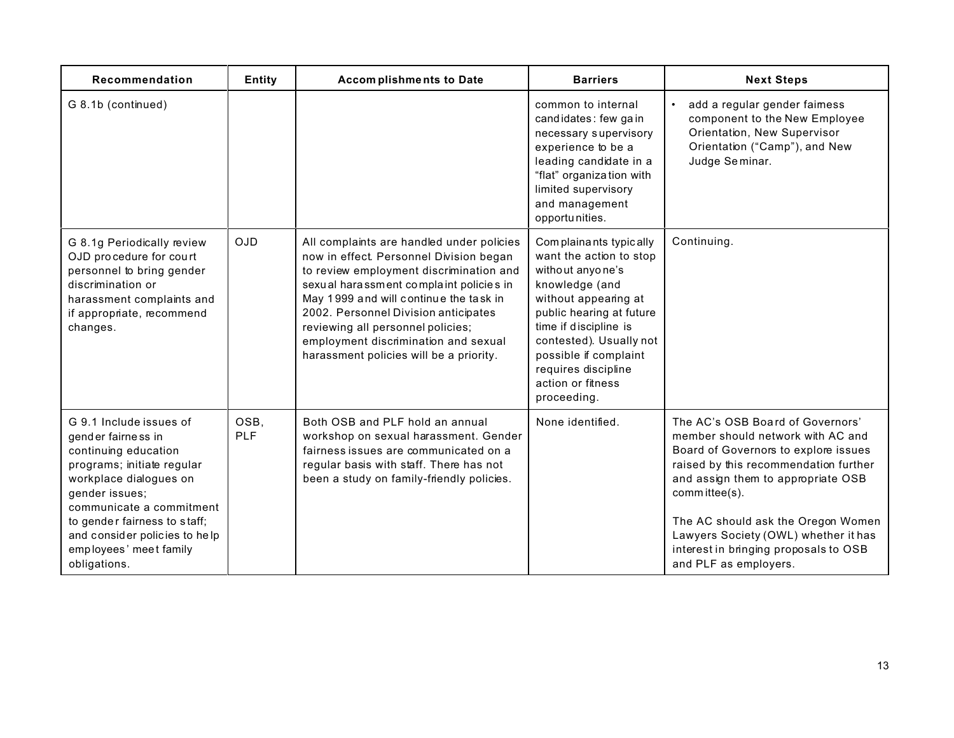| Recommendation                                                                                                                                                                                                                                                                         | Entity             | <b>Accomplishments to Date</b>                                                                                                                                                                                                                                                                                                                                                       | <b>Barriers</b>                                                                                                                                                                                                                                                                     | <b>Next Steps</b>                                                                                                                                                                                                                                                                                                                                             |
|----------------------------------------------------------------------------------------------------------------------------------------------------------------------------------------------------------------------------------------------------------------------------------------|--------------------|--------------------------------------------------------------------------------------------------------------------------------------------------------------------------------------------------------------------------------------------------------------------------------------------------------------------------------------------------------------------------------------|-------------------------------------------------------------------------------------------------------------------------------------------------------------------------------------------------------------------------------------------------------------------------------------|---------------------------------------------------------------------------------------------------------------------------------------------------------------------------------------------------------------------------------------------------------------------------------------------------------------------------------------------------------------|
| G 8.1b (continued)                                                                                                                                                                                                                                                                     |                    |                                                                                                                                                                                                                                                                                                                                                                                      | common to internal<br>candidates: few gain<br>necessary supervisory<br>experience to be a<br>leading candidate in a<br>"flat" organization with<br>limited supervisory<br>and management<br>opportunities.                                                                          | add a regular gender faimess<br>component to the New Employee<br>Orientation, New Supervisor<br>Orientation ("Camp"), and New<br>Judge Seminar.                                                                                                                                                                                                               |
| G 8.1g Periodically review<br>OJD procedure for court<br>personnel to bring gender<br>discrimination or<br>harassment complaints and<br>if appropriate, recommend<br>changes.                                                                                                          | <b>OJD</b>         | All complaints are handled under policies<br>now in effect. Personnel Division began<br>to review employment discrimination and<br>sexual harassment complaint policies in<br>May 1999 and will continue the task in<br>2002. Personnel Division anticipates<br>reviewing all personnel policies;<br>employment discrimination and sexual<br>harassment policies will be a priority. | Complainants typically<br>want the action to stop<br>without anyone's<br>knowledge (and<br>without appearing at<br>public hearing at future<br>time if discipline is<br>contested). Usually not<br>possible if complaint<br>requires discipline<br>action or fitness<br>proceeding. | Continuing.                                                                                                                                                                                                                                                                                                                                                   |
| G 9.1 Include issues of<br>gender fairness in<br>continuing education<br>programs; initiate regular<br>workplace dialogues on<br>gender issues;<br>communicate a commitment<br>to gender fairness to staff;<br>and consider policies to help<br>employees' meet family<br>obligations. | OSB,<br><b>PLF</b> | Both OSB and PLF hold an annual<br>workshop on sexual harassment. Gender<br>fairness issues are communicated on a<br>regular basis with staff. There has not<br>been a study on family-friendly policies.                                                                                                                                                                            | None identified.                                                                                                                                                                                                                                                                    | The AC's OSB Board of Governors'<br>member should network with AC and<br>Board of Governors to explore issues<br>raised by this recommendation further<br>and assign them to appropriate OSB<br>committee(s).<br>The AC should ask the Oregon Women<br>Lawyers Society (OWL) whether it has<br>interest in bringing proposals to OSB<br>and PLF as employers. |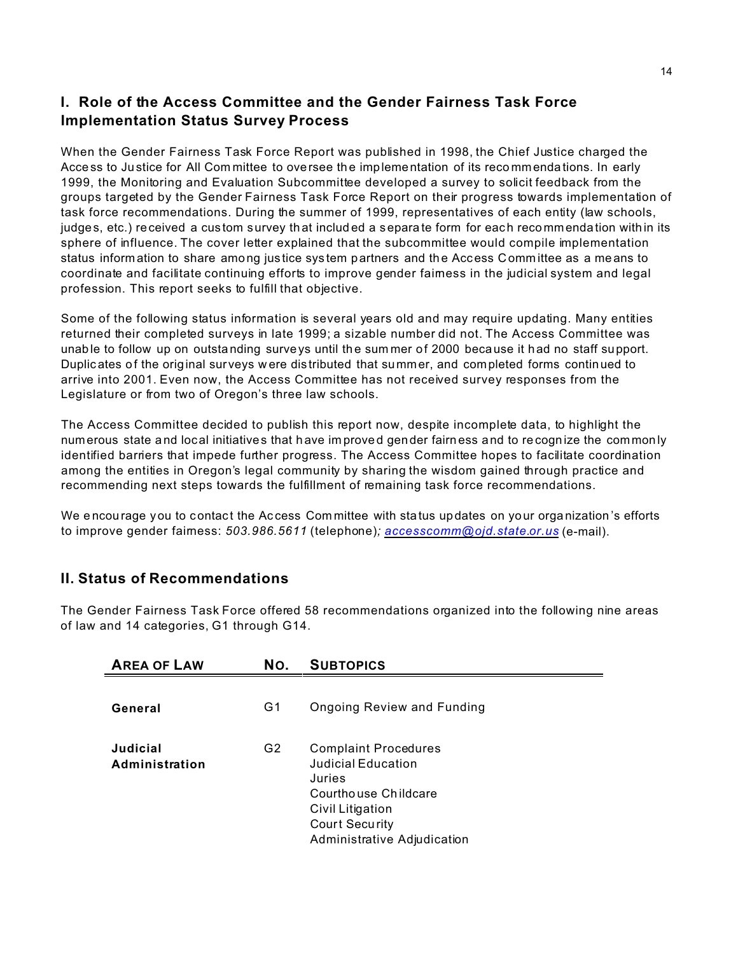# **I. Role of the Access Committee and the Gender Fairness Task Force Implementation Status Survey Process**

When the Gender Fairness Task Force Report was published in 1998, the Chief Justice charged the Acce ss to Ju stice for All Com mittee to oversee th e implementation of its reco mmenda tions. In early 1999, the Monitoring and Evaluation Subcommittee developed a survey to solicit feedback from the groups targeted by the Gender Fairness Task Force Report on their progress towards implementation of task force recommendations. During the summer of 1999, representatives of each entity (law schools, judges, etc.) received a custom survey that included a separate form for each recommendation within its sphere of influence. The cover letter explained that the subcommittee would compile implementation status information to share among justice system partners and the Access Committee as a means to coordinate and facilitate continuing efforts to improve gender fairness in the judicial system and legal profession. This report seeks to fulfill that objective.

Some of the following status information is several years old and may require updating. Many entities returned their completed surveys in late 1999; a sizable number did not. The Access Committee was unable to follow up on outstanding surveys until the summer of 2000 because it had no staff support. Duplic ates of the orig inal sur veys w ere dis tributed that summer, and completed forms continued to arrive into 2001. Even now, the Access Committee has not received survey responses from the Legislature or from two of Oregon's three law schools.

The Access Committee decided to publish this report now, despite incomplete data, to highlight the num erous state and local initiatives that have im proved gen der fairn ess and to re cogn ize the common ly identified barriers that impede further progress. The Access Committee hopes to facilitate coordination among the entities in Oregon's legal community by sharing the wisdom gained through practice and recommending next steps towards the fulfillment of remaining task force recommendations.

We encourage you to contact the Access Committee with status updates on your organization's efforts to improve gender fairness: *503.986.5611* (telephone)*; accesscomm@ojd.state.or.us* (e-mail).

### **II. Status of Recommendations**

The Gender Fairness Task Force offered 58 recommendations organized into the following nine areas of law and 14 categories, G1 through G14.

| <b>AREA OF LAW</b>         | NO.            | <b>SUBTOPICS</b>                                                                                                                                                |
|----------------------------|----------------|-----------------------------------------------------------------------------------------------------------------------------------------------------------------|
| General                    | G1             | <b>Ongoing Review and Funding</b>                                                                                                                               |
| Judicial<br>Administration | G <sub>2</sub> | <b>Complaint Procedures</b><br>Judicial Education<br>Juries<br>Courthouse Childcare<br>Civil Litigation<br><b>Court Security</b><br>Administrative Adjudication |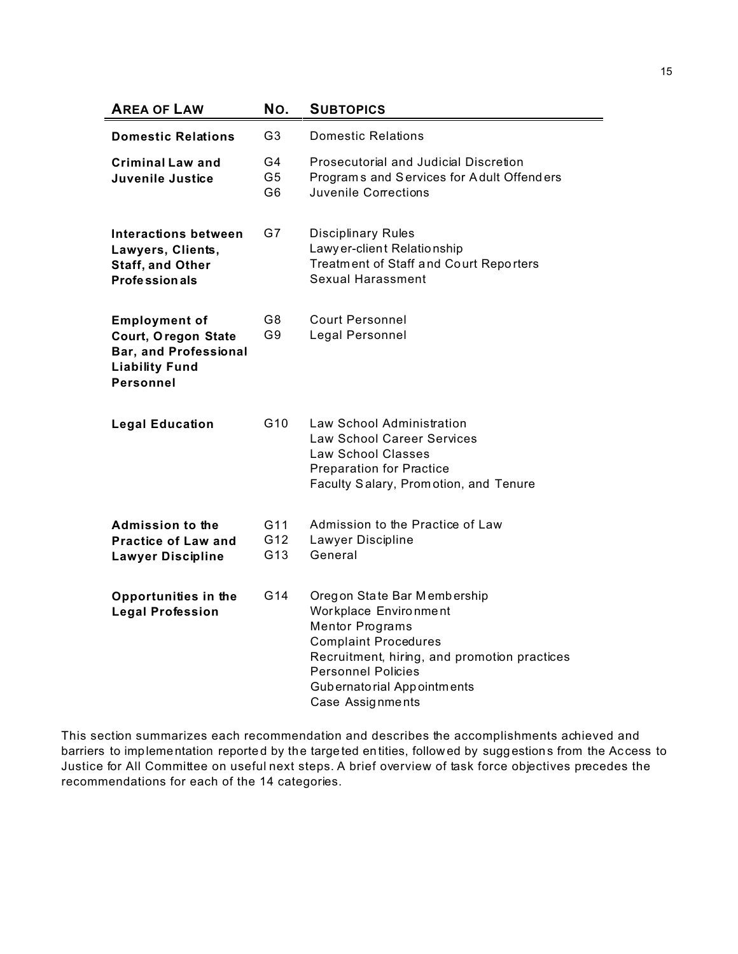| <b>AREA OF LAW</b>                                                                                                              | No.                           | <b>SUBTOPICS</b>                                                                                                                                                                                                                             |
|---------------------------------------------------------------------------------------------------------------------------------|-------------------------------|----------------------------------------------------------------------------------------------------------------------------------------------------------------------------------------------------------------------------------------------|
| <b>Domestic Relations</b>                                                                                                       | G3                            | <b>Domestic Relations</b>                                                                                                                                                                                                                    |
| <b>Criminal Law and</b><br>Juvenile Justice                                                                                     | G4<br>G <sub>5</sub><br>G6    | Prosecutorial and Judicial Discretion<br>Programs and Services for Adult Offenders<br>Juvenile Corrections                                                                                                                                   |
| Interactions between<br>Lawyers, Clients,<br><b>Staff, and Other</b><br><b>Professionals</b>                                    | G7                            | <b>Disciplinary Rules</b><br>Lawy er-client Relationship<br>Treatment of Staff and Court Reporters<br>Sexual Harassment                                                                                                                      |
| <b>Employment of</b><br><b>Court, Oregon State</b><br><b>Bar, and Professional</b><br><b>Liability Fund</b><br><b>Personnel</b> | G8<br>G9                      | <b>Court Personnel</b><br>Legal Personnel                                                                                                                                                                                                    |
| <b>Legal Education</b>                                                                                                          | G <sub>10</sub>               | Law School Administration<br><b>Law School Career Services</b><br>Law School Classes<br><b>Preparation for Practice</b><br>Faculty Salary, Promotion, and Tenure                                                                             |
| <b>Admission to the</b><br><b>Practice of Law and</b><br><b>Lawyer Discipline</b>                                               | G11<br>G12<br>G <sub>13</sub> | Admission to the Practice of Law<br>Lawyer Discipline<br>General                                                                                                                                                                             |
| Opportunities in the<br><b>Legal Profession</b>                                                                                 | G <sub>14</sub>               | Oregon State Bar Membership<br>Workplace Environment<br><b>Mentor Programs</b><br><b>Complaint Procedures</b><br>Recruitment, hiring, and promotion practices<br><b>Personnel Policies</b><br>Gubernatorial Appointments<br>Case Assignments |

This section summarizes each recommendation and describes the accomplishments achieved and barriers to implementation reported by the targeted entities, followed by suggestions from the Access to Justice for All Committee on useful next steps. A brief overview of task force objectives precedes the recommendations for each of the 14 categories.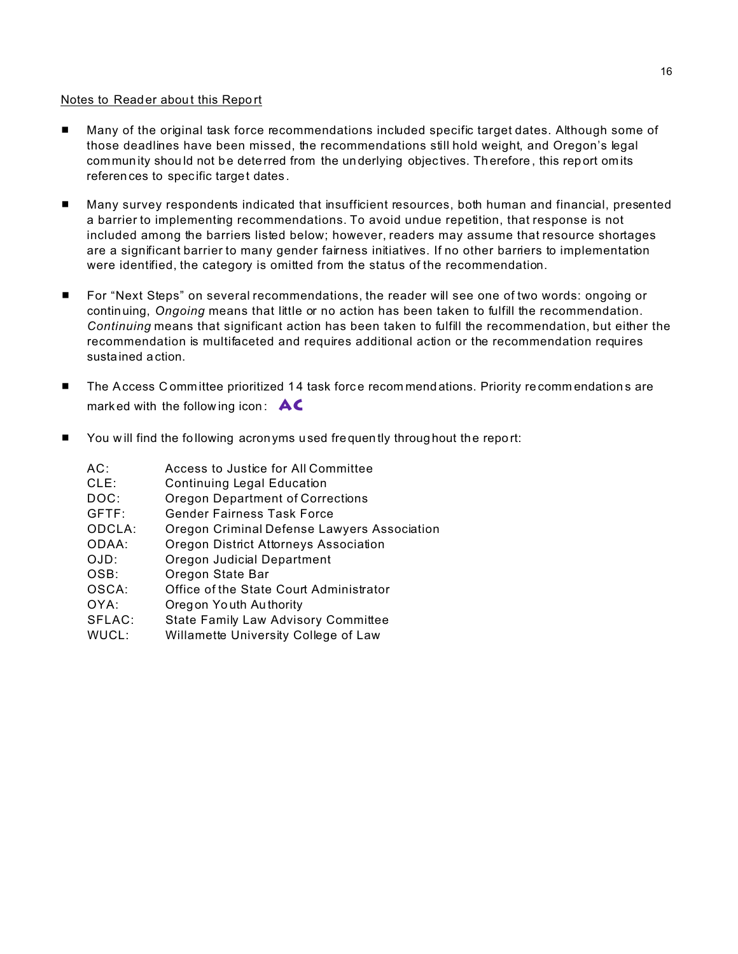#### Notes to Read er about this Report

- Many of the original task force recommendations included specific target dates. Although some of those deadlines have been missed, the recommendations still hold weight, and Oregon's legal commun ity shou ld not be dete rred from the un derlying objec tives. Th erefore , this report om its referen ces to spec ific target dates .
- Many survey respondents indicated that insufficient resources, both human and financial, presented a barrier to implementing recommendations. To avoid undue repetition, that response is not included among the barriers listed below; however, readers may assume that resource shortages are a significant barrier to many gender fairness initiatives. If no other barriers to implementation were identified, the category is omitted from the status of the recommendation.
- For "Next Steps" on several recommendations, the reader will see one of two words: ongoing or continuing, *Ongoing* means that little or no action has been taken to fulfill the recommendation. *Continuing* means that significant action has been taken to fulfill the recommendation, but either the recommendation is multifaceted and requires additional action or the recommendation requires sustained action.
- The Access C ommittee prioritized 14 task force recommend ations. Priority recommendations are mark ed with the follow ing icon : **AC**
- **E** You will find the following acron yms used frequently throug hout the report:

| AC:<br>$CLE$ :<br>DOC:<br>GFTF:<br>ODCLA:<br>ODAA:<br>OJD:<br>OSB:<br>OSCA:<br>OYA:<br>SFLAC: | Access to Justice for All Committee<br><b>Continuing Legal Education</b><br><b>Oregon Department of Corrections</b><br>Gender Fairness Task Force<br>Oregon Criminal Defense Lawyers Association<br>Oregon District Attorneys Association<br>Oregon Judicial Department<br>Oregon State Bar<br>Office of the State Court Administrator<br>Oregon Youth Authority |
|-----------------------------------------------------------------------------------------------|------------------------------------------------------------------------------------------------------------------------------------------------------------------------------------------------------------------------------------------------------------------------------------------------------------------------------------------------------------------|
| WUCL:                                                                                         | <b>State Family Law Advisory Committee</b><br>Willamette University College of Law                                                                                                                                                                                                                                                                               |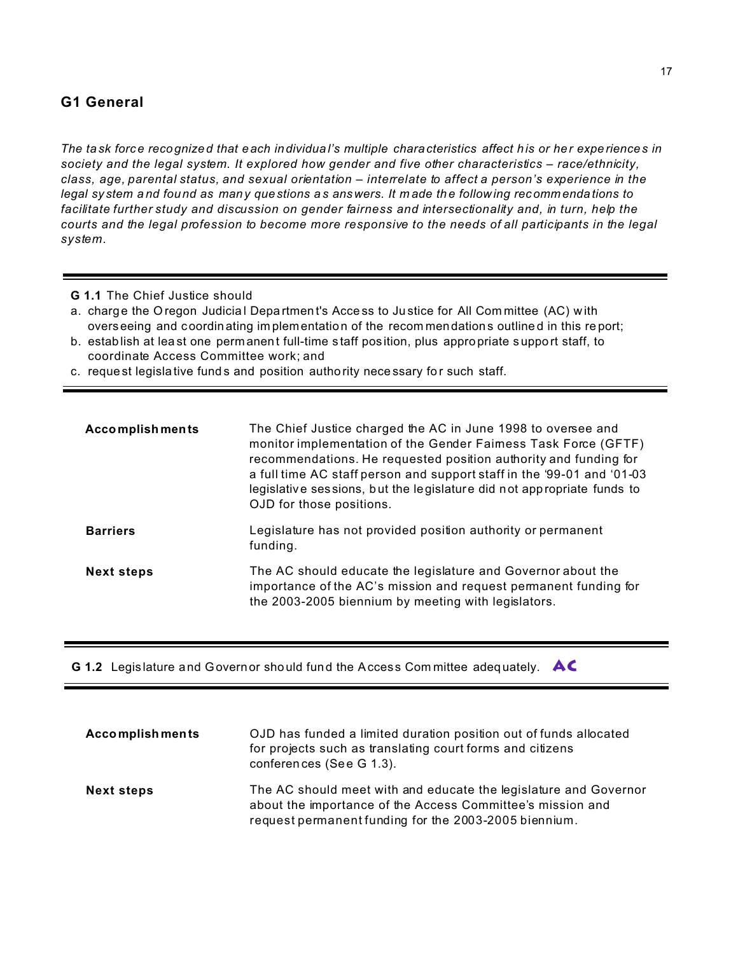# **G1 General**

*The ta sk force reco gnized that e ach individua l's multiple chara cteristics affect his or her expe riences in society and the legal system. It explored how gender and five other characteristics – race/ethnicity, class, age, parental status, and sexual orientation – interrelate to affect a person's experience in the legal sy stem a nd fou nd as many questions a s answers. It m ade th e follow ing recomm enda tions to facilitate further study and discussion on gender fairness and intersectionality and, in turn, help the courts and the legal profession to become more responsive to the needs of all participants in the legal system.*

- **G 1.1** The Chief Justice should
- a. charge the Oregon Judicial Department's Access to Justice for All Committee (AC) with overseeing and coordin ating im plementation of the recom men dations outline d in this re port;
- b. establish at lea st one perm anen t full-time s taff pos ition, plus appro priate suppo rt staff, to coordinate Access Committee work; and
- c. reque st legisla tive fund s and position autho rity nece ssary fo r such staff.

| Accomplishments   | The Chief Justice charged the AC in June 1998 to oversee and<br>monitor implementation of the Gender Faimess Task Force (GFTF)<br>recommendations. He requested position authority and funding for<br>a full time AC staff person and support staff in the '99-01 and '01-03<br>legislative sessions, but the legislature did not appropriate funds to<br>OJD for those positions. |
|-------------------|------------------------------------------------------------------------------------------------------------------------------------------------------------------------------------------------------------------------------------------------------------------------------------------------------------------------------------------------------------------------------------|
| <b>Barriers</b>   | Legislature has not provided position authority or permanent<br>funding.                                                                                                                                                                                                                                                                                                           |
| <b>Next steps</b> | The AC should educate the legislature and Governor about the<br>importance of the AC's mission and request permanent funding for<br>the 2003-2005 biennium by meeting with legislators.                                                                                                                                                                                            |

**G 1.2** Legis lature a nd Governor sho uld fund the Acces s Com mittee adeq uately. **AC**

| <b>Accomplishments</b> | OJD has funded a limited duration position out of funds allocated<br>for projects such as translating court forms and citizens<br>conferences (See G 1.3).                              |
|------------------------|-----------------------------------------------------------------------------------------------------------------------------------------------------------------------------------------|
| <b>Next steps</b>      | The AC should meet with and educate the legislature and Governor<br>about the importance of the Access Committee's mission and<br>request permanent funding for the 2003-2005 biennium. |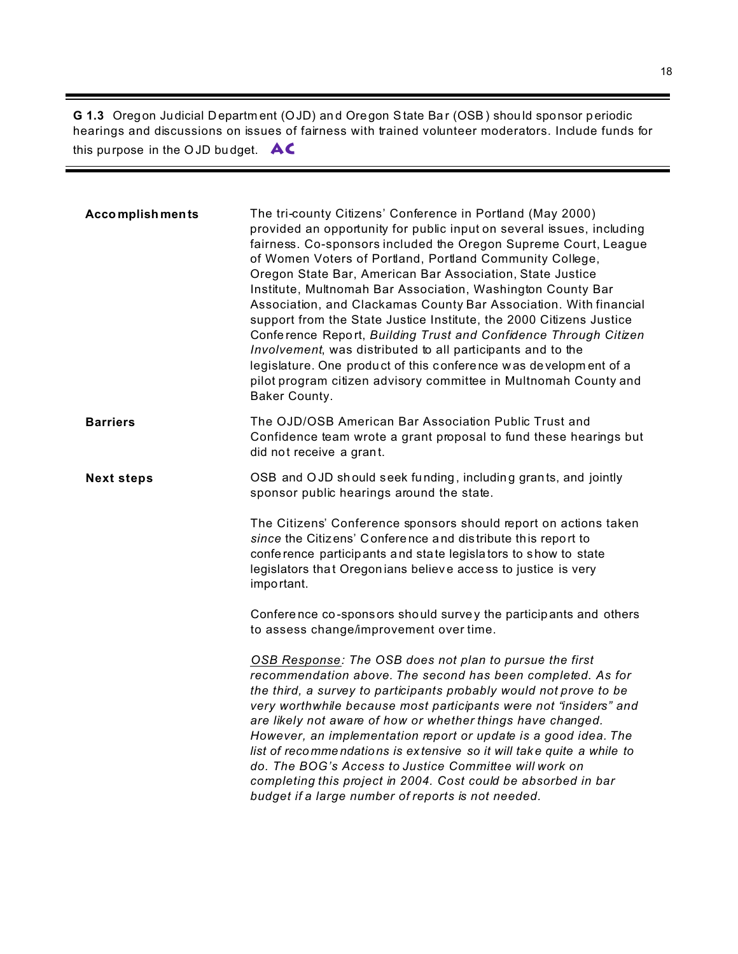**G 1.3** Oregon Judicial Departm ent (OJD) an d Oregon State Ba r (OSB) shou ld sponsor p eriodic hearings and discussions on issues of fairness with trained volunteer moderators. Include funds for this purpose in the OJD bu dget. **AC**

| <b>Accomplishments</b> | The tri-county Citizens' Conference in Portland (May 2000)<br>provided an opportunity for public input on several issues, including<br>fairness. Co-sponsors included the Oregon Supreme Court, League<br>of Women Voters of Portland, Portland Community College,<br>Oregon State Bar, American Bar Association, State Justice<br>Institute, Multnomah Bar Association, Washington County Bar<br>Association, and Clackamas County Bar Association. With financial<br>support from the State Justice Institute, the 2000 Citizens Justice<br>Conference Report, Building Trust and Confidence Through Citizen<br>Involvement, was distributed to all participants and to the<br>legislature. One product of this conference was development of a<br>pilot program citizen advisory committee in Multnomah County and<br>Baker County. |
|------------------------|----------------------------------------------------------------------------------------------------------------------------------------------------------------------------------------------------------------------------------------------------------------------------------------------------------------------------------------------------------------------------------------------------------------------------------------------------------------------------------------------------------------------------------------------------------------------------------------------------------------------------------------------------------------------------------------------------------------------------------------------------------------------------------------------------------------------------------------|
| <b>Barriers</b>        | The OJD/OSB American Bar Association Public Trust and<br>Confidence team wrote a grant proposal to fund these hearings but<br>did not receive a grant.                                                                                                                                                                                                                                                                                                                                                                                                                                                                                                                                                                                                                                                                                 |
| <b>Next steps</b>      | OSB and OJD should seek funding, including grants, and jointly<br>sponsor public hearings around the state.                                                                                                                                                                                                                                                                                                                                                                                                                                                                                                                                                                                                                                                                                                                            |
|                        | The Citizens' Conference sponsors should report on actions taken<br>since the Citizens' Conference and distribute this report to<br>conference participants and state legislators to show to state<br>legislators that Oregonians believe access to justice is very<br>important.                                                                                                                                                                                                                                                                                                                                                                                                                                                                                                                                                      |
|                        | Conference co-sponsors should survey the participants and others<br>to assess change/improvement over time.                                                                                                                                                                                                                                                                                                                                                                                                                                                                                                                                                                                                                                                                                                                            |
|                        | OSB Response: The OSB does not plan to pursue the first<br>recommendation above. The second has been completed. As for<br>the third, a survey to participants probably would not prove to be<br>very worthwhile because most participants were not "insiders" and<br>are likely not aware of how or whether things have changed.<br>However, an implementation report or update is a good idea. The<br>list of recommendations is extensive so it will take quite a while to<br>do. The BOG's Access to Justice Committee will work on<br>completing this project in 2004. Cost could be absorbed in bar<br>budget if a large number of reports is not needed.                                                                                                                                                                         |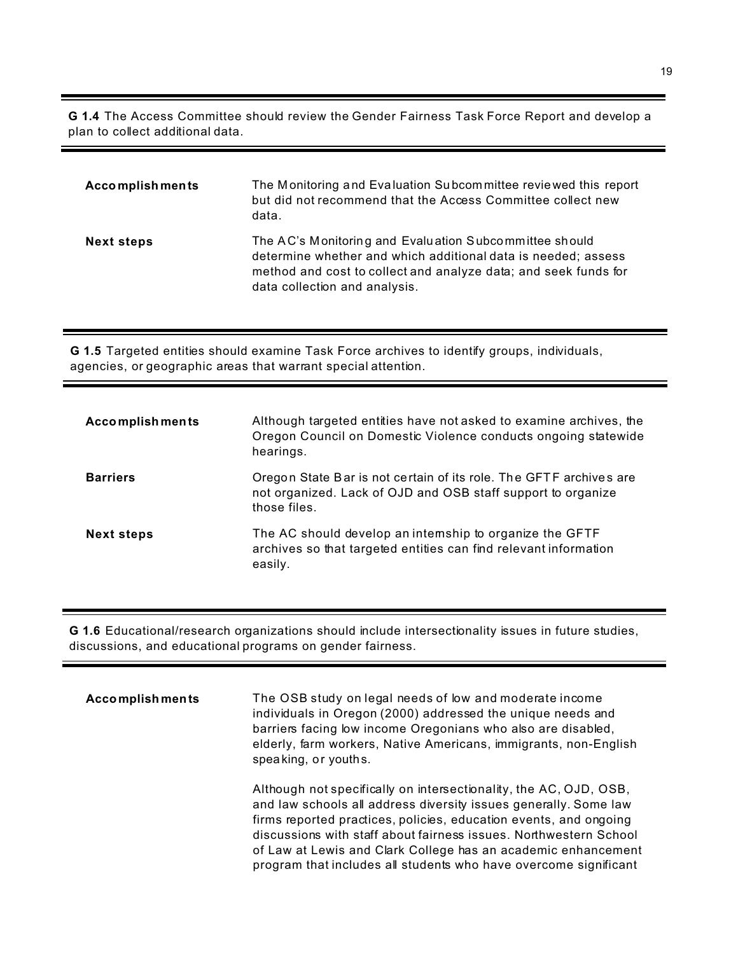**G 1.4** The Access Committee should review the Gender Fairness Task Force Report and develop a plan to collect additional data.

| <b>Accomplishments</b> | The Monitoring and Evaluation Subcommittee reviewed this report<br>but did not recommend that the Access Committee collect new<br>data.                                                                                     |
|------------------------|-----------------------------------------------------------------------------------------------------------------------------------------------------------------------------------------------------------------------------|
| <b>Next steps</b>      | The AC's Monitoring and Evaluation Subcommittee should<br>determine whether and which additional data is needed; assess<br>method and cost to collect and analyze data; and seek funds for<br>data collection and analysis. |

**G 1.5** Targeted entities should examine Task Force archives to identify groups, individuals, agencies, or geographic areas that warrant special attention.

| <b>Accomplishments</b> | Although targeted entities have not asked to examine archives, the<br>Oregon Council on Domestic Violence conducts ongoing statewide<br>hearings.  |
|------------------------|----------------------------------------------------------------------------------------------------------------------------------------------------|
| <b>Barriers</b>        | Oregon State Bar is not certain of its role. The GFTF archives are<br>not organized. Lack of OJD and OSB staff support to organize<br>those files. |
| <b>Next steps</b>      | The AC should develop an intemship to organize the GFTF<br>archives so that targeted entities can find relevant information<br>easily.             |

**G 1.6** Educational/research organizations should include intersectionality issues in future studies, discussions, and educational programs on gender fairness.

| <b>Accomplishments</b> | The OSB study on legal needs of low and moderate income<br>individuals in Oregon (2000) addressed the unique needs and<br>barriers facing low income Oregonians who also are disabled,<br>elderly, farm workers, Native Americans, immigrants, non-English<br>speaking, or youths.                                                                                                                                   |
|------------------------|----------------------------------------------------------------------------------------------------------------------------------------------------------------------------------------------------------------------------------------------------------------------------------------------------------------------------------------------------------------------------------------------------------------------|
|                        | Although not specifically on intersectionality, the AC, OJD, OSB,<br>and law schools all address diversity issues generally. Some law<br>firms reported practices, policies, education events, and ongoing<br>discussions with staff about fairness issues. Northwestern School<br>of Law at Lewis and Clark College has an academic enhancement<br>program that includes all students who have overcome significant |

▀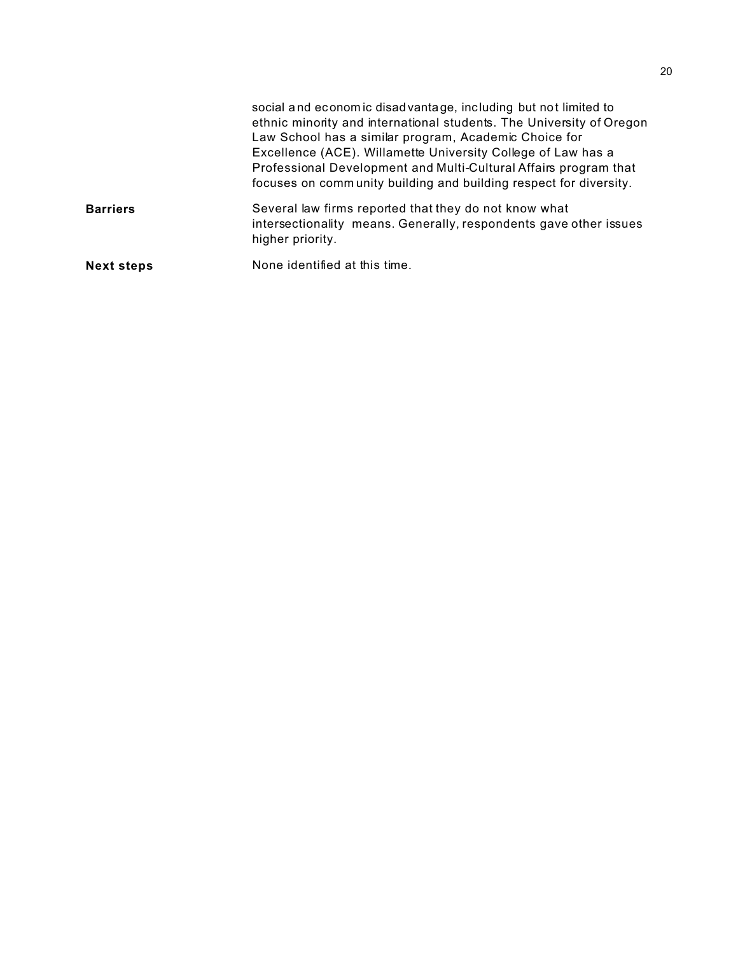|                   | social and economic disadvantage, including but not limited to<br>ethnic minority and international students. The University of Oregon<br>Law School has a similar program, Academic Choice for<br>Excellence (ACE). Willamette University College of Law has a<br>Professional Development and Multi-Cultural Affairs program that<br>focuses on community building and building respect for diversity. |
|-------------------|----------------------------------------------------------------------------------------------------------------------------------------------------------------------------------------------------------------------------------------------------------------------------------------------------------------------------------------------------------------------------------------------------------|
| <b>Barriers</b>   | Several law firms reported that they do not know what<br>intersectionality means. Generally, respondents gave other issues<br>higher priority.                                                                                                                                                                                                                                                           |
| <b>Next steps</b> | None identified at this time.                                                                                                                                                                                                                                                                                                                                                                            |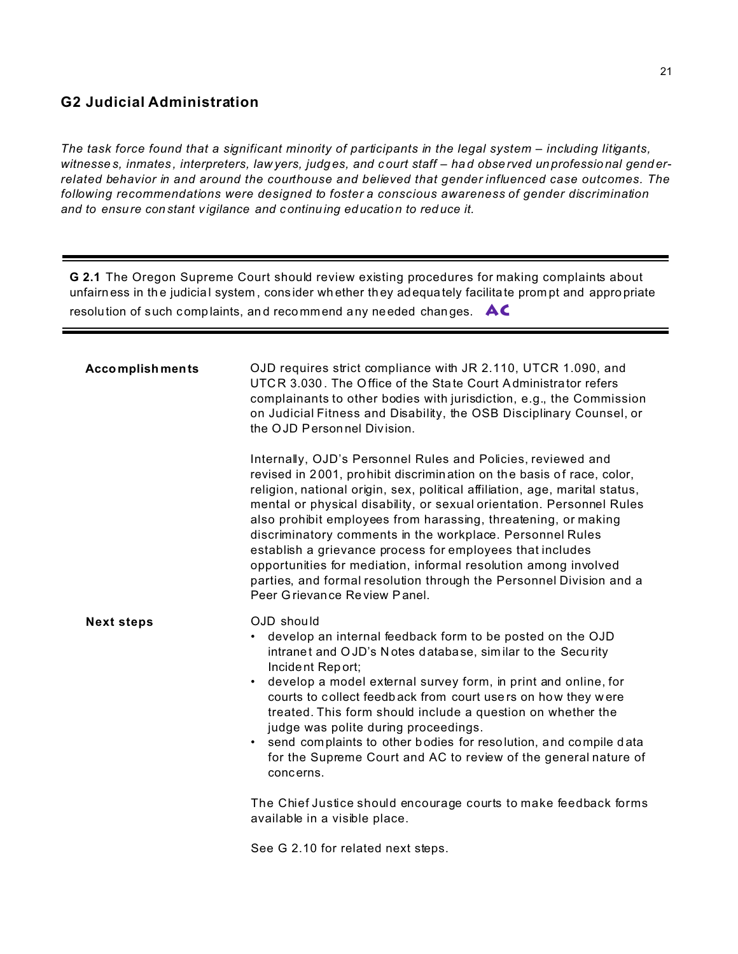# **G2 Judicial Administration**

The task force found that a significant minority of participants in the legal system – including litigants, witnesses, inmates, interpreters, law yers, judges, and court staff - had observed unprofessional genderrelated behavior in and around the courthouse and believed that gender influenced case outcomes. The following recommendations were designed to foster a conscious awareness of gender discrimination and to ensure constant vigilance and continuing education to reduce it.

G 2.1 The Oregon Supreme Court should review existing procedures for making complaints about unfairness in the judicial system, consider whether they adequately facilitate prompt and appropriate resolution of such complaints, and recommend any needed changes.  $\mathsf{AC}$ 

| <b>Accomplishments</b> | OJD requires strict compliance with JR 2.110, UTCR 1.090, and<br>UTCR 3.030. The Office of the State Court Administrator refers<br>complainants to other bodies with jurisdiction, e.g., the Commission<br>on Judicial Fitness and Disability, the OSB Disciplinary Counsel, or<br>the OJD Personnel Division.                                                                                                                                                                                                                                                                                                                                                      |
|------------------------|---------------------------------------------------------------------------------------------------------------------------------------------------------------------------------------------------------------------------------------------------------------------------------------------------------------------------------------------------------------------------------------------------------------------------------------------------------------------------------------------------------------------------------------------------------------------------------------------------------------------------------------------------------------------|
|                        | Internally, OJD's Personnel Rules and Policies, reviewed and<br>revised in 2001, prohibit discrimination on the basis of race, color,<br>religion, national origin, sex, political affiliation, age, marital status,<br>mental or physical disability, or sexual orientation. Personnel Rules<br>also prohibit employees from harassing, threatening, or making<br>discriminatory comments in the workplace. Personnel Rules<br>establish a grievance process for employees that includes<br>opportunities for mediation, informal resolution among involved<br>parties, and formal resolution through the Personnel Division and a<br>Peer Grievance Review Panel. |
| <b>Next steps</b>      | OJD should<br>develop an internal feedback form to be posted on the OJD<br>intranet and OJD's Notes database, similar to the Security<br>Incident Report;<br>develop a model external survey form, in print and online, for<br>courts to collect feedback from court users on how they were<br>treated. This form should include a question on whether the<br>judge was polite during proceedings.<br>• send complaints to other bodies for resolution, and compile data<br>for the Supreme Court and AC to review of the general nature of<br>concerns.                                                                                                            |
|                        | The Chief Justice should encourage courts to make feedback forms<br>available in a visible place.                                                                                                                                                                                                                                                                                                                                                                                                                                                                                                                                                                   |
|                        | See G 2.10 for related next steps.                                                                                                                                                                                                                                                                                                                                                                                                                                                                                                                                                                                                                                  |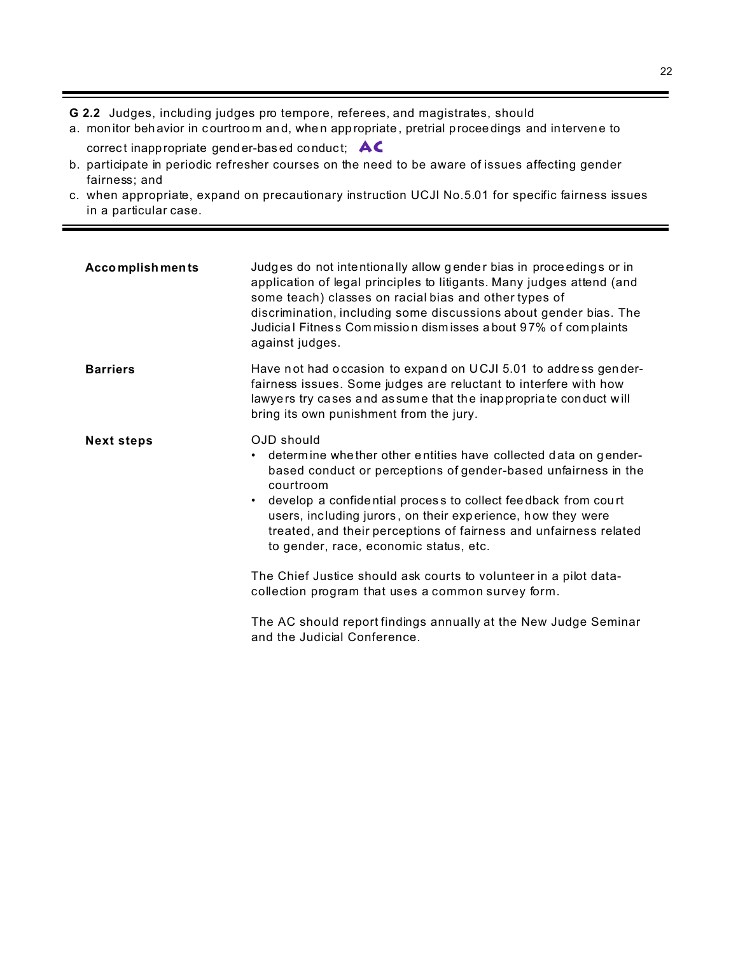**G 2.2** Judges, including judges pro tempore, referees, and magistrates, should

- a. monitor behavior in courtroom and, when appropriate, pretrial proceedings and intervene to correct inappropriate gend er-based conduct; **AC**
- b. participate in periodic refresher courses on the need to be aware of issues affecting gender fairness; and
- c. when appropriate, expand on precautionary instruction UCJl No.5.01 for specific fairness issues in a particular case.

| <b>Accomplishments</b> | Judges do not intentionally allow gender bias in proceedings or in<br>application of legal principles to litigants. Many judges attend (and<br>some teach) classes on racial bias and other types of<br>discrimination, including some discussions about gender bias. The<br>Judicial Fitness Commission dismisses about 97% of complaints<br>against judges.                                                                                                                                                                                                                                                                                  |
|------------------------|------------------------------------------------------------------------------------------------------------------------------------------------------------------------------------------------------------------------------------------------------------------------------------------------------------------------------------------------------------------------------------------------------------------------------------------------------------------------------------------------------------------------------------------------------------------------------------------------------------------------------------------------|
| <b>Barriers</b>        | Have not had occasion to expand on UCJI 5.01 to address gender-<br>fairness issues. Some judges are reluctant to interfere with how<br>lawyers try cases and assume that the inappropriate conduct will<br>bring its own punishment from the jury.                                                                                                                                                                                                                                                                                                                                                                                             |
| <b>Next steps</b>      | OJD should<br>determine whether other entities have collected data on gender-<br>٠<br>based conduct or perceptions of gender-based unfairness in the<br>courtroom<br>develop a confidential process to collect feedback from court<br>users, including jurors, on their experience, how they were<br>treated, and their perceptions of fairness and unfairness related<br>to gender, race, economic status, etc.<br>The Chief Justice should ask courts to volunteer in a pilot data-<br>collection program that uses a common survey form.<br>The AC should report findings annually at the New Judge Seminar<br>and the Judicial Conference. |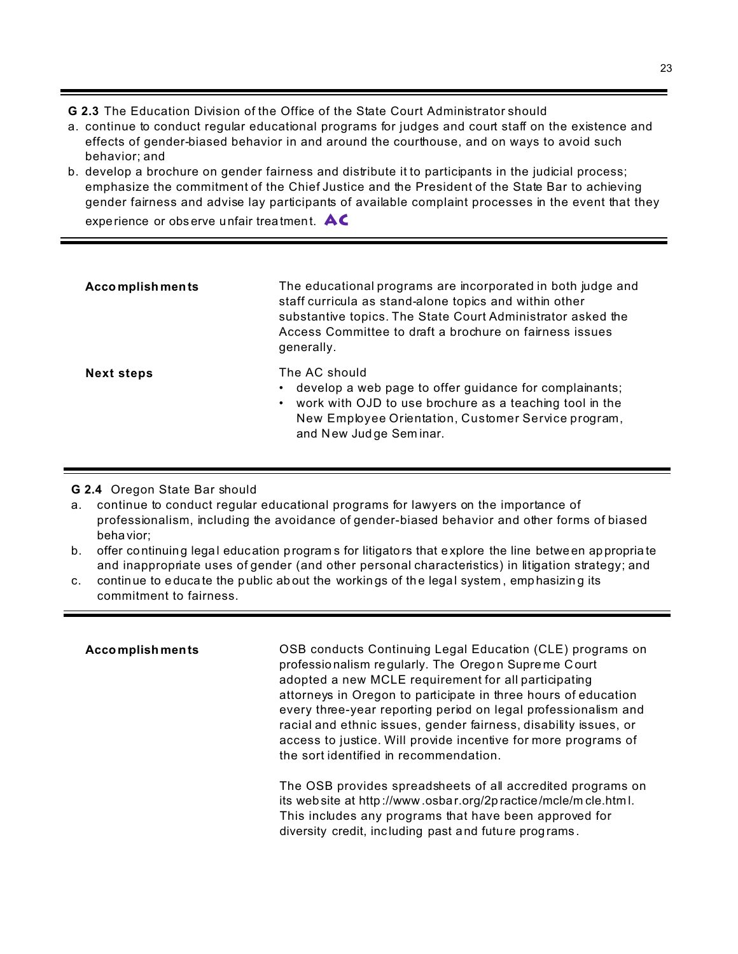**G 2.3** The Education Division of the Office of the State Court Administrator should

- a. continue to conduct regular educational programs for judges and court staff on the existence and effects of gender-biased behavior in and around the courthouse, and on ways to avoid such behavior; and
- b. develop a brochure on gender fairness and distribute it to participants in the judicial process; emphasize the commitment of the Chief Justice and the President of the State Bar to achieving gender fairness and advise lay participants of available complaint processes in the event that they experience or obs erve unfair trea tment. **AC**

| <b>Accomplishments</b> | The educational programs are incorporated in both judge and<br>staff curricula as stand-alone topics and within other<br>substantive topics. The State Court Administrator asked the<br>Access Committee to draft a brochure on fairness issues<br>generally. |
|------------------------|---------------------------------------------------------------------------------------------------------------------------------------------------------------------------------------------------------------------------------------------------------------|
| <b>Next steps</b>      | The AC should<br>• develop a web page to offer guidance for complainants;<br>• work with OJD to use brochure as a teaching tool in the<br>New Employee Orientation, Customer Service program,<br>and New Judge Seminar.                                       |

### **G 2.4** Oregon State Bar should

- a. continue to conduct regular educational programs for lawyers on the importance of professionalism, including the avoidance of gender-biased behavior and other forms of biased beha vior;
- b. offer co ntinuing legal education program s for litigato rs that e xplore the line betwe en ap propria te and inappropriate uses of gender (and other personal characteristics) in litigation strategy; and
- c. continue to educate the public ab out the workings of the legal system, emphasizing its commitment to fairness.

| <b>Accomplishments</b> | OSB conducts Continuing Legal Education (CLE) programs on<br>professionalism regularly. The Oregon Supreme Court<br>adopted a new MCLE requirement for all participating<br>attorneys in Oregon to participate in three hours of education<br>every three-year reporting period on legal professionalism and<br>racial and ethnic issues, gender fairness, disability issues, or<br>access to justice. Will provide incentive for more programs of<br>the sort identified in recommendation. |
|------------------------|----------------------------------------------------------------------------------------------------------------------------------------------------------------------------------------------------------------------------------------------------------------------------------------------------------------------------------------------------------------------------------------------------------------------------------------------------------------------------------------------|
|                        | The OSB provides spreadsheets of all accredited programs on<br>its web site at http://www.osbar.org/2practice/mcle/mcle.html.<br>This includes any programs that have been approved for<br>diversity credit, including past and future programs.                                                                                                                                                                                                                                             |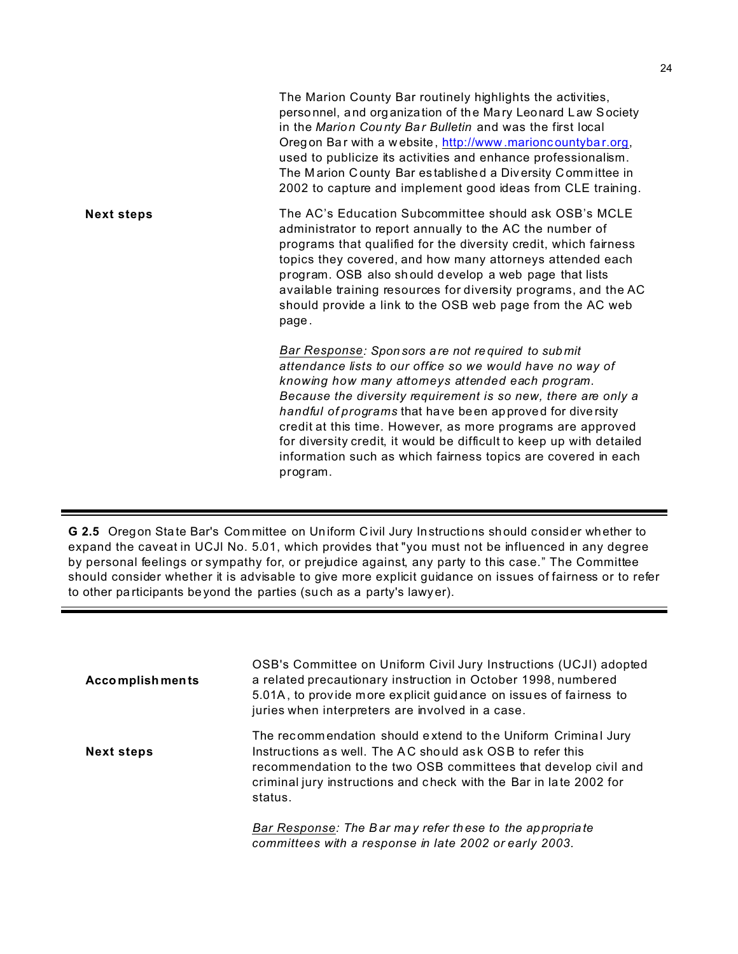The Marion County Bar routinely highlights the activities, perso nnel, and org anization of the Mary Leonard L aw Society in the *Marion Cou nty Ba r Bulletin* and was the first local Oregon Bar with a w ebsite, http://www.marioncountybar.org, used to publicize its activities and enhance professionalism. The M arion C ounty Bar es tablishe d a Div ersity Comm ittee in 2002 to capture and implement good ideas from CLE training. **Next steps** The AC's Education Subcommittee should ask OSB's MCLE administrator to report annually to the AC the number of programs that qualified for the diversity credit, which fairness topics they covered, and how many attorneys attended each program. OSB also sh ould develop a web page that lists available training resources for diversity programs, and the AC should provide a link to the OSB web page from the AC web page . *Bar Response: Spon sors are not re quired to submit attendance lists to our office so we would have no way of knowing how many attorneys attended each program. Because the diversity requirement is so new, there are only a handful of programs* that ha ve been ap proved for dive rsity credit at this time. However, as more programs are approved for diversity credit, it would be difficult to keep up with detailed information such as which fairness topics are covered in each program.

**G 2.5** Oregon Sta te Bar's Com mittee on Un iform C ivil Jury Instructions should consider whether to expand the caveat in UCJl No. 5.01, which provides that "you must not be influenced in any degree by personal feelings or sympathy for, or prejudice against, any party to this case." The Committee should consider whether it is advisable to give more explicit guidance on issues of fairness or to refer to other pa rticipants be yond the parties (such as a party's lawy er).

| <b>Accomplishments</b> | OSB's Committee on Uniform Civil Jury Instructions (UCJI) adopted<br>a related precautionary instruction in October 1998, numbered<br>5.01A, to provide more explicit guidance on issues of fairness to<br>juries when interpreters are involved in a case.                    |
|------------------------|--------------------------------------------------------------------------------------------------------------------------------------------------------------------------------------------------------------------------------------------------------------------------------|
| <b>Next steps</b>      | The recommendation should extend to the Uniform Criminal Jury<br>Instructions as well. The AC should ask OSB to refer this<br>recommendation to the two OSB committees that develop civil and<br>criminal jury instructions and check with the Bar in late 2002 for<br>status. |
|                        | Bar Response: The Bar may refer these to the appropriate<br>committees with a response in late 2002 or early 2003.                                                                                                                                                             |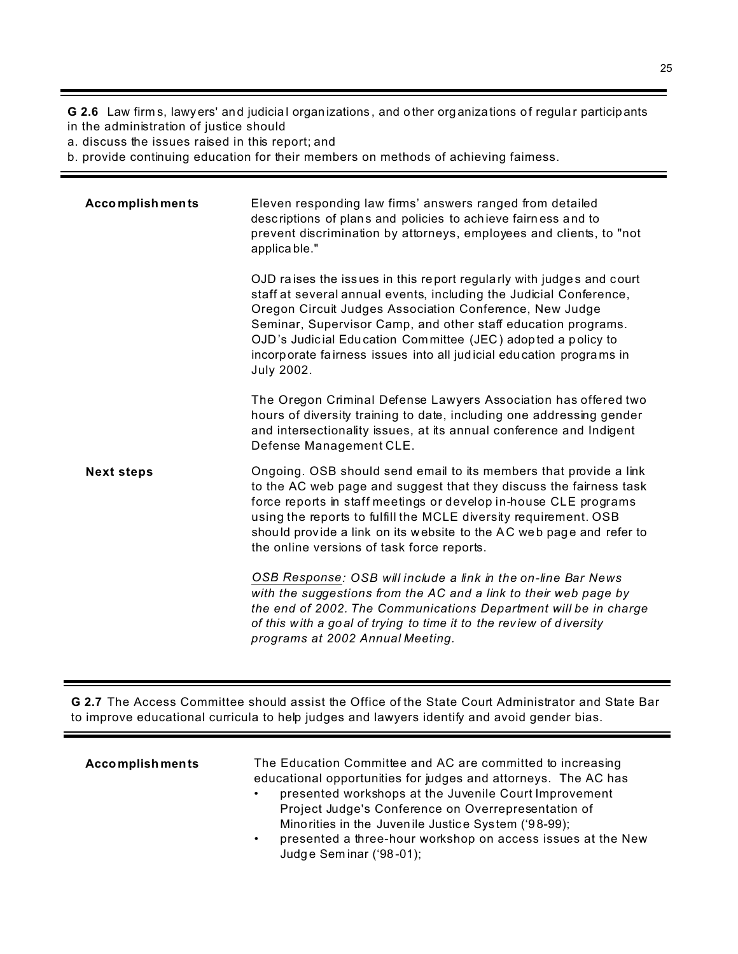**G 2.6** Law firm s, lawyers' and judicia l organ izations , and o ther org anizations of regula r participants in the administration of justice should

a. discuss the issues raised in this report; and

b. provide continuing education for their members on methods of achieving fairness.

| <b>Accomplishments</b> | Eleven responding law firms' answers ranged from detailed<br>descriptions of plans and policies to achieve fairness and to<br>prevent discrimination by attorneys, employees and clients, to "not<br>applicable."                                                                                                                                                                                                                  |
|------------------------|------------------------------------------------------------------------------------------------------------------------------------------------------------------------------------------------------------------------------------------------------------------------------------------------------------------------------------------------------------------------------------------------------------------------------------|
|                        | OJD raises the issues in this report regularly with judges and court<br>staff at several annual events, including the Judicial Conference,<br>Oregon Circuit Judges Association Conference, New Judge<br>Seminar, Supervisor Camp, and other staff education programs.<br>OJD's Judicial Education Committee (JEC) adopted a policy to<br>incorporate fairness issues into all judicial education programs in<br><b>July 2002.</b> |
|                        | The Oregon Criminal Defense Lawyers Association has offered two<br>hours of diversity training to date, including one addressing gender<br>and intersectionality issues, at its annual conference and Indigent<br>Defense Management CLE.                                                                                                                                                                                          |
| <b>Next steps</b>      | Ongoing. OSB should send email to its members that provide a link<br>to the AC web page and suggest that they discuss the fairness task<br>force reports in staff meetings or develop in-house CLE programs<br>using the reports to fulfill the MCLE diversity requirement. OSB<br>should provide a link on its website to the AC web page and refer to<br>the online versions of task force reports.                              |
|                        | OSB Response: OSB will include a link in the on-line Bar News<br>with the suggestions from the AC and a link to their web page by<br>the end of 2002. The Communications Department will be in charge<br>of this with a goal of trying to time it to the review of diversity<br>programs at 2002 Annual Meeting.                                                                                                                   |

**G 2.7** The Access Committee should assist the Office of the State Court Administrator and State Bar to improve educational curricula to help judges and lawyers identify and avoid gender bias.

| <b>Accomplishments</b> | The Education Committee and AC are committed to increasing<br>educational opportunities for judges and attorneys. The AC has<br>presented workshops at the Juvenile Court Improvement<br>Project Judge's Conference on Overrepresentation of<br>Minorities in the Juvenile Justice System ('98-99);<br>presented a three-hour workshop on access issues at the New<br>Judge Seminar ('98-01); |
|------------------------|-----------------------------------------------------------------------------------------------------------------------------------------------------------------------------------------------------------------------------------------------------------------------------------------------------------------------------------------------------------------------------------------------|
|------------------------|-----------------------------------------------------------------------------------------------------------------------------------------------------------------------------------------------------------------------------------------------------------------------------------------------------------------------------------------------------------------------------------------------|

 $\equiv$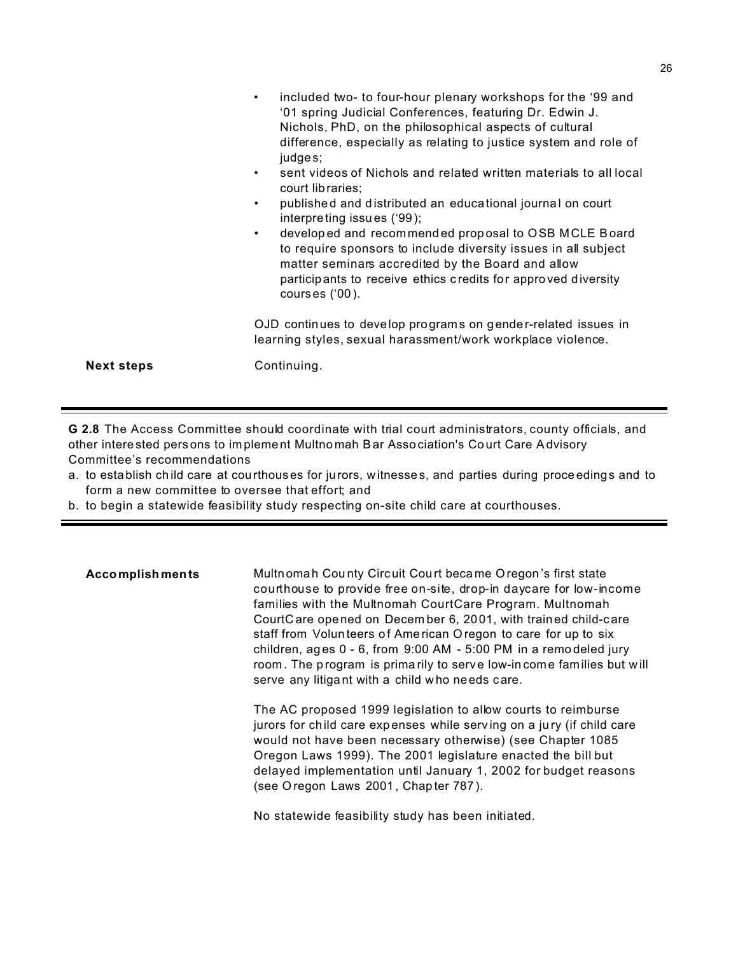|                   | included two- to four-hour plenary workshops for the '99 and<br>$\bullet$<br>'01 spring Judicial Conferences, featuring Dr. Edwin J.<br>Nichols, PhD, on the philosophical aspects of cultural<br>difference, especially as relating to justice system and role of<br>judges;<br>sent videos of Nichols and related written materials to all local<br>$\bullet$<br>court libraries;<br>published and distributed an educational journal on court<br>$\bullet$<br>interpreting issues ('99);<br>developed and recommended proposal to OSB MCLE Board<br>$\bullet$<br>to require sponsors to include diversity issues in all subject<br>matter seminars accredited by the Board and allow<br>participants to receive ethics credits for approved diversity<br>courses $(00)$ . |
|-------------------|------------------------------------------------------------------------------------------------------------------------------------------------------------------------------------------------------------------------------------------------------------------------------------------------------------------------------------------------------------------------------------------------------------------------------------------------------------------------------------------------------------------------------------------------------------------------------------------------------------------------------------------------------------------------------------------------------------------------------------------------------------------------------|
|                   | OJD continues to develop programs on gender-related issues in<br>learning styles, sexual harassment/work workplace violence.                                                                                                                                                                                                                                                                                                                                                                                                                                                                                                                                                                                                                                                 |
| <b>Next steps</b> | Continuing.                                                                                                                                                                                                                                                                                                                                                                                                                                                                                                                                                                                                                                                                                                                                                                  |

**G 2.8** The Access Committee should coordinate with trial court administrators, county officials, and other intere sted pers ons to im plement Multno mah Bar Asso ciation's Co urt Care Advisory Committee's recommendations

- a. to establish ch ild care at courthous es for jurors, witnesse s, and parties during proce edings and to form a new committee to oversee that effort; and
- b. to begin a statewide feasibility study respecting on-site child care at courthouses.

**Accomplish ments** Multnomah County Circuit Court became O regon's first state courthouse to provide free on-site, drop-in daycare for low-income families with the Multnomah CourtCare Program. Multnomah CourtC are ope ned on Decem ber 6, 2001, with trained child-care staff from Volun teers of American Oregon to care for up to six children, ag es 0 - 6, from 9:00 AM - 5:00 PM in a remo deled jury room. The program is prima rily to serve low-in come families but will serve any litigant with a child who needs care.

> The AC proposed 1999 legislation to allow courts to reimburse jurors for child care expenses while serving on a jury (if child care would not have been necessary otherwise) (see Chapter 1085 Oregon Laws 1999). The 2001 legislature enacted the bill but delayed implementation until January 1, 2002 for budget reasons (see O regon Laws 2001 , Chap ter 787 ).

No statewide feasibility study has been initiated.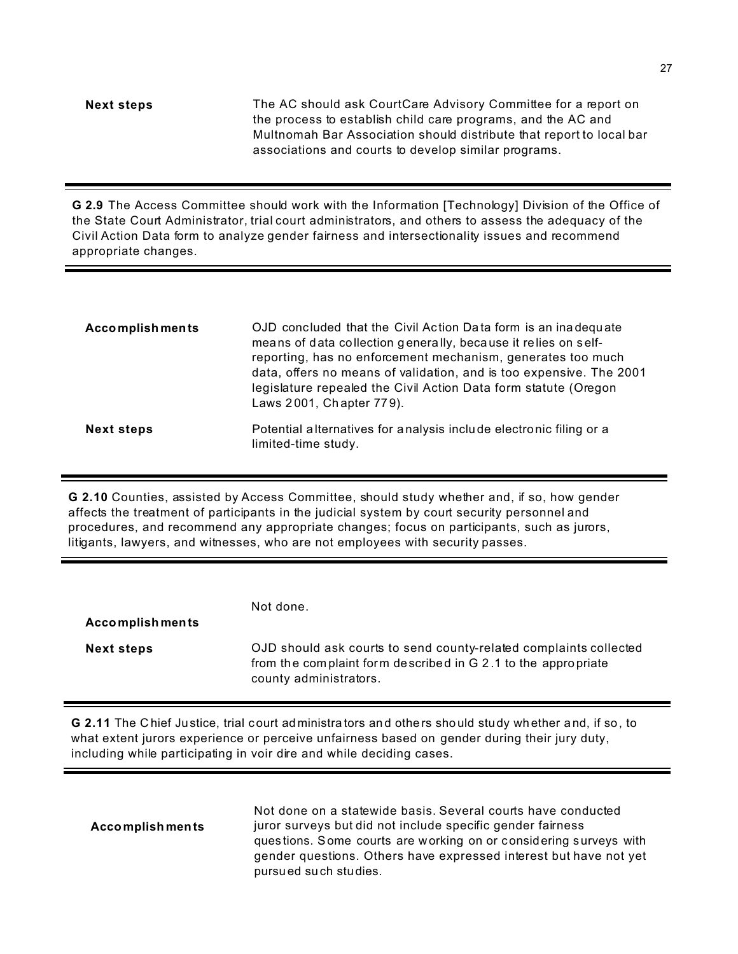**Next steps** The AC should ask CourtCare Advisory Committee for a report on the process to establish child care programs, and the AC and Multnomah Bar Association should distribute that report to local bar associations and courts to develop similar programs.

**G 2.9** The Access Committee should work with the Information [Technology] Division of the Office of the State Court Administrator, trial court administrators, and others to assess the adequacy of the Civil Action Data form to analyze gender fairness and intersectionality issues and recommend appropriate changes.

| <b>Accomplishments</b> | OJD concluded that the Civil Action Data form is an inadequate<br>means of data collection generally, because it relies on self-<br>reporting, has no enforcement mechanism, generates too much<br>data, offers no means of validation, and is too expensive. The 2001<br>legislature repealed the Civil Action Data form statute (Oregon<br>Laws 2001, Chapter 779). |
|------------------------|-----------------------------------------------------------------------------------------------------------------------------------------------------------------------------------------------------------------------------------------------------------------------------------------------------------------------------------------------------------------------|
| <b>Next steps</b>      | Potential alternatives for analysis include electronic filing or a<br>limited-time study.                                                                                                                                                                                                                                                                             |

**G 2.10** Counties, assisted by Access Committee, should study whether and, if so, how gender affects the treatment of participants in the judicial system by court security personnel and procedures, and recommend any appropriate changes; focus on participants, such as jurors, litigants, lawyers, and witnesses, who are not employees with security passes.

| <b>Accomplishments</b> | Not done.                                                                                                                                                    |
|------------------------|--------------------------------------------------------------------------------------------------------------------------------------------------------------|
| <b>Next steps</b>      | OJD should ask courts to send county-related complaints collected<br>from the complaint form described in G 2.1 to the appropriate<br>county administrators. |

**G 2.11** The C hief Justice, trial court ad ministra tors and others should study whether and, if so, to what extent jurors experience or perceive unfairness based on gender during their jury duty, including while participating in voir dire and while deciding cases.

| <b>Accomplishments</b> | Not done on a statewide basis. Several courts have conducted<br>juror surveys but did not include specific gender fairness<br>questions. Some courts are working on or considering surveys with<br>gender questions. Others have expressed interest but have not yet |
|------------------------|----------------------------------------------------------------------------------------------------------------------------------------------------------------------------------------------------------------------------------------------------------------------|
|                        | pursued such studies.                                                                                                                                                                                                                                                |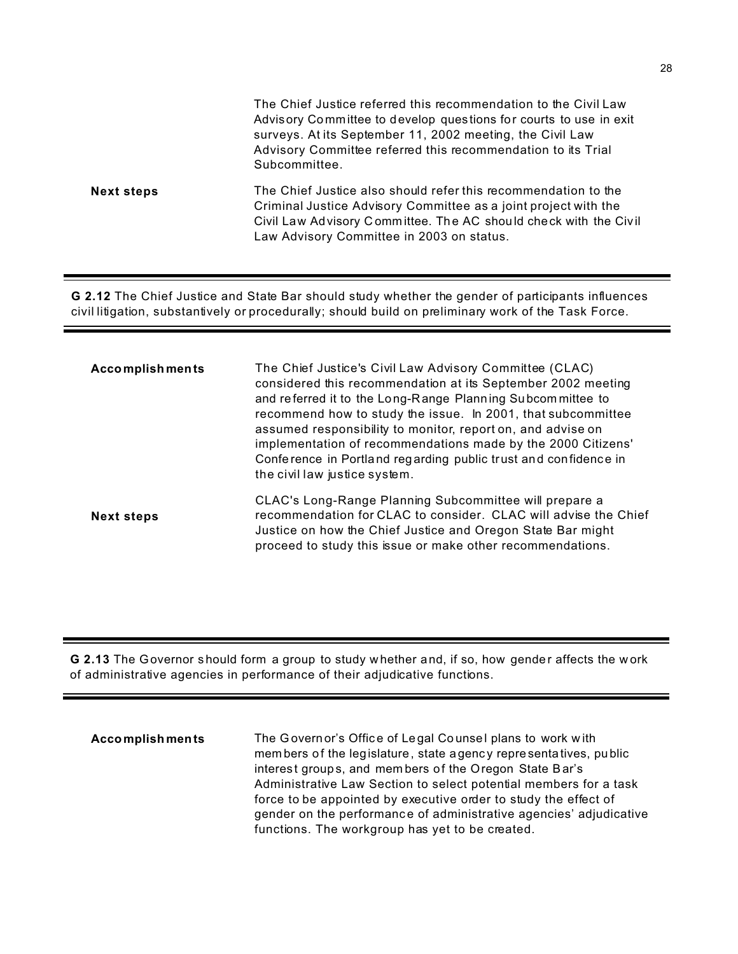|                   | The Chief Justice referred this recommendation to the Civil Law<br>Advisory Committee to develop questions for courts to use in exit<br>surveys. At its September 11, 2002 meeting, the Civil Law<br>Advisory Committee referred this recommendation to its Trial<br>Subcommittee. |
|-------------------|------------------------------------------------------------------------------------------------------------------------------------------------------------------------------------------------------------------------------------------------------------------------------------|
| <b>Next steps</b> | The Chief Justice also should refer this recommendation to the<br>Criminal Justice Advisory Committee as a joint project with the<br>Civil Law Advisory Committee. The AC should check with the Civil<br>Law Advisory Committee in 2003 on status.                                 |

**G 2.12** The Chief Justice and State Bar should study whether the gender of participants influences civil litigation, substantively or procedurally; should build on preliminary work of the Task Force.

| <b>Accomplishments</b> | The Chief Justice's Civil Law Advisory Committee (CLAC)<br>considered this recommendation at its September 2002 meeting<br>and referred it to the Long-Range Planning Subcommittee to<br>recommend how to study the issue. In 2001, that subcommittee<br>assumed responsibility to monitor, report on, and advise on<br>implementation of recommendations made by the 2000 Citizens'<br>Conference in Portland regarding public trust and confidence in<br>the civil law justice system. |
|------------------------|------------------------------------------------------------------------------------------------------------------------------------------------------------------------------------------------------------------------------------------------------------------------------------------------------------------------------------------------------------------------------------------------------------------------------------------------------------------------------------------|
| <b>Next steps</b>      | CLAC's Long-Range Planning Subcommittee will prepare a<br>recommendation for CLAC to consider. CLAC will advise the Chief<br>Justice on how the Chief Justice and Oregon State Bar might<br>proceed to study this issue or make other recommendations.                                                                                                                                                                                                                                   |

**G 2.13** The Governor should form a group to study whether and, if so, how gender affects the work of administrative agencies in performance of their adjudicative functions.

| <b>Accomplishments</b> | The Governor's Office of Legal Counsel plans to work with          |
|------------------------|--------------------------------------------------------------------|
|                        | members of the legislature, state agency representatives, public   |
|                        | interest groups, and members of the Oregon State Bar's             |
|                        | Administrative Law Section to select potential members for a task  |
|                        | force to be appointed by executive order to study the effect of    |
|                        | gender on the performance of administrative agencies' adjudicative |
|                        | functions. The workgroup has yet to be created.                    |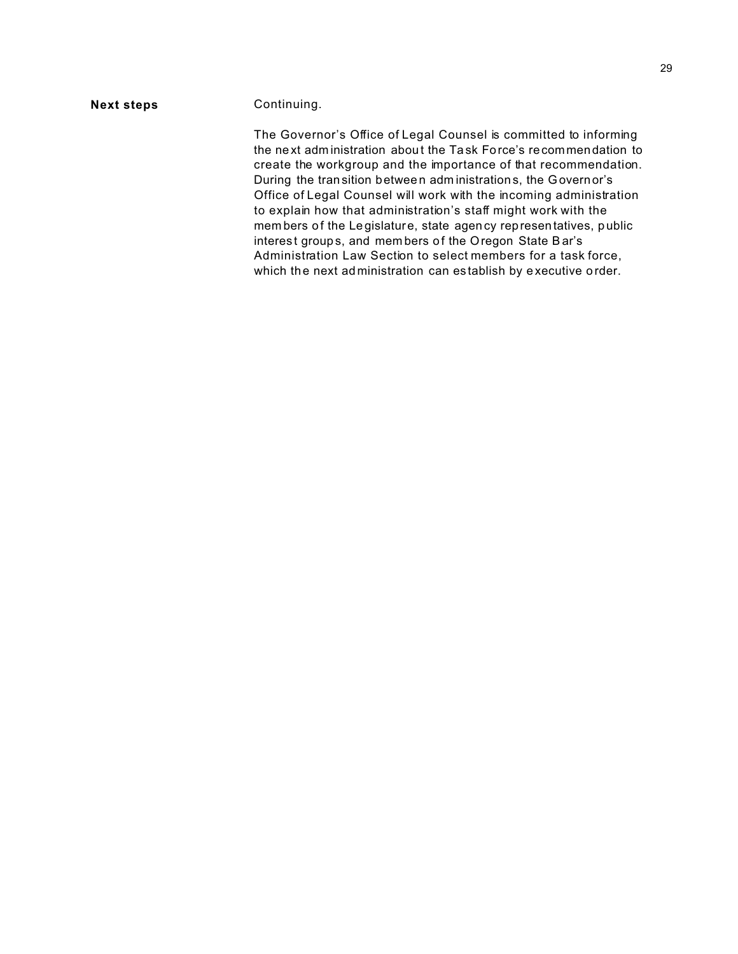#### **Next steps Continuing.**

The Governor's Office of Legal Counsel is committed to informing the ne xt adm inistration abou t the Ta sk Fo rce's recommen dation to create the workgroup and the importance of that recommendation. During the tran sition betwee n adm inistration s, the Governor's Office of Legal Counsel will work with the incoming administration to explain how that administration's staff might work with the mem bers of the Legislature, state agen cy representatives, public interest groups, and members of the Oregon State Bar's Administration Law Section to select members for a task force, which the next ad ministration can establish by executive order.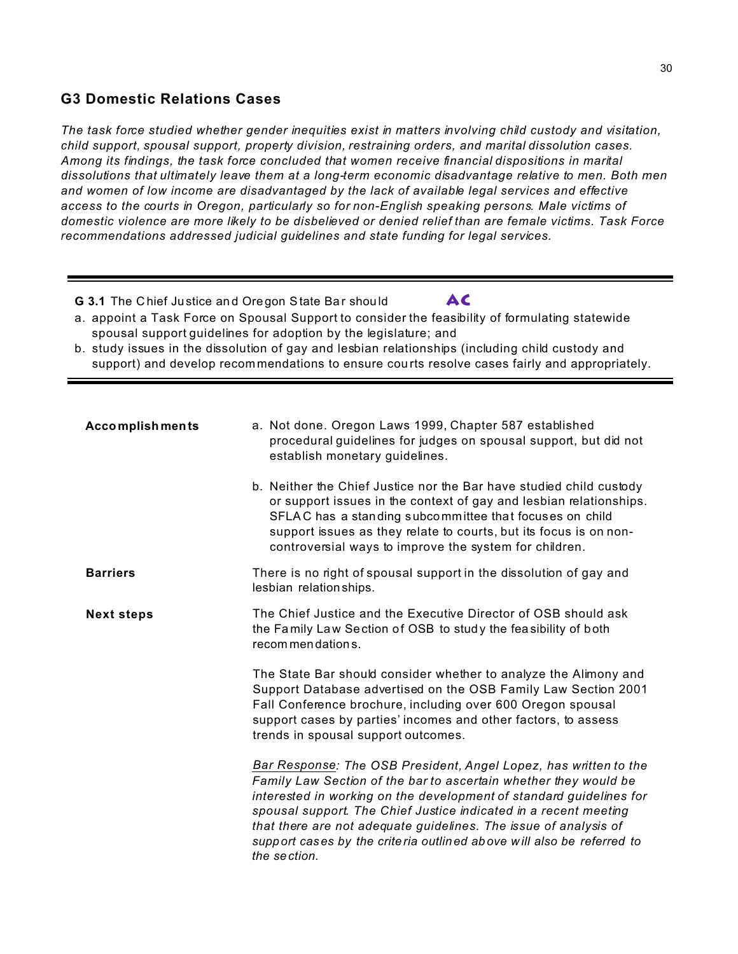## **G3 Domestic Relations Cases**

*The task force studied whether gender inequities exist in matters involving child custody and visitation, child support, spousal support, property division, restraining orders, and marital dissolution cases. Among its findings, the task force concluded that women receive financial dispositions in marital dissolutions that ultimately leave them at a long-term economic disadvantage relative to men. Both men and women of low income are disadvantaged by the lack of available legal services and effective access to the courts in Oregon, particularly so for non-English speaking persons. Male victims of domestic violence are more likely to be disbelieved or denied relief than are female victims. Task Force recommendations addressed judicial guidelines and state funding for legal services.*

- **G 3.1** The Chief Justice and Oregon State Bar should **AC**
- a. appoint a Task Force on Spousal Support to consider the feasibility of formulating statewide spousal support guidelines for adoption by the legislature; and
- b. study issues in the dissolution of gay and lesbian relationships (including child custody and support) and develop recom mendations to ensure cou rts resolve cases fairly and appropriately.

| <b>Accomplishments</b> | a. Not done. Oregon Laws 1999, Chapter 587 established<br>procedural guidelines for judges on spousal support, but did not<br>establish monetary guidelines.                                                                                                                                                                                                                                                                                 |
|------------------------|----------------------------------------------------------------------------------------------------------------------------------------------------------------------------------------------------------------------------------------------------------------------------------------------------------------------------------------------------------------------------------------------------------------------------------------------|
|                        | b. Neither the Chief Justice nor the Bar have studied child custody<br>or support issues in the context of gay and lesbian relationships.<br>SFLAC has a standing subcommittee that focuses on child<br>support issues as they relate to courts, but its focus is on non-<br>controversial ways to improve the system for children.                                                                                                          |
| <b>Barriers</b>        | There is no right of spousal support in the dissolution of gay and<br>lesbian relation ships.                                                                                                                                                                                                                                                                                                                                                |
| <b>Next steps</b>      | The Chief Justice and the Executive Director of OSB should ask<br>the Family Law Section of OSB to study the feasibility of both<br>recommendations.                                                                                                                                                                                                                                                                                         |
|                        | The State Bar should consider whether to analyze the Alimony and<br>Support Database advertised on the OSB Family Law Section 2001<br>Fall Conference brochure, including over 600 Oregon spousal<br>support cases by parties' incomes and other factors, to assess<br>trends in spousal support outcomes.                                                                                                                                   |
|                        | Bar Response: The OSB President, Angel Lopez, has written to the<br>Family Law Section of the bar to ascertain whether they would be<br>interested in working on the development of standard guidelines for<br>spousal support. The Chief Justice indicated in a recent meeting<br>that there are not adequate guidelines. The issue of analysis of<br>support cases by the criteria outlined above will also be referred to<br>the section. |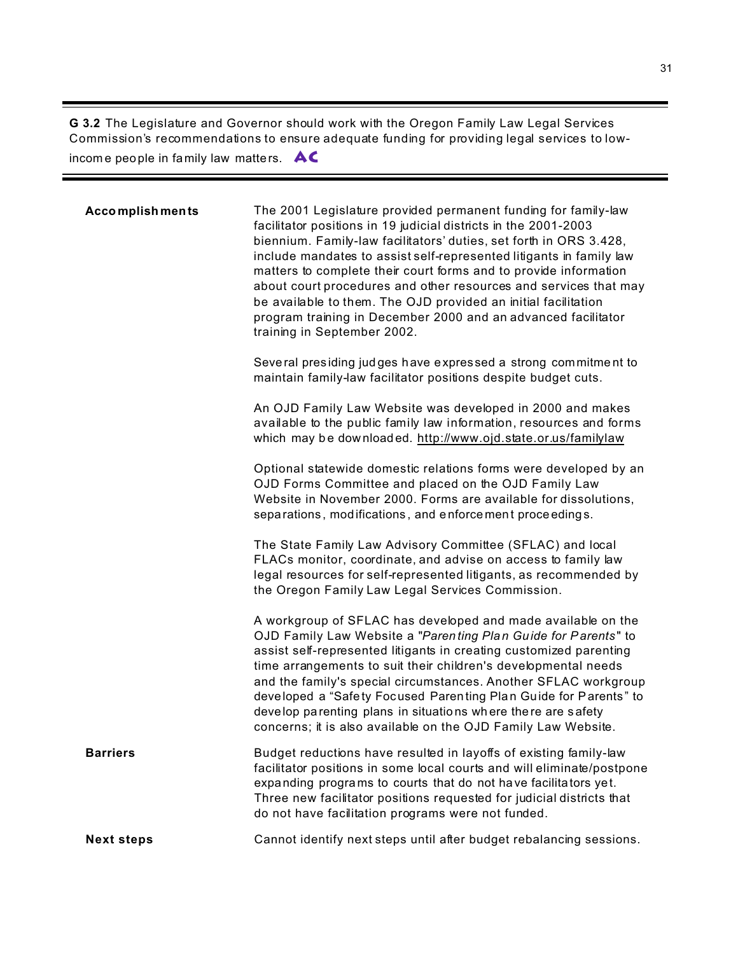**G 3.2** The Legislature and Governor should work with the Oregon Family Law Legal Services Commission's recommendations to ensure adequate funding for providing legal services to lowincom e peo ple in family law matters. **AC**

| <b>Accomplishments</b> | The 2001 Legislature provided permanent funding for family-law<br>facilitator positions in 19 judicial districts in the 2001-2003<br>biennium. Family-law facilitators' duties, set forth in ORS 3.428,<br>include mandates to assist self-represented litigants in family law<br>matters to complete their court forms and to provide information<br>about court procedures and other resources and services that may<br>be available to them. The OJD provided an initial facilitation<br>program training in December 2000 and an advanced facilitator<br>training in September 2002.<br>Several presiding judges have expressed a strong commitment to<br>maintain family-law facilitator positions despite budget cuts.<br>An OJD Family Law Website was developed in 2000 and makes<br>available to the public family law information, resources and forms<br>which may be downloaded. http://www.ojd.state.or.us/familylaw<br>Optional statewide domestic relations forms were developed by an<br>OJD Forms Committee and placed on the OJD Family Law<br>Website in November 2000. Forms are available for dissolutions,<br>separations, modifications, and enforcement proceedings.<br>The State Family Law Advisory Committee (SFLAC) and local<br>FLACs monitor, coordinate, and advise on access to family law<br>legal resources for self-represented litigants, as recommended by<br>the Oregon Family Law Legal Services Commission.<br>A workgroup of SFLAC has developed and made available on the<br>OJD Family Law Website a "Parenting Plan Guide for Parents" to<br>assist self-represented litigants in creating customized parenting<br>time arrangements to suit their children's developmental needs |
|------------------------|-------------------------------------------------------------------------------------------------------------------------------------------------------------------------------------------------------------------------------------------------------------------------------------------------------------------------------------------------------------------------------------------------------------------------------------------------------------------------------------------------------------------------------------------------------------------------------------------------------------------------------------------------------------------------------------------------------------------------------------------------------------------------------------------------------------------------------------------------------------------------------------------------------------------------------------------------------------------------------------------------------------------------------------------------------------------------------------------------------------------------------------------------------------------------------------------------------------------------------------------------------------------------------------------------------------------------------------------------------------------------------------------------------------------------------------------------------------------------------------------------------------------------------------------------------------------------------------------------------------------------------------------------------------------------------------------------------------------------------|
|                        | and the family's special circumstances. Another SFLAC workgroup<br>developed a "Safety Focused Parenting Plan Guide for Parents" to<br>develop parenting plans in situations where there are safety<br>concerns; it is also available on the OJD Family Law Website.                                                                                                                                                                                                                                                                                                                                                                                                                                                                                                                                                                                                                                                                                                                                                                                                                                                                                                                                                                                                                                                                                                                                                                                                                                                                                                                                                                                                                                                          |
| <b>Barriers</b>        | Budget reductions have resulted in layoffs of existing family-law<br>facilitator positions in some local courts and will eliminate/postpone<br>expanding programs to courts that do not have facilitators yet.<br>Three new facilitator positions requested for judicial districts that<br>do not have facilitation programs were not funded.                                                                                                                                                                                                                                                                                                                                                                                                                                                                                                                                                                                                                                                                                                                                                                                                                                                                                                                                                                                                                                                                                                                                                                                                                                                                                                                                                                                 |
| <b>Next steps</b>      | Cannot identify next steps until after budget rebalancing sessions.                                                                                                                                                                                                                                                                                                                                                                                                                                                                                                                                                                                                                                                                                                                                                                                                                                                                                                                                                                                                                                                                                                                                                                                                                                                                                                                                                                                                                                                                                                                                                                                                                                                           |

3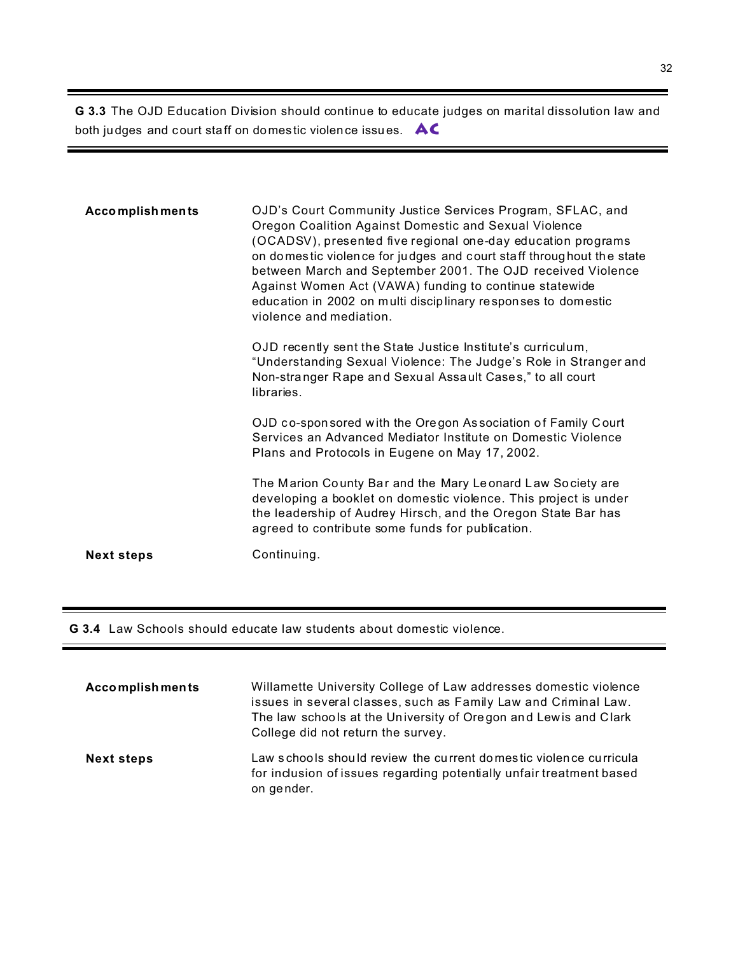**G 3.3** The OJD Education Division should continue to educate judges on marital dissolution law and both judges and court sta ff on do mes tic violen ce issu es. **AC**

| <b>Accomplishments</b> | OJD's Court Community Justice Services Program, SFLAC, and<br>Oregon Coalition Against Domestic and Sexual Violence<br>(OCADSV), presented five regional one-day education programs<br>on domestic violence for judges and court staff throughout the state<br>between March and September 2001. The OJD received Violence<br>Against Women Act (VAWA) funding to continue statewide<br>education in 2002 on multi disciplinary responses to domestic<br>violence and mediation. |
|------------------------|----------------------------------------------------------------------------------------------------------------------------------------------------------------------------------------------------------------------------------------------------------------------------------------------------------------------------------------------------------------------------------------------------------------------------------------------------------------------------------|
|                        | OJD recently sent the State Justice Institute's curriculum,<br>"Understanding Sexual Violence: The Judge's Role in Stranger and<br>Non-stranger Rape and Sexual Assault Cases," to all court<br>libraries.                                                                                                                                                                                                                                                                       |
|                        | OJD co-sponsored with the Oregon Association of Family Court<br>Services an Advanced Mediator Institute on Domestic Violence<br>Plans and Protocols in Eugene on May 17, 2002.                                                                                                                                                                                                                                                                                                   |
|                        | The Marion County Bar and the Mary Leonard Law Society are<br>developing a booklet on domestic violence. This project is under<br>the leadership of Audrey Hirsch, and the Oregon State Bar has<br>agreed to contribute some funds for publication.                                                                                                                                                                                                                              |
| <b>Next steps</b>      | Continuing.                                                                                                                                                                                                                                                                                                                                                                                                                                                                      |

**G 3.4** Law Schools should educate law students about domestic violence.

| <b>Accomplishments</b> | Willamette University College of Law addresses domestic violence<br>issues in several classes, such as Family Law and Criminal Law.<br>The law schools at the University of Oregon and Lewis and Clark<br>College did not return the survey. |
|------------------------|----------------------------------------------------------------------------------------------------------------------------------------------------------------------------------------------------------------------------------------------|
| <b>Next steps</b>      | Law schools should review the current domestic violence curricula<br>for inclusion of issues regarding potentially unfair treatment based<br>on gender.                                                                                      |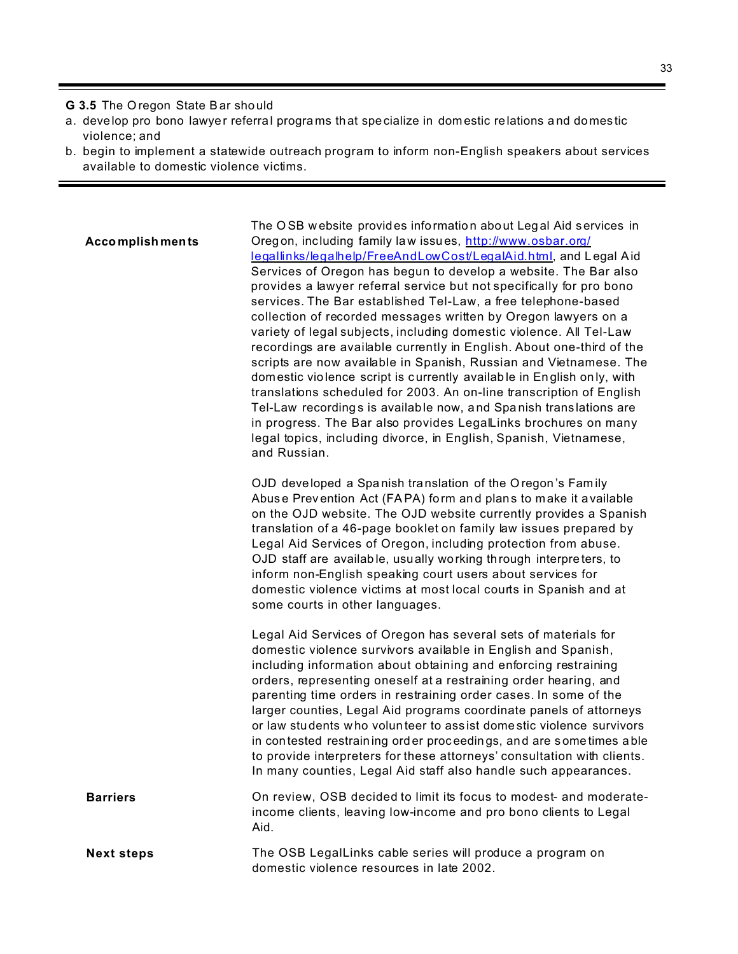**G 3.5** The O regon State Bar sho uld

- a. develop pro bono lawye r referral progra ms that specialize in domestic relations a nd do mes tic violence; and
- b. begin to implement a statewide outreach program to inform non-English speakers about services available to domestic violence victims.

#### **Accomplish ments**

The O SB w ebsite provides information abo ut Leg al Aid services in Oregon, inc luding family law issu es, http://www.osbar.org/ legallinks/legalhelp/FreeAndLowCost/LegalAid.html, and L egal Aid Services of Oregon has begun to develop a website. The Bar also provides a lawyer referral service but not specifically for pro bono services. The Bar established Tel-Law, a free telephone-based collection of recorded messages written by Oregon lawyers on a variety of legal subjects, including domestic violence. All Tel-Law recordings are available currently in English. About one-third of the scripts are now available in Spanish, Russian and Vietnamese. The dom estic vio lence script is currently available in English on ly, with translations scheduled for 2003. An on-line transcription of English Tel-Law recording s is available now, a nd Spa nish trans lations are in progress. The Bar also provides LegalLinks brochures on many legal topics, including divorce, in English, Spanish, Vietnamese, and Russian.

OJD developed a Spa nish translation of the O regon 's Fam ily Abus e Prev ention Act (FAPA) form an d plans to make it available on the OJD website. The OJD website currently provides a Spanish translation of a 46-page booklet on family law issues prepared by Legal Aid Services of Oregon, including protection from abuse. OJD staff are availab le, usually working through interpre ters, to inform non-English speaking court users about services for domestic violence victims at most local courts in Spanish and at some courts in other languages.

Legal Aid Services of Oregon has several sets of materials for domestic violence survivors available in English and Spanish, including information about obtaining and enforcing restraining orders, representing oneself at a restraining order hearing, and parenting time orders in restraining order cases. In some of the larger counties, Legal Aid programs coordinate panels of attorneys or law students w ho volun teer to ass ist dome stic violence survivors in contested restrain ing ord er proc eedings, and are s ome times a ble to provide interpreters for these attorneys' consultation with clients. In many counties, Legal Aid staff also handle such appearances.

**Barriers Example 2** On review, OSB decided to limit its focus to modest- and moderateincome clients, leaving low-income and pro bono clients to Legal Aid.

**Next steps** The OSB LegalLinks cable series will produce a program on domestic violence resources in late 2002.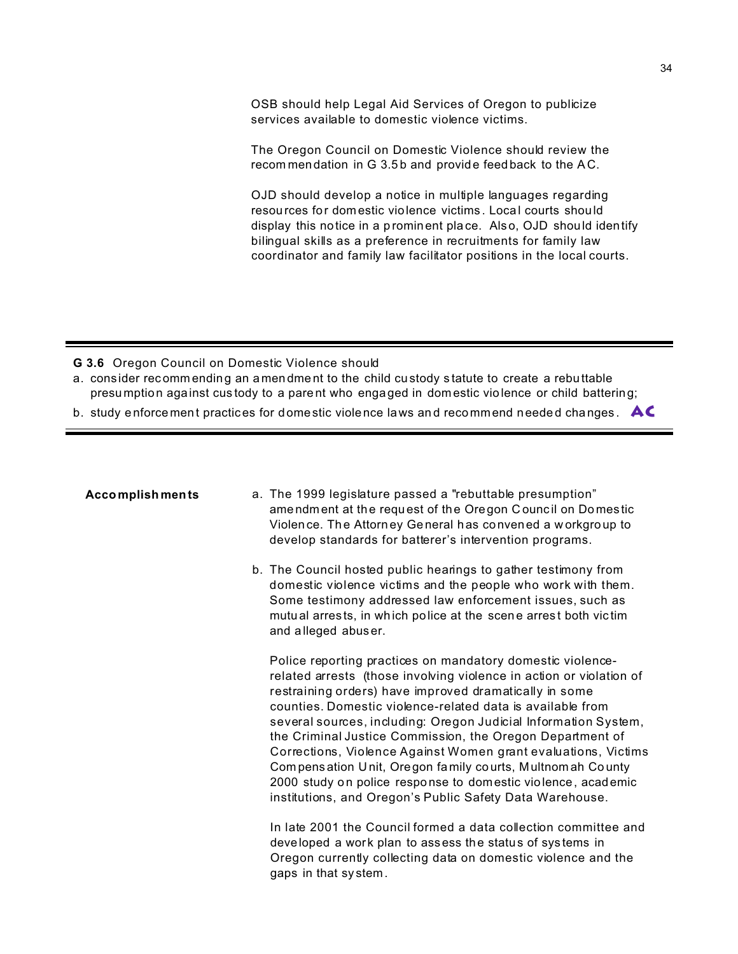OSB should help Legal Aid Services of Oregon to publicize services available to domestic violence victims.

The Oregon Council on Domestic Violence should review the recommendation in G 3.5b and provide feedback to the AC.

OJD should develop a notice in multiple languages regarding resources for domestic violence victims. Local courts should display this notice in a prominent place. Also, OJD should identify bilingual skills as a preference in recruitments for family law coordinator and family law facilitator positions in the local courts.

G 3.6 Oregon Council on Domestic Violence should

- a. consider recommending an amendment to the child custody statute to create a rebuttable presumption against custody to a parent who engaged in domestic violence or child battering;
- b. study enforcement practices for domestic violence laws and recommend needed changes.  $AC$

#### **Accomplishments**

- a. The 1999 legislature passed a "rebuttable presumption" amendment at the request of the Oregon Council on Domestic Violence. The Attorney General has convened a workgroup to develop standards for batterer's intervention programs.
- b. The Council hosted public hearings to gather testimony from domestic violence victims and the people who work with them. Some testimony addressed law enforcement issues, such as mutual arrests, in which police at the scene arrest both victim and alleged abuser.

Police reporting practices on mandatory domestic violencerelated arrests (those involving violence in action or violation of restraining orders) have improved dramatically in some counties. Domestic violence-related data is available from several sources, including: Oregon Judicial Information System, the Criminal Justice Commission, the Oregon Department of Corrections, Violence Against Women grant evaluations, Victims Compensation Unit, Oregon family courts, Multnomah County 2000 study on police response to domestic violence, academic institutions, and Oregon's Public Safety Data Warehouse.

In late 2001 the Council formed a data collection committee and developed a work plan to assess the status of systems in Oregon currently collecting data on domestic violence and the gaps in that system.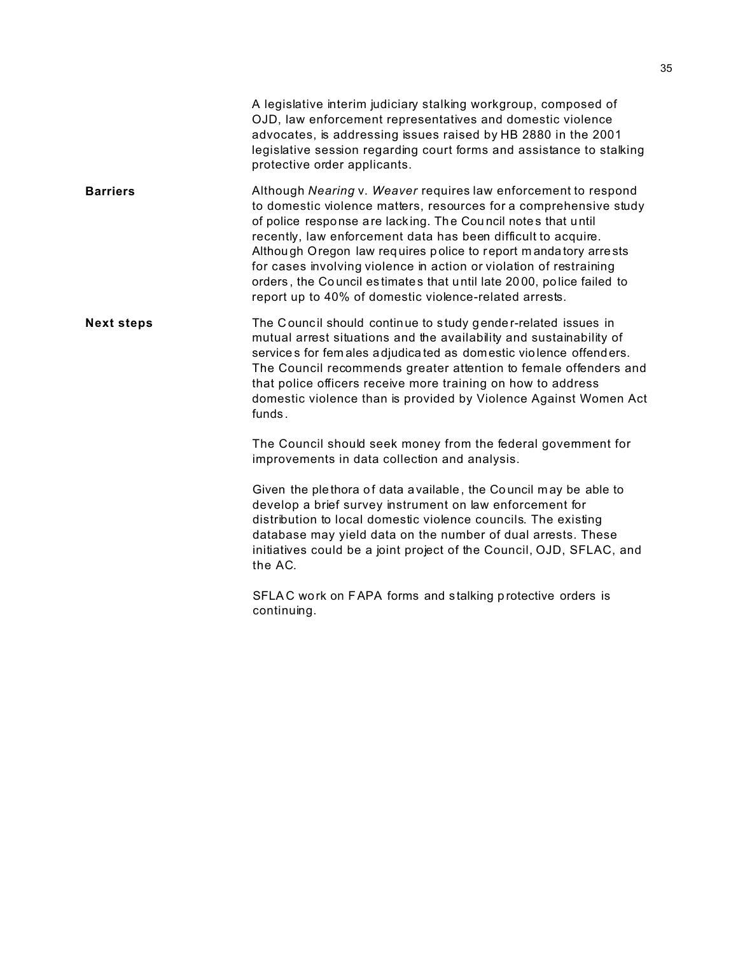|                   | A legislative interim judiciary stalking workgroup, composed of<br>OJD, law enforcement representatives and domestic violence<br>advocates, is addressing issues raised by HB 2880 in the 2001<br>legislative session regarding court forms and assistance to stalking<br>protective order applicants.                                                                                                                                                                                                                                          |
|-------------------|-------------------------------------------------------------------------------------------------------------------------------------------------------------------------------------------------------------------------------------------------------------------------------------------------------------------------------------------------------------------------------------------------------------------------------------------------------------------------------------------------------------------------------------------------|
| <b>Barriers</b>   | Although Nearing v. Weaver requires law enforcement to respond<br>to domestic violence matters, resources for a comprehensive study<br>of police response are lacking. The Council notes that until<br>recently, law enforcement data has been difficult to acquire.<br>Although Oregon law requires police to report mandatory arrests<br>for cases involving violence in action or violation of restraining<br>orders, the Council estimates that until late 2000, police failed to<br>report up to 40% of domestic violence-related arrests. |
| <b>Next steps</b> | The Council should continue to study gender-related issues in<br>mutual arrest situations and the availability and sustainability of<br>services for females adjudicated as domestic violence offenders.<br>The Council recommends greater attention to female offenders and<br>that police officers receive more training on how to address<br>domestic violence than is provided by Violence Against Women Act<br>funds.                                                                                                                      |
|                   | The Council should seek money from the federal govemment for<br>improvements in data collection and analysis.                                                                                                                                                                                                                                                                                                                                                                                                                                   |
|                   | Given the plethora of data available, the Council may be able to<br>develop a brief survey instrument on law enforcement for<br>distribution to local domestic violence councils. The existing<br>database may yield data on the number of dual arrests. These<br>initiatives could be a joint project of the Council, OJD, SFLAC, and<br>the AC.                                                                                                                                                                                               |
|                   | SFLAC work on FAPA forms and stalking protective orders is<br>continuing.                                                                                                                                                                                                                                                                                                                                                                                                                                                                       |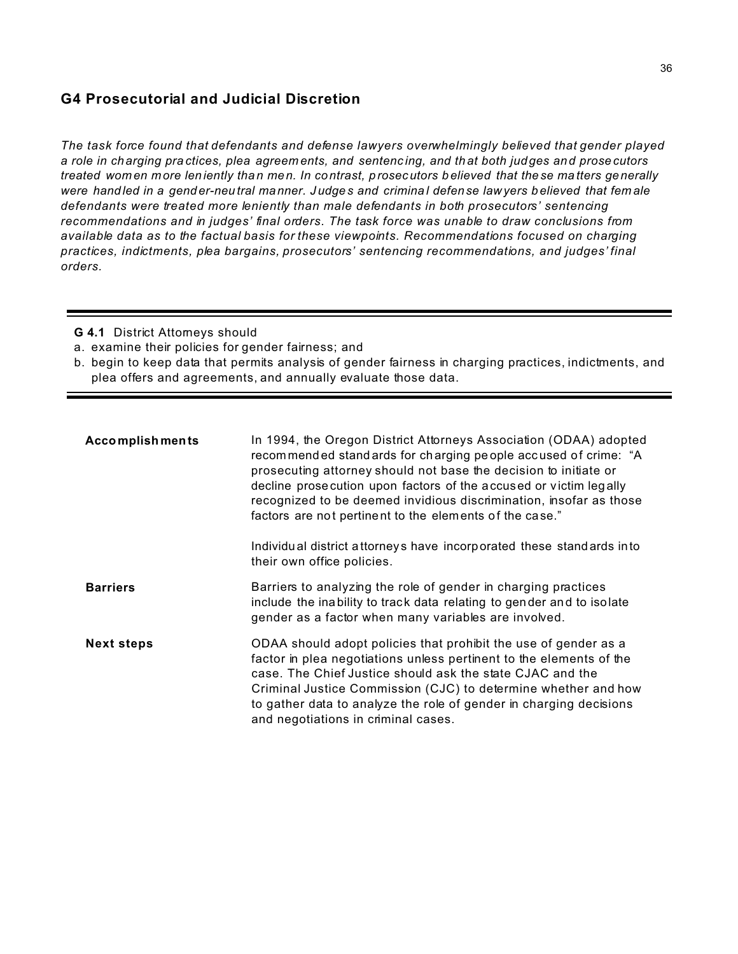### **G4 Prosecutorial and Judicial Discretion**

*The task force found that defendants and defense lawyers overwhelmingly believed that gender played a role in ch arging pra ctices, plea agreem ents, and sentenc ing, and th at both judges an d prose cutors treated wom en more len iently tha n men. In contrast, p rosec utors b elieved that the se ma tters ge nerally were hand led in a gend er-neu tral manner. J udge s and crimina l defense law yers believed that fem ale defendants were treated more leniently than male defendants in both prosecutors' sentencing recommendations and in judges' final orders. The task force was unable to draw conclusions from available data as to the factual basis for these viewpoints. Recommendations focused on charging practices, indictments, plea bargains, prosecutors' sentencing recommendations, and judges' final orders.*

**G 4.1 District Attomeys should** 

a. examine their policies for gender fairness; and

b. begin to keep data that permits analysis of gender fairness in charging practices, indictments, and plea offers and agreements, and annually evaluate those data.

| <b>Accomplishments</b> | In 1994, the Oregon District Attorneys Association (ODAA) adopted<br>recommended standards for charging people accused of crime: "A<br>prosecuting attorney should not base the decision to initiate or<br>decline prosecution upon factors of the accused or victim legally<br>recognized to be deemed invidious discrimination, insofar as those<br>factors are not pertinent to the elements of the case."<br>Individual district attorneys have incorporated these standards into<br>their own office policies. |
|------------------------|---------------------------------------------------------------------------------------------------------------------------------------------------------------------------------------------------------------------------------------------------------------------------------------------------------------------------------------------------------------------------------------------------------------------------------------------------------------------------------------------------------------------|
| <b>Barriers</b>        | Barriers to analyzing the role of gender in charging practices<br>include the inability to track data relating to gender and to isolate<br>gender as a factor when many variables are involved.                                                                                                                                                                                                                                                                                                                     |
| <b>Next steps</b>      | ODAA should adopt policies that prohibit the use of gender as a<br>factor in plea negotiations unless pertinent to the elements of the<br>case. The Chief Justice should ask the state CJAC and the<br>Criminal Justice Commission (CJC) to determine whether and how<br>to gather data to analyze the role of gender in charging decisions<br>and negotiations in criminal cases.                                                                                                                                  |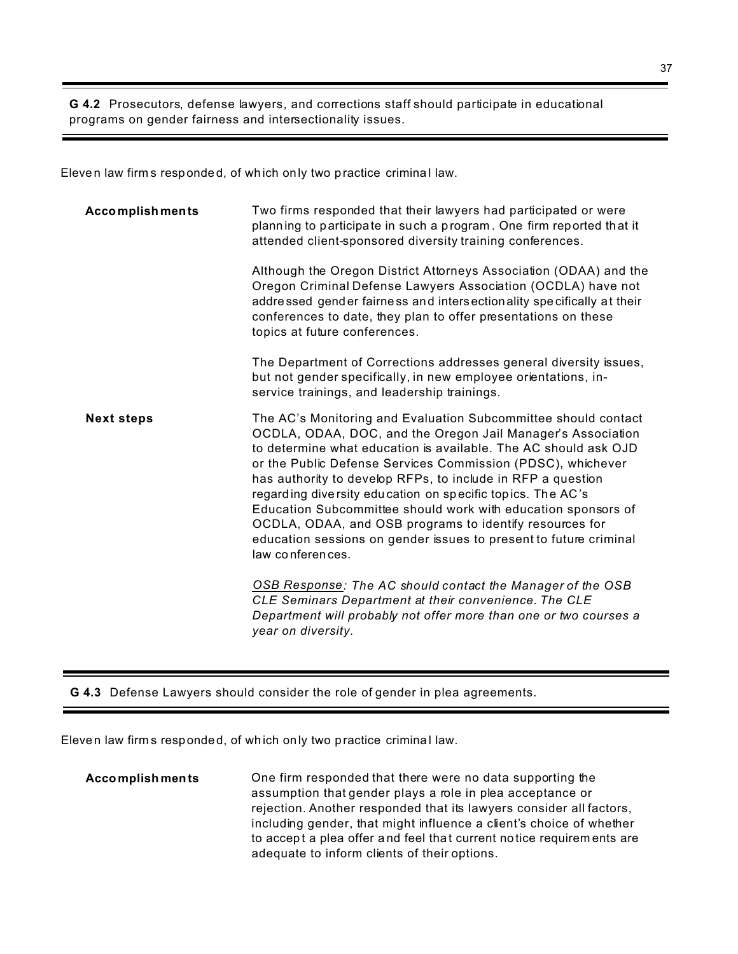**G 4.2** Prosecutors, defense lawyers, and corrections staff should participate in educational programs on gender fairness and intersectionality issues.

Eleven law firm s responde d, of wh ich only two p ractice crimina l law.

| <b>Accomplishments</b> | Two firms responded that their lawyers had participated or were<br>planning to participate in such a program. One firm reported that it<br>attended client-sponsored diversity training conferences.<br>Although the Oregon District Attorneys Association (ODAA) and the<br>Oregon Criminal Defense Lawyers Association (OCDLA) have not<br>addressed gender fairness and intersectionality specifically at their                                                                                                                                                                                                |
|------------------------|-------------------------------------------------------------------------------------------------------------------------------------------------------------------------------------------------------------------------------------------------------------------------------------------------------------------------------------------------------------------------------------------------------------------------------------------------------------------------------------------------------------------------------------------------------------------------------------------------------------------|
|                        | conferences to date, they plan to offer presentations on these<br>topics at future conferences.                                                                                                                                                                                                                                                                                                                                                                                                                                                                                                                   |
|                        | The Department of Corrections addresses general diversity issues,<br>but not gender specifically, in new employee orientations, in-<br>service trainings, and leadership trainings.                                                                                                                                                                                                                                                                                                                                                                                                                               |
| <b>Next steps</b>      | The AC's Monitoring and Evaluation Subcommittee should contact<br>OCDLA, ODAA, DOC, and the Oregon Jail Manager's Association<br>to determine what education is available. The AC should ask OJD<br>or the Public Defense Services Commission (PDSC), whichever<br>has authority to develop RFPs, to include in RFP a question<br>regarding diversity education on specific topics. The AC's<br>Education Subcommittee should work with education sponsors of<br>OCDLA, ODAA, and OSB programs to identify resources for<br>education sessions on gender issues to present to future criminal<br>law conferences. |
|                        | OSB Response: The AC should contact the Manager of the OSB<br>CLE Seminars Department at their convenience. The CLE<br>Department will probably not offer more than one or two courses a<br>year on diversity.                                                                                                                                                                                                                                                                                                                                                                                                    |

**G 4.3** Defense Lawyers should consider the role of gender in plea agreements.

Eleven law firm s responde d, of wh ich only two p ractice crimina l law.

**Accomplish ments** One firm responded that there were no data supporting the assumption that gender plays a role in plea acceptance or rejection. Another responded that its lawyers consider all factors, including gender, that might influence a client's choice of whether to accept a plea offer and feel that current no tice requirem ents are adequate to inform clients of their options.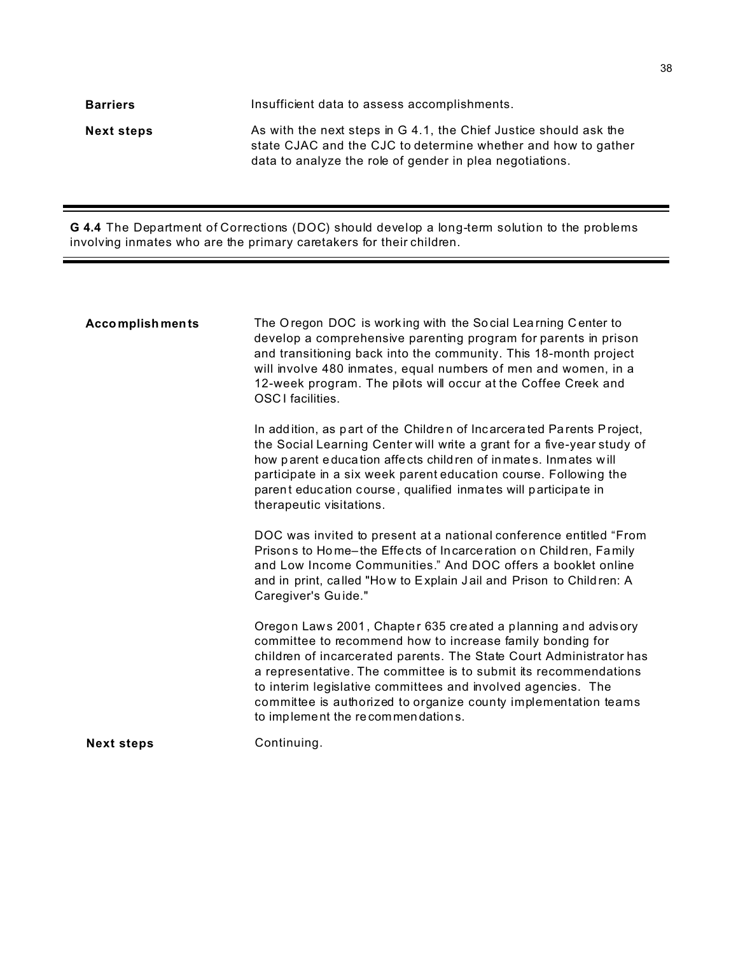| <b>Barriers</b>   | Insufficient data to assess accomplishments.                                                                                                                                                   |
|-------------------|------------------------------------------------------------------------------------------------------------------------------------------------------------------------------------------------|
| <b>Next steps</b> | As with the next steps in G 4.1, the Chief Justice should ask the<br>state CJAC and the CJC to determine whether and how to gather<br>data to analyze the role of gender in plea negotiations. |

**G 4.4** The Department of Corrections (DOC) should develop a long-term solution to the problems involving inmates who are the primary caretakers for their children.

| <b>Next steps</b> | to interim legislative committees and involved agencies. The<br>committee is authorized to organize county implementation teams<br>to implement the recommendations.<br>Continuing.                                                                                                                                                                                                 |
|-------------------|-------------------------------------------------------------------------------------------------------------------------------------------------------------------------------------------------------------------------------------------------------------------------------------------------------------------------------------------------------------------------------------|
|                   | Oregon Laws 2001, Chapter 635 created a planning and advisory<br>committee to recommend how to increase family bonding for<br>children of incarcerated parents. The State Court Administrator has<br>a representative. The committee is to submit its recommendations                                                                                                               |
|                   | DOC was invited to present at a national conference entitled "From<br>Prisons to Home-the Effects of Incarceration on Children, Family<br>and Low Income Communities." And DOC offers a booklet online<br>and in print, called "How to Explain Jail and Prison to Children: A<br>Caregiver's Guide."                                                                                |
|                   | In addition, as part of the Children of Incarcerated Parents Project,<br>the Social Learning Center will write a grant for a five-year study of<br>how parent education affects children of inmates. Inmates will<br>participate in a six week parent education course. Following the<br>parent education course, qualified inmates will participate in<br>therapeutic visitations. |
| Accomplishments   | The Oregon DOC is working with the Social Learning Center to<br>develop a comprehensive parenting program for parents in prison<br>and transitioning back into the community. This 18-month project<br>will involve 480 inmates, equal numbers of men and women, in a<br>12-week program. The pilots will occur at the Coffee Creek and<br>OSCI facilities.                         |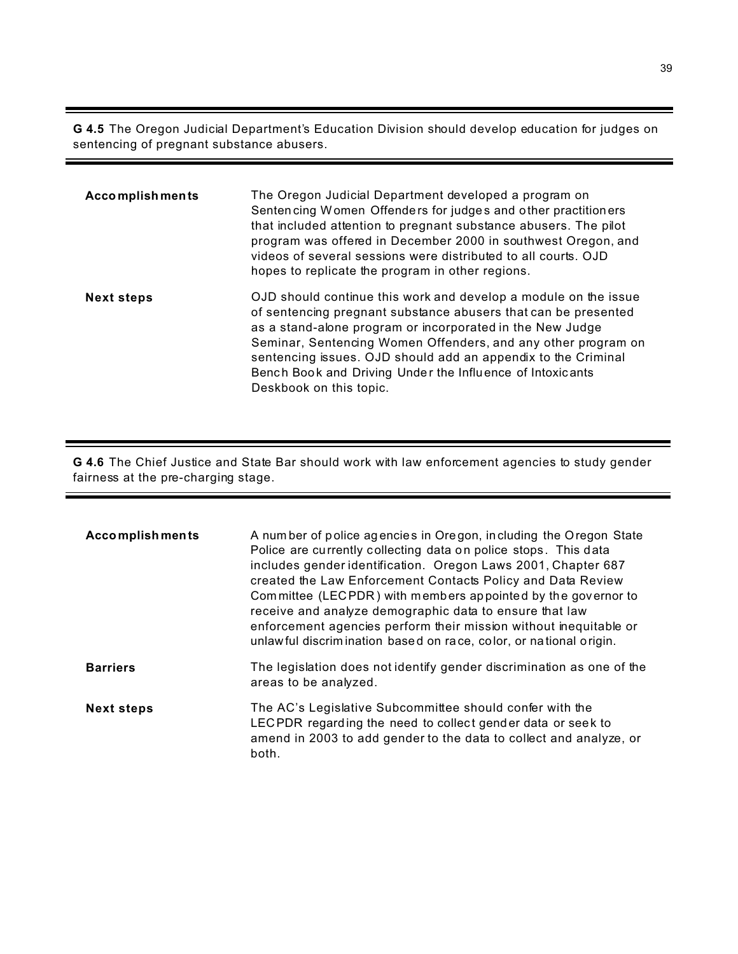**G 4.5** The Oregon Judicial Department's Education Division should develop education for judges on sentencing of pregnant substance abusers.

| <b>Accomplishments</b> | The Oregon Judicial Department developed a program on<br>Sentencing Women Offenders for judges and other practitioners<br>that included attention to pregnant substance abusers. The pilot<br>program was offered in December 2000 in southwest Oregon, and<br>videos of several sessions were distributed to all courts. OJD<br>hopes to replicate the program in other regions.                                        |
|------------------------|--------------------------------------------------------------------------------------------------------------------------------------------------------------------------------------------------------------------------------------------------------------------------------------------------------------------------------------------------------------------------------------------------------------------------|
| <b>Next steps</b>      | OJD should continue this work and develop a module on the issue<br>of sentencing pregnant substance abusers that can be presented<br>as a stand-alone program or incorporated in the New Judge<br>Seminar, Sentencing Women Offenders, and any other program on<br>sentencing issues. OJD should add an appendix to the Criminal<br>Bench Book and Driving Under the Influence of Intoxicants<br>Deskbook on this topic. |

**G 4.6** The Chief Justice and State Bar should work with law enforcement agencies to study gender fairness at the pre-charging stage.

| <b>Accomplishments</b> | A number of police agencies in Oregon, including the Oregon State<br>Police are currently collecting data on police stops. This data<br>includes gender identification. Oregon Laws 2001, Chapter 687<br>created the Law Enforcement Contacts Policy and Data Review<br>Committee (LECPDR) with members appointed by the governor to<br>receive and analyze demographic data to ensure that law<br>enforcement agencies perform their mission without inequitable or<br>unlaw ful discrimination based on race, color, or national origin. |
|------------------------|--------------------------------------------------------------------------------------------------------------------------------------------------------------------------------------------------------------------------------------------------------------------------------------------------------------------------------------------------------------------------------------------------------------------------------------------------------------------------------------------------------------------------------------------|
| <b>Barriers</b>        | The legislation does not identify gender discrimination as one of the<br>areas to be analyzed.                                                                                                                                                                                                                                                                                                                                                                                                                                             |
| <b>Next steps</b>      | The AC's Legislative Subcommittee should confer with the<br>LECPDR regarding the need to collect gender data or seek to<br>amend in 2003 to add gender to the data to collect and analyze, or<br>both.                                                                                                                                                                                                                                                                                                                                     |

۰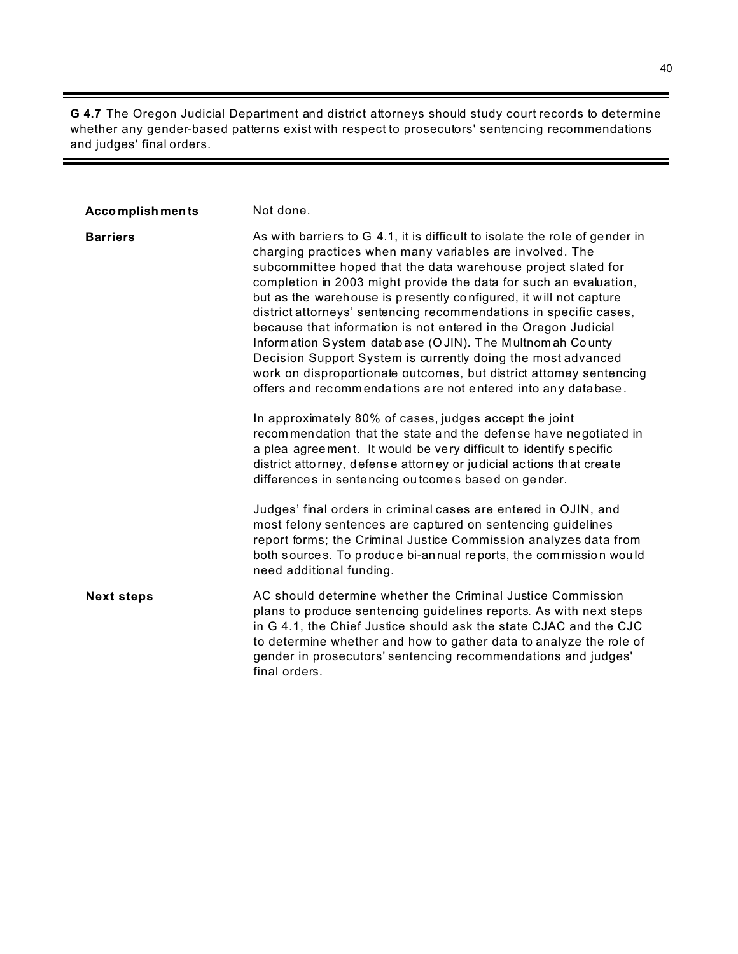**G 4.7** The Oregon Judicial Department and district attorneys should study court records to determine whether any gender-based patterns exist with respect to prosecutors' sentencing recommendations and judges' final orders.

| <b>Accomplishments</b> | Not done.                                                                                                                                                                                                                                                                                                                                                                                                                                                                                                                                                                                                                                                                                                                                                                                                                                                                                                                                                                                                                              |
|------------------------|----------------------------------------------------------------------------------------------------------------------------------------------------------------------------------------------------------------------------------------------------------------------------------------------------------------------------------------------------------------------------------------------------------------------------------------------------------------------------------------------------------------------------------------------------------------------------------------------------------------------------------------------------------------------------------------------------------------------------------------------------------------------------------------------------------------------------------------------------------------------------------------------------------------------------------------------------------------------------------------------------------------------------------------|
| <b>Barriers</b>        | As with barriers to G 4.1, it is difficult to isolate the role of gender in<br>charging practices when many variables are involved. The<br>subcommittee hoped that the data warehouse project slated for<br>completion in 2003 might provide the data for such an evaluation,<br>but as the warehouse is presently configured, it will not capture<br>district attorneys' sentencing recommendations in specific cases,<br>because that information is not entered in the Oregon Judicial<br>Information System database (OJIN). The Multnomah County<br>Decision Support System is currently doing the most advanced<br>work on disproportionate outcomes, but district attomey sentencing<br>offers and recommendations are not entered into any database.<br>In approximately 80% of cases, judges accept the joint<br>recommendation that the state and the defense have negotiated in<br>a plea agreement. It would be very difficult to identify specific<br>district attorney, defense attorney or judicial actions that create |
|                        | differences in sentencing outcomes based on gender.<br>Judges' final orders in criminal cases are entered in OJIN, and<br>most felony sentences are captured on sentencing guidelines<br>report forms; the Criminal Justice Commission analyzes data from<br>both sources. To produce bi-annual reports, the commission would<br>need additional funding.                                                                                                                                                                                                                                                                                                                                                                                                                                                                                                                                                                                                                                                                              |
| <b>Next steps</b>      | AC should determine whether the Criminal Justice Commission<br>plans to produce sentencing guidelines reports. As with next steps<br>in G 4.1, the Chief Justice should ask the state CJAC and the CJC<br>to determine whether and how to gather data to analyze the role of<br>gender in prosecutors' sentencing recommendations and judges'<br>final orders.                                                                                                                                                                                                                                                                                                                                                                                                                                                                                                                                                                                                                                                                         |

 $\equiv$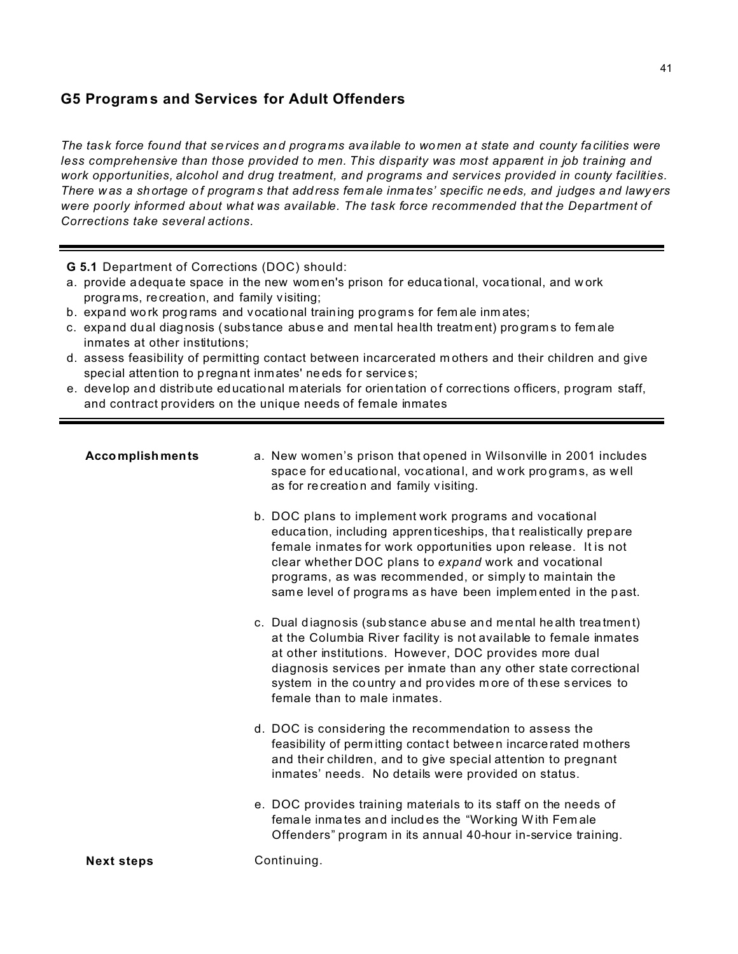## **G5 Program s and Services for Adult Offenders**

*The tas k force fou nd that se rvices an d progra ms ava ilable to wo men a t state and county fa cilities were less comprehensive than those provided to men. This disparity was most apparent in job training and work opportunities, alcohol and drug treatment, and programs and services provided in county facilities. There w as a shortage of program s that add ress fem ale inma tes' specific ne eds, and judges a nd lawy ers were poorly informed about what was available. The task force recommended that the Department of Corrections take several actions.*

**G 5.1** Department of Corrections (DOC) should:

- a. provide a dequa te space in the new wom en's prison for educa tional, voca tional, and w ork progra ms, recreation, and family v isiting;
- b. expand wo rk prog rams and vocational training pro gram s for fem ale inm ates;
- c. expand du al diagnosis ( subs tance abuse and mental health treatm ent) pro gram s to fem ale inmates at other institutions;
- d. assess feasibility of permitting contact between incarcerated m others and their children and give special attention to pregnant inmates' needs for service s;
- e. develop and distribute ed ucational materials for orien tation of correc tions officers, program staff, and contract providers on the unique needs of female inmates

| <b>Accomplishments</b> | a. New women's prison that opened in Wilsonville in 2001 includes<br>space for educational, vocational, and work programs, as well<br>as for recreation and family visiting.                                                                                                                                                                                                    |
|------------------------|---------------------------------------------------------------------------------------------------------------------------------------------------------------------------------------------------------------------------------------------------------------------------------------------------------------------------------------------------------------------------------|
|                        | b. DOC plans to implement work programs and vocational<br>education, including apprenticeships, that realistically prepare<br>female inmates for work opportunities upon release. It is not<br>clear whether DOC plans to expand work and vocational<br>programs, as was recommended, or simply to maintain the<br>same level of programs as have been implemented in the past. |
|                        | c. Dual diagnosis (substance abuse and mental health treatment)<br>at the Columbia River facility is not available to female inmates<br>at other institutions. However, DOC provides more dual<br>diagnosis services per inmate than any other state correctional<br>system in the country and provides more of these services to<br>female than to male inmates.               |
|                        | d. DOC is considering the recommendation to assess the<br>feasibility of permitting contact between incarcerated mothers<br>and their children, and to give special attention to pregnant<br>inmates' needs. No details were provided on status.                                                                                                                                |
|                        | e. DOC provides training materials to its staff on the needs of<br>female inmates and includes the "Working With Female<br>Offenders" program in its annual 40-hour in-service training.                                                                                                                                                                                        |
| <b>Next steps</b>      | Continuing.                                                                                                                                                                                                                                                                                                                                                                     |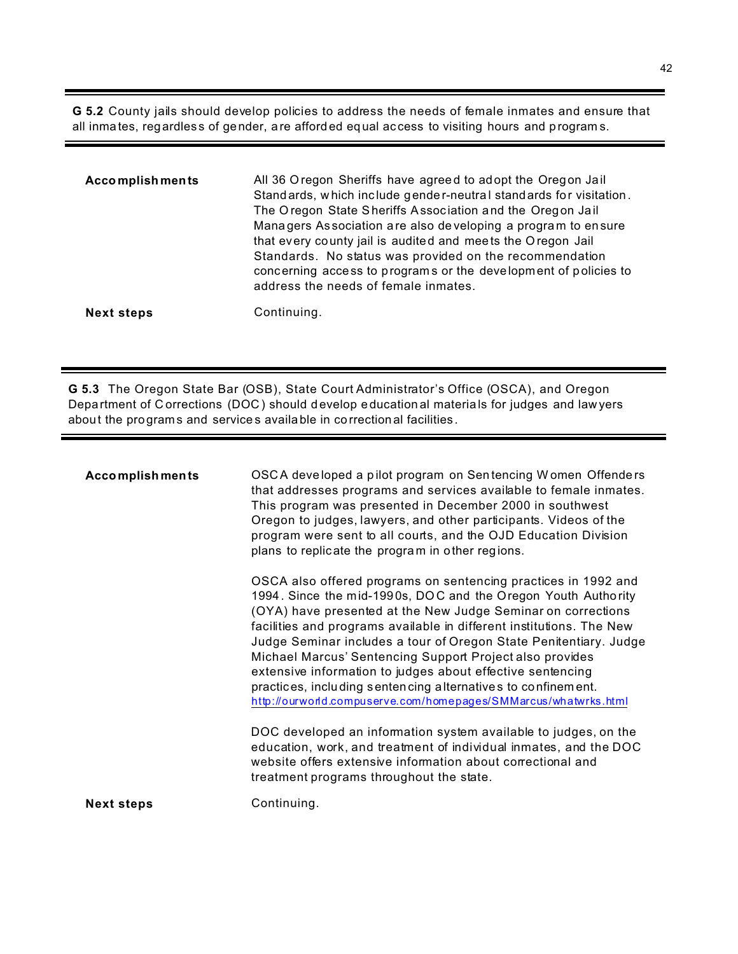G 5.2 County jails should develop policies to address the needs of female inmates and ensure that all inmates, regardless of gender, are afforded equal access to visiting hours and programs.

| <b>Accomplishments</b> | All 36 Oregon Sheriffs have agreed to adopt the Oregon Jail<br>Standards, which include gender-neutral standards for visitation.<br>The Oregon State Sheriffs Association and the Oregon Jail<br>Managers Association are also developing a program to ensure<br>that every county jail is audited and meets the Oregon Jail<br>Standards. No status was provided on the recommendation<br>concerning access to programs or the development of policies to<br>address the needs of female inmates. |
|------------------------|----------------------------------------------------------------------------------------------------------------------------------------------------------------------------------------------------------------------------------------------------------------------------------------------------------------------------------------------------------------------------------------------------------------------------------------------------------------------------------------------------|
| <b>Next steps</b>      | Continuing.                                                                                                                                                                                                                                                                                                                                                                                                                                                                                        |

G 5.3 The Oregon State Bar (OSB), State Court Administrator's Office (OSCA), and Oregon Department of Corrections (DOC) should develop educational materials for judges and lawyers about the programs and services available in correctional facilities.

| <b>Accomplishments</b> | OSCA developed a pilot program on Sentencing Women Offenders<br>that addresses programs and services available to female inmates.<br>This program was presented in December 2000 in southwest<br>Oregon to judges, lawyers, and other participants. Videos of the<br>program were sent to all courts, and the OJD Education Division<br>plans to replicate the program in other regions.                                                                                                                                                                                                                  |
|------------------------|-----------------------------------------------------------------------------------------------------------------------------------------------------------------------------------------------------------------------------------------------------------------------------------------------------------------------------------------------------------------------------------------------------------------------------------------------------------------------------------------------------------------------------------------------------------------------------------------------------------|
|                        | OSCA also offered programs on sentencing practices in 1992 and<br>1994. Since the mid-1990s, DOC and the Oregon Youth Authority<br>(OYA) have presented at the New Judge Seminar on corrections<br>facilities and programs available in different institutions. The New<br>Judge Seminar includes a tour of Oregon State Penitentiary. Judge<br>Michael Marcus' Sentencing Support Project also provides<br>extensive information to judges about effective sentencing<br>practices, including sentencing alternatives to confinement.<br>http://ourworld.compuserve.com/homepages/SMMarcus/whatwrks.html |
|                        | DOC developed an information system available to judges, on the<br>education, work, and treatment of individual inmates, and the DOC<br>website offers extensive information about correctional and<br>treatment programs throughout the state.                                                                                                                                                                                                                                                                                                                                                           |
| <b>Next steps</b>      | Continuing.                                                                                                                                                                                                                                                                                                                                                                                                                                                                                                                                                                                               |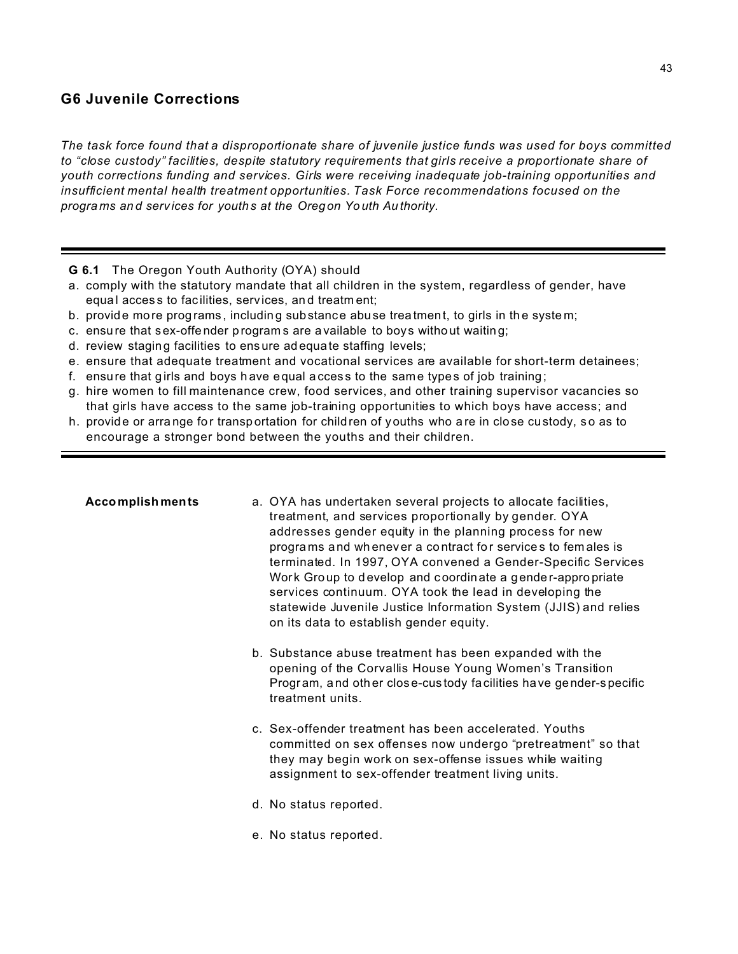### **G6 Juvenile Corrections**

*The task force found that a disproportionate share of juvenile justice funds was used for boys committed to "close custody" facilities, despite statutory requirements that girls receive a proportionate share of youth corrections funding and services. Girls were receiving inadequate job-training opportunities and insufficient mental health treatment opportunities. Task Force recommendations focused on the progra ms an d serv ices for youths at the Oregon Yo uth Au thority.* 

- **G 6.1** The Oregon Youth Authority (OYA) should
- a. comply with the statutory mandate that all children in the system, regardless of gender, have equal access to facilities, services, and treatment;
- b. provide more programs, including substance abuse treatment, to girls in the system;
- c. ensure that sex-offender programs are a vailable to boys without waiting;
- d. review staging facilities to ensure ad equa te staffing levels;
- e. ensure that adequate treatment and vocational services are available for short-term detainees;
- f. ensure that girls and boys have equal access to the same types of job training;
- g. hire women to fill maintenance crew, food services, and other training supervisor vacancies so that girls have access to the same job-training opportunities to which boys have access; and
- h. provide or arra nge fo r transp ortation for children of youths who a re in close custody, s o as to encourage a stronger bond between the youths and their children.

| <b>Accomplishments</b> | a. OYA has undertaken several projects to allocate facilities,<br>treatment, and services proportionally by gender. OYA<br>addresses gender equity in the planning process for new<br>programs and whenever a contract for services to females is<br>terminated. In 1997, OYA convened a Gender-Specific Services<br>Work Group to develop and coordinate a gender-appropriate<br>services continuum. OYA took the lead in developing the<br>statewide Juvenile Justice Information System (JJIS) and relies<br>on its data to establish gender equity. |
|------------------------|---------------------------------------------------------------------------------------------------------------------------------------------------------------------------------------------------------------------------------------------------------------------------------------------------------------------------------------------------------------------------------------------------------------------------------------------------------------------------------------------------------------------------------------------------------|
|                        | b. Substance abuse treatment has been expanded with the<br>opening of the Corvallis House Young Women's Transition<br>Program, and other close-custody facilities have gender-specific<br>treatment units.                                                                                                                                                                                                                                                                                                                                              |
|                        | c. Sex-offender treatment has been accelerated. Youths<br>committed on sex offenses now undergo "pretreatment" so that<br>they may begin work on sex-offense issues while waiting<br>assignment to sex-offender treatment living units.                                                                                                                                                                                                                                                                                                                 |
|                        | d. No status reported.                                                                                                                                                                                                                                                                                                                                                                                                                                                                                                                                  |
|                        | e. No status reported.                                                                                                                                                                                                                                                                                                                                                                                                                                                                                                                                  |
|                        |                                                                                                                                                                                                                                                                                                                                                                                                                                                                                                                                                         |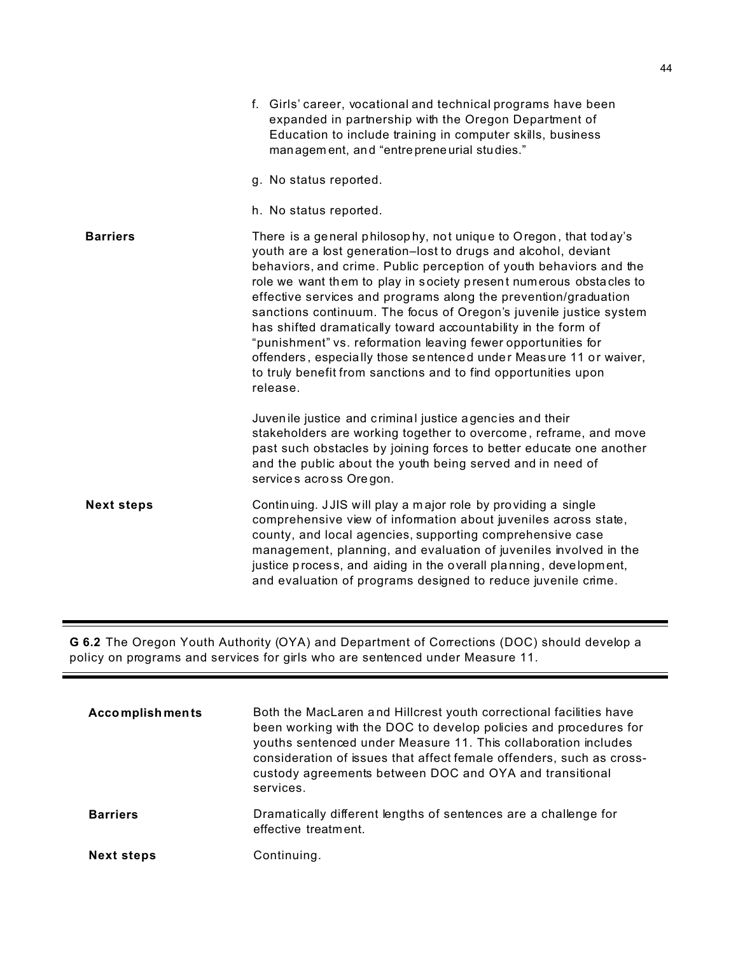|                   | f. Girls' career, vocational and technical programs have been<br>expanded in partnership with the Oregon Department of<br>Education to include training in computer skills, business<br>management, and "entrepreneurial studies."                                                                                                                                                                                                                                                                                                                                                                                                                                                                           |
|-------------------|--------------------------------------------------------------------------------------------------------------------------------------------------------------------------------------------------------------------------------------------------------------------------------------------------------------------------------------------------------------------------------------------------------------------------------------------------------------------------------------------------------------------------------------------------------------------------------------------------------------------------------------------------------------------------------------------------------------|
|                   | g. No status reported.                                                                                                                                                                                                                                                                                                                                                                                                                                                                                                                                                                                                                                                                                       |
|                   | h. No status reported.                                                                                                                                                                                                                                                                                                                                                                                                                                                                                                                                                                                                                                                                                       |
| <b>Barriers</b>   | There is a general philosophy, not unique to Oregon, that today's<br>youth are a lost generation-lost to drugs and alcohol, deviant<br>behaviors, and crime. Public perception of youth behaviors and the<br>role we want them to play in society present numerous obstacles to<br>effective services and programs along the prevention/graduation<br>sanctions continuum. The focus of Oregon's juvenile justice system<br>has shifted dramatically toward accountability in the form of<br>"punishment" vs. reformation leaving fewer opportunities for<br>offenders, especially those sentenced under Measure 11 or waiver,<br>to truly benefit from sanctions and to find opportunities upon<br>release. |
|                   | Juvenile justice and criminal justice agencies and their<br>stakeholders are working together to overcome, reframe, and move<br>past such obstacles by joining forces to better educate one another<br>and the public about the youth being served and in need of<br>services across Oregon.                                                                                                                                                                                                                                                                                                                                                                                                                 |
| <b>Next steps</b> | Continuing. JJIS will play a major role by providing a single<br>comprehensive view of information about juveniles across state,<br>county, and local agencies, supporting comprehensive case<br>management, planning, and evaluation of juveniles involved in the<br>justice process, and aiding in the overall planning, development,<br>and evaluation of programs designed to reduce juvenile crime.                                                                                                                                                                                                                                                                                                     |

**G 6.2** The Oregon Youth Authority (OYA) and Department of Corrections (DOC) should develop a policy on programs and services for girls who are sentenced under Measure 11.

| <b>Accomplishments</b> | Both the MacLaren and Hillcrest youth correctional facilities have<br>been working with the DOC to develop policies and procedures for<br>youths sentenced under Measure 11. This collaboration includes<br>consideration of issues that affect female offenders, such as cross-<br>custody agreements between DOC and OYA and transitional<br>services. |
|------------------------|----------------------------------------------------------------------------------------------------------------------------------------------------------------------------------------------------------------------------------------------------------------------------------------------------------------------------------------------------------|
| <b>Barriers</b>        | Dramatically different lengths of sentences are a challenge for<br>effective treatment.                                                                                                                                                                                                                                                                  |
| <b>Next steps</b>      | Continuing.                                                                                                                                                                                                                                                                                                                                              |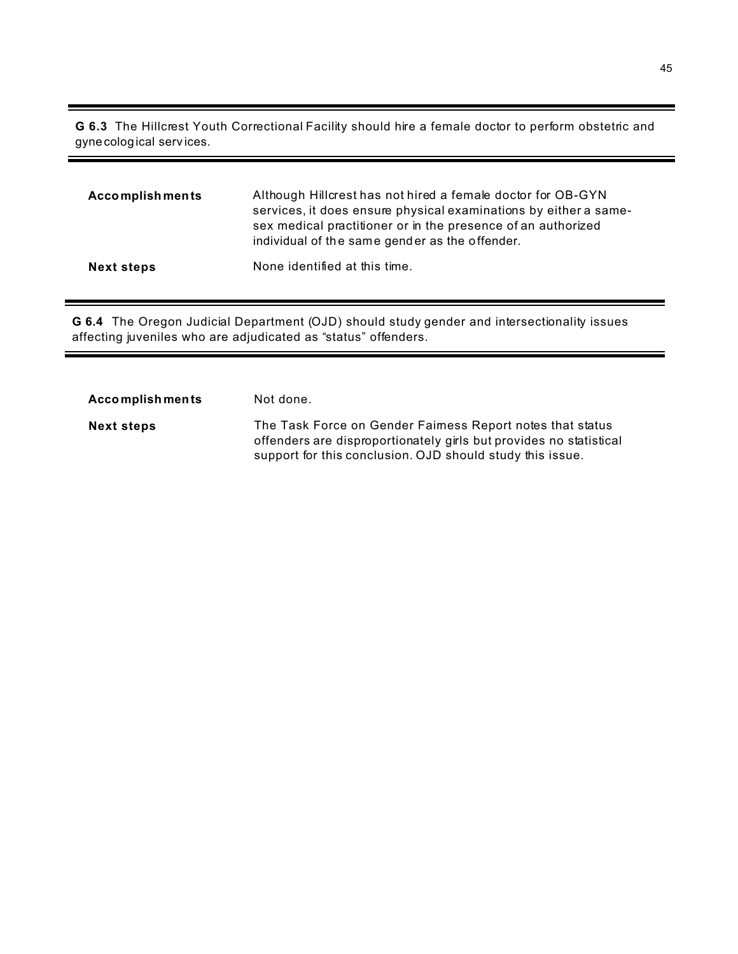**G 6.3** The Hillcrest Youth Correctional Facility should hire a female doctor to perform obstetric and gynecological serv ices.

| <b>Accomplishments</b> | Although Hillcrest has not hired a female doctor for OB-GYN<br>services, it does ensure physical examinations by either a same-<br>sex medical practitioner or in the presence of an authorized<br>individual of the same gender as the offender. |
|------------------------|---------------------------------------------------------------------------------------------------------------------------------------------------------------------------------------------------------------------------------------------------|
| <b>Next steps</b>      | None identified at this time.                                                                                                                                                                                                                     |

**G 6.4** The Oregon Judicial Department (OJD) should study gender and intersectionality issues affecting juveniles who are adjudicated as "status" offenders.

| Accomplishments   | Not done.                                                                                                                                                                                    |
|-------------------|----------------------------------------------------------------------------------------------------------------------------------------------------------------------------------------------|
| <b>Next steps</b> | The Task Force on Gender Faimess Report notes that status<br>offenders are disproportionately girls but provides no statistical<br>support for this conclusion. OJD should study this issue. |

۰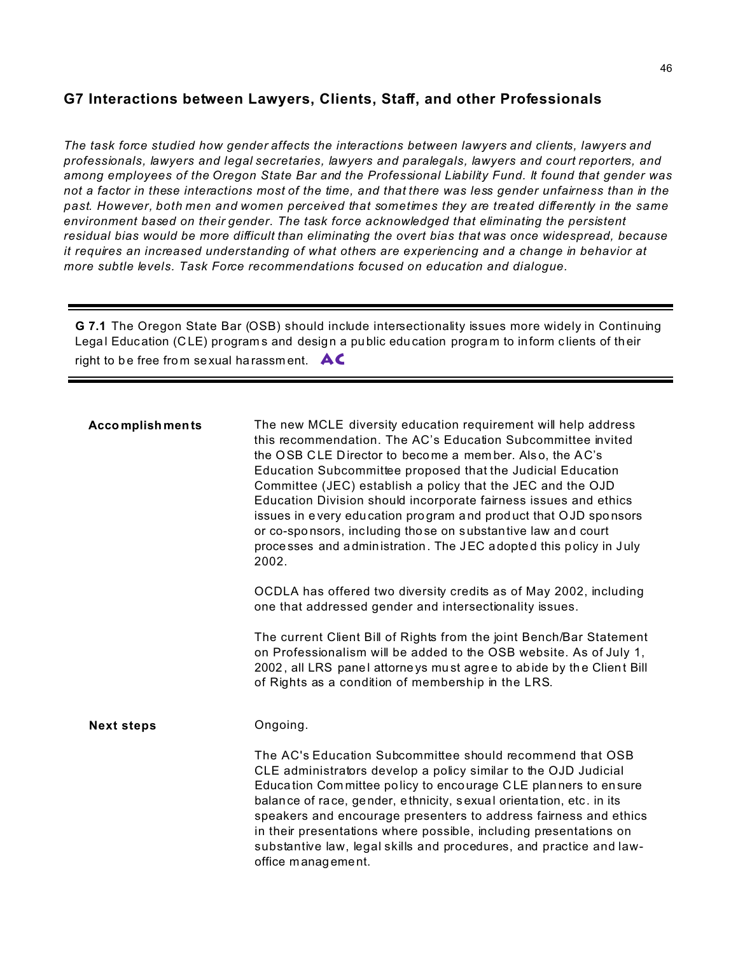# **G7 Interactions between Lawyers, Clients, Staff, and other Professionals**

*The task force studied how gender affects the interactions between lawyers and clients, lawyers and professionals, lawyers and legal secretaries, lawyers and paralegals, lawyers and court reporters, and among employees of the Oregon State Bar and the Professional Liability Fund. It found that gender was not a factor in these interactions most of the time, and that there was less gender unfairness than in the past. However, both men and women perceived that sometimes they are treated differently in the same environment based on their gender. The task force acknowledged that eliminating the persistent residual bias would be more difficult than eliminating the overt bias that was once widespread, because it requires an increased understanding of what others are experiencing and a change in behavior at more subtle levels. Task Force recommendations focused on education and dialogue.*

**G 7.1** The Oregon State Bar (OSB) should include intersectionality issues more widely in Continuing Legal Education (CLE) programs and design a public education program to inform clients of their right to be free from sexual harassment.  $AC$ 

| <b>Accomplishments</b> | The new MCLE diversity education requirement will help address<br>this recommendation. The AC's Education Subcommittee invited<br>the OSB CLE Director to become a member. Also, the AC's<br>Education Subcommittee proposed that the Judicial Education<br>Committee (JEC) establish a policy that the JEC and the OJD<br>Education Division should incorporate fairness issues and ethics<br>issues in every education program and product that OJD sponsors<br>or co-sponsors, including those on substantive law and court<br>processes and administration. The JEC adopted this policy in July<br>2002. |
|------------------------|--------------------------------------------------------------------------------------------------------------------------------------------------------------------------------------------------------------------------------------------------------------------------------------------------------------------------------------------------------------------------------------------------------------------------------------------------------------------------------------------------------------------------------------------------------------------------------------------------------------|
|                        | OCDLA has offered two diversity credits as of May 2002, including<br>one that addressed gender and intersectionality issues.                                                                                                                                                                                                                                                                                                                                                                                                                                                                                 |
|                        | The current Client Bill of Rights from the joint Bench/Bar Statement<br>on Professionalism will be added to the OSB website. As of July 1,<br>2002, all LRS panel attorneys must agree to abide by the Client Bill<br>of Rights as a condition of membership in the LRS.                                                                                                                                                                                                                                                                                                                                     |
| <b>Next steps</b>      | Ongoing.                                                                                                                                                                                                                                                                                                                                                                                                                                                                                                                                                                                                     |
|                        | The AC's Education Subcommittee should recommend that OSB<br>CLE administrators develop a policy similar to the OJD Judicial<br>Education Committee policy to encourage CLE planners to ensure<br>balance of race, gender, ethnicity, sexual orientation, etc. in its<br>speakers and encourage presenters to address fairness and ethics<br>in their presentations where possible, including presentations on<br>substantive law, legal skills and procedures, and practice and law-<br>office management.                                                                                                  |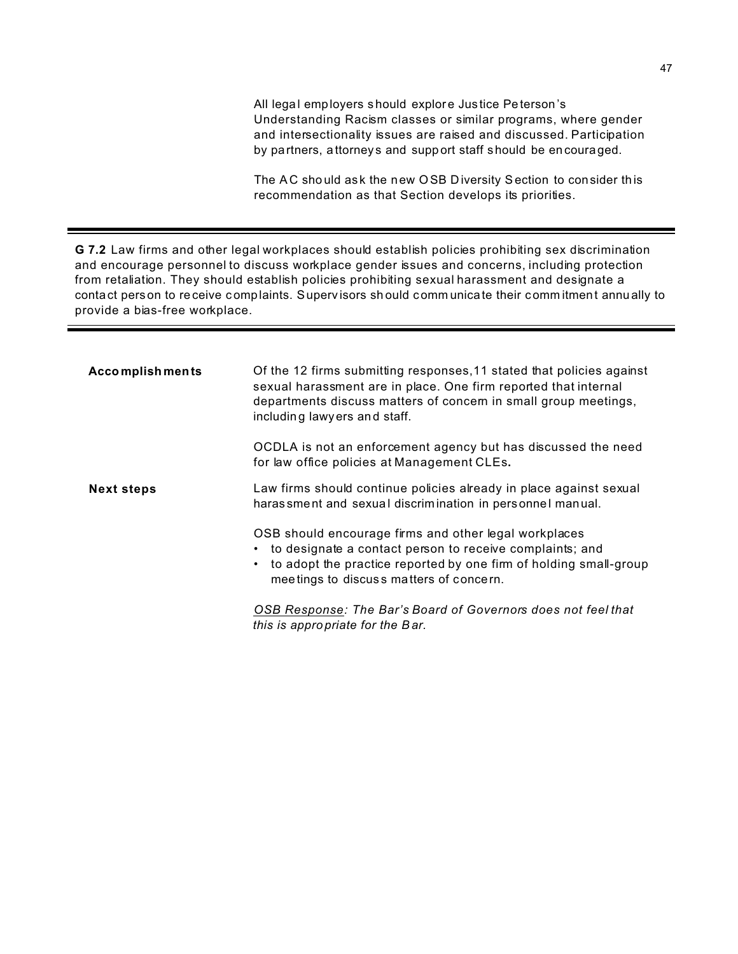All legal employers s hould explore Jus tice Pe terson 's Understanding Racism classes or similar programs, where gender and intersectionality issues are raised and discussed. Participation by partners, a ttorney s and support staff should be en coura ged.

The AC should ask the new OSB Diversity Section to consider this recommendation as that Section develops its priorities.

**G 7.2** Law firms and other legal workplaces should establish policies prohibiting sex discrimination and encourage personnel to discuss workplace gender issues and concerns, including protection from retaliation. They should establish policies prohibiting sexual harassment and designate a contact person to re ceive c omp laints. Superv isors sh ould comm unicate their comm itment annu ally to provide a bias-free workplace.

| <b>Accomplishments</b> | Of the 12 firms submitting responses, 11 stated that policies against<br>sexual harassment are in place. One firm reported that internal<br>departments discuss matters of concem in small group meetings,<br>including lawyers and staff.          |
|------------------------|-----------------------------------------------------------------------------------------------------------------------------------------------------------------------------------------------------------------------------------------------------|
|                        | OCDLA is not an enforcement agency but has discussed the need<br>for law office policies at Management CLEs.                                                                                                                                        |
| <b>Next steps</b>      | Law firms should continue policies already in place against sexual<br>haras sment and sexual discrimination in personnel manual.                                                                                                                    |
|                        | OSB should encourage firms and other legal workplaces<br>to designate a contact person to receive complaints; and<br>٠<br>to adopt the practice reported by one firm of holding small-group<br>$\bullet$<br>meetings to discuss matters of concern. |
|                        | OSB Response: The Bar's Board of Governors does not feel that<br>this is appropriate for the Bar.                                                                                                                                                   |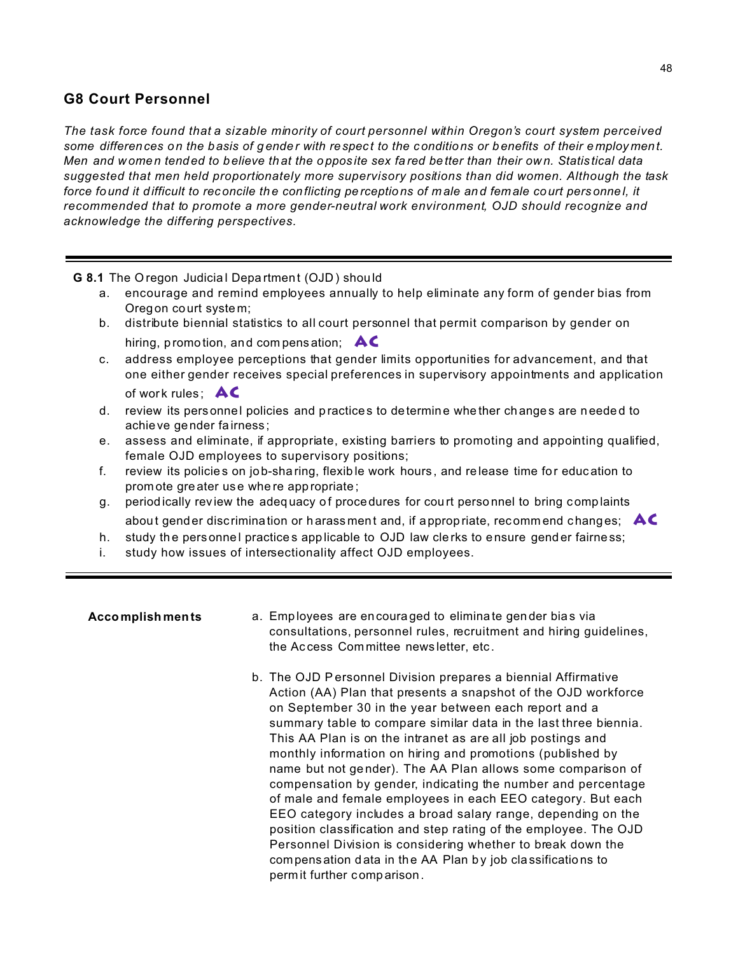## **G8 Court Personnel**

*The task force found that a sizable minority of court personnel within Oregon's court system perceived some differences on the basis of g ende r with respec t to the conditions or b enefits of their employ ment. Men and w omen tend ed to b elieve th at the o ppos ite sex fa red be tter than their ow n. Statis tical data suggested that men held proportionately more supervisory positions than did women. Although the task force fo und it difficult to rec oncile th e conflicting pe rceptions of m ale and female court pers onne l, it recommended that to promote a more gender-neutral work environment, OJD should recognize and acknowledge the differing perspectives.*

#### **G 8.1** The O regon Judicia l Depa rtmen t (OJD ) shou ld

- a. encourage and remind employees annually to help eliminate any form of gender bias from Oregon court syste m;
- b. distribute biennial statistics to all court personnel that permit comparison by gender on hiring, promo tion, and com pens ation; **AC**
- c. address employee perceptions that gender limits opportunities for advancement, and that one either gender receives special preferences in supervisory appointments and application of work rules;  $AC$
- d. review its personnel policies and practices to determine whe ther changes are needed to achieve gender fa irness ;
- e. assess and eliminate, if appropriate, existing barriers to promoting and appointing qualified, female OJD employees to supervisory positions;
- f. review its policie s on job-sha ring, flexib le work hours , and re lease time for educ ation to prom ote gre ater us e whe re app ropriate ;
- g. periodically review the adequacy of procedures for court personnel to bring complaints abou t gend er disc rimination or h arass men t and, if approp riate, rec omm end chang es; **AC**
- h. study the personnel practices applicable to OJD law clerks to ensure gender fairness;
- i. study how issues of intersectionality affect OJD employees.

- **Accomplishments** a. Employees are encouraged to eliminate gender bias via consultations, personnel rules, recruitment and hiring guidelines, the Ac cess Com mittee news letter, etc .
	- b. The OJD Personnel Division prepares a biennial Affirmative Action (AA) Plan that presents a snapshot of the OJD workforce on September 30 in the year between each report and a summary table to compare similar data in the last three biennia. This AA Plan is on the intranet as are all job postings and monthly information on hiring and promotions (published by name but not ge nder). The AA Plan allows some comparison of compensation by gender, indicating the number and percentage of male and female employees in each EEO category. But each EEO category includes a broad salary range, depending on the position classification and step rating of the employee. The OJD Personnel Division is considering whether to break down the compens ation data in the AA Plan by job classifications to perm it further comp arison.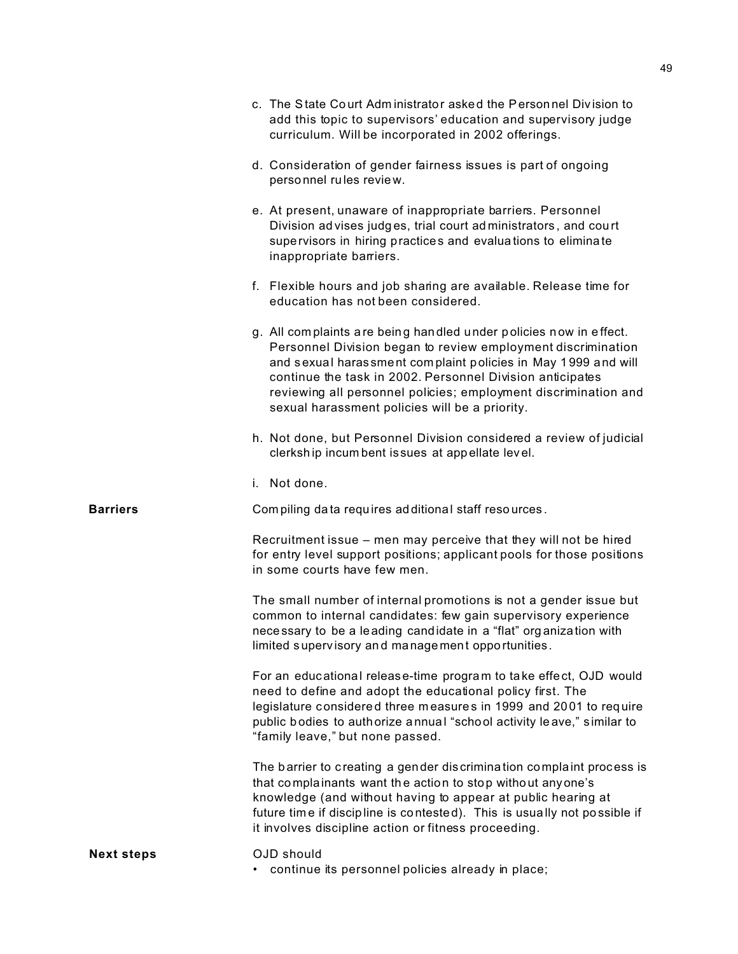|                   | c. The State Court Administrator asked the Personnel Division to<br>add this topic to supervisors' education and supervisory judge<br>curriculum. Will be incorporated in 2002 offerings.                                                                                                                                                                                            |
|-------------------|--------------------------------------------------------------------------------------------------------------------------------------------------------------------------------------------------------------------------------------------------------------------------------------------------------------------------------------------------------------------------------------|
|                   | d. Consideration of gender fairness issues is part of ongoing<br>personnel rules review.                                                                                                                                                                                                                                                                                             |
|                   | e. At present, unaware of inappropriate barriers. Personnel<br>Division advises judges, trial court administrators, and court<br>supervisors in hiring practices and evaluations to eliminate<br>inappropriate barriers.                                                                                                                                                             |
|                   | f. Flexible hours and job sharing are available. Release time for<br>education has not been considered.                                                                                                                                                                                                                                                                              |
|                   | g. All complaints are being handled under policies now in effect.<br>Personnel Division began to review employment discrimination<br>and sexual harassment complaint policies in May 1999 and will<br>continue the task in 2002. Personnel Division anticipates<br>reviewing all personnel policies; employment discrimination and<br>sexual harassment policies will be a priority. |
|                   | h. Not done, but Personnel Division considered a review of judicial<br>clerkship incumbent is sues at appellate level.                                                                                                                                                                                                                                                               |
|                   | i. Not done.                                                                                                                                                                                                                                                                                                                                                                         |
| <b>Barriers</b>   | Compiling data requires additional staff resources.                                                                                                                                                                                                                                                                                                                                  |
|                   | Recruitment issue - men may perceive that they will not be hired<br>for entry level support positions; applicant pools for those positions<br>in some courts have few men.                                                                                                                                                                                                           |
|                   | The small number of internal promotions is not a gender issue but<br>common to internal candidates: few gain supervisory experience<br>necessary to be a leading candidate in a "flat" organization with<br>limited supervisory and management opportunities.                                                                                                                        |
|                   | For an educational release-time program to take effect, OJD would<br>need to define and adopt the educational policy first. The<br>legislature considered three measures in 1999 and 2001 to require<br>public bodies to authorize annual "school activity leave," similar to<br>"family leave," but none passed.                                                                    |
|                   | The barrier to creating a gender discrimination complaint process is<br>that complainants want the action to stop without anyone's<br>knowledge (and without having to appear at public hearing at<br>future time if discipline is contested). This is usually not possible if<br>it involves discipline action or fitness proceeding.                                               |
| <b>Next steps</b> | OJD should<br>continue its personnel policies already in place;                                                                                                                                                                                                                                                                                                                      |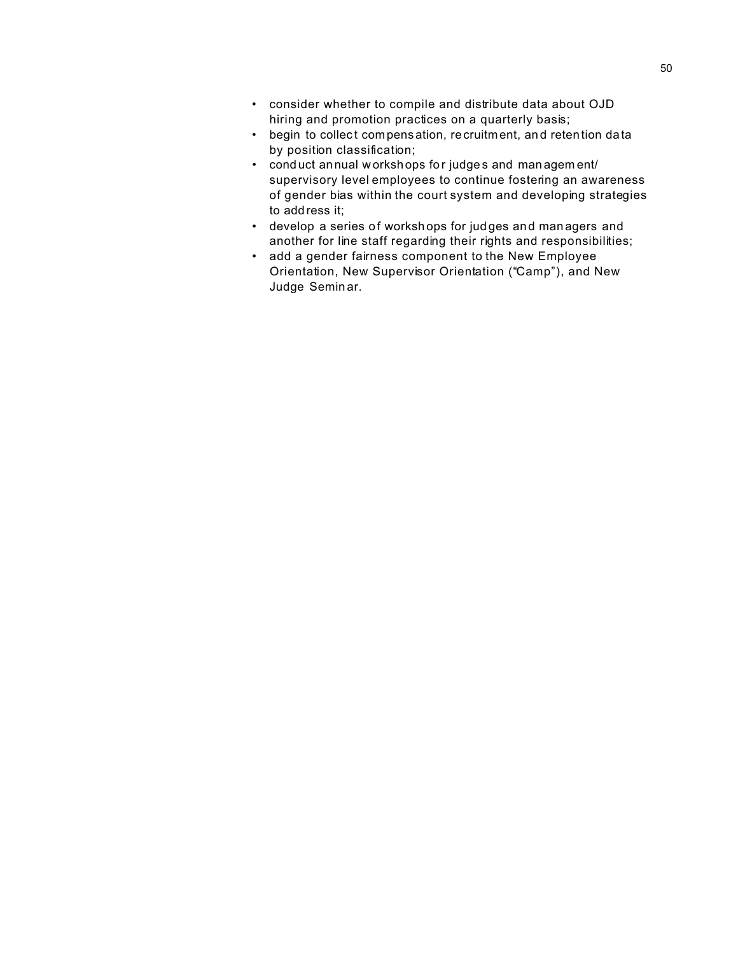- consider whether to compile and distribute data about OJD hiring and promotion practices on a quarterly basis;
- begin to collect compensation, recruitment, and retention data by position classification;
- cond uct annual w orksh ops for judge s and managem ent/ supervisory level employees to continue fostering an awareness of gender bias within the court system and developing strategies to add ress it;
- develop a series of workshops for judges and managers and another for line staff regarding their rights and responsibilities;
- add a gender fairness component to the New Employee Orientation, New Supervisor Orientation ("Camp"), and New Judge Semin ar.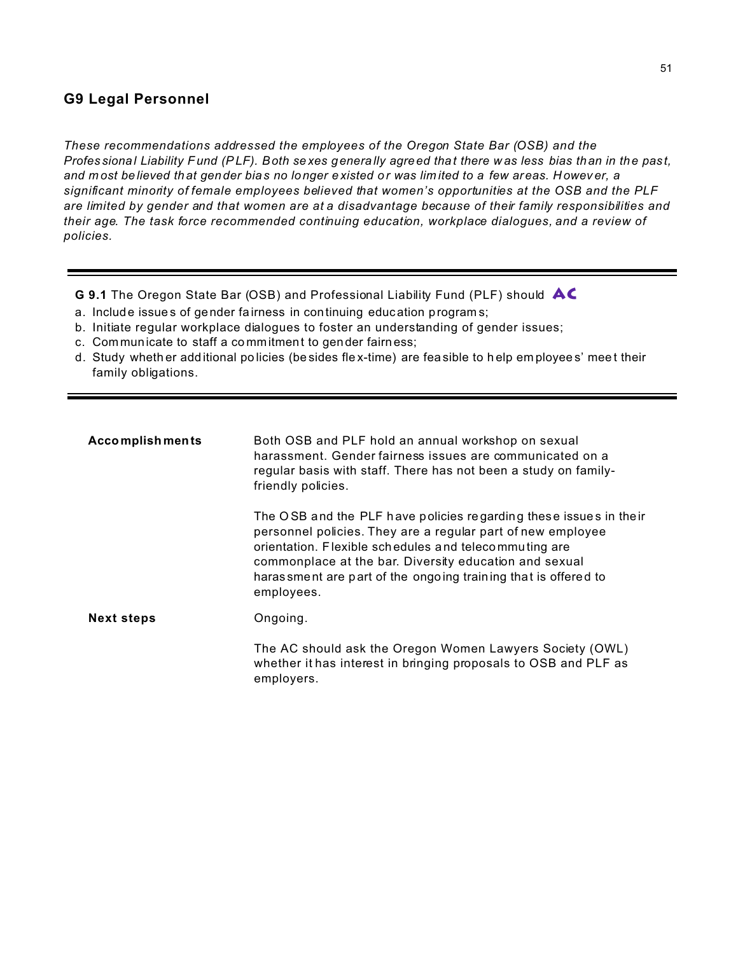## **G9 Legal Personnel**

*These recommendations addressed the employees of the Oregon State Bar (OSB) and the Profes sional Liability Fund (PLF). Both sexes genera lly agreed tha t there w as less bias than in the pas t, and m ost believed th at gen der bia s no longer e xisted o r was lim ited to a few areas. H owev er, a significant minority of female employees believed that women's opportunities at the OSB and the PLF are limited by gender and that women are at a disadvantage because of their family responsibilities and their age. The task force recommended continuing education, workplace dialogues, and a review of policies.*

**G 9.1** The Oregon State Bar (OSB) and Professional Liability Fund (PLF) should **AC**

- a. Include issue s of gender fa irness in continuing education program s;
- b. Initiate regular workplace dialogues to foster an understanding of gender issues;
- c. Com mun icate to staff a co mmitment to gen der fairn ess;
- d. Study wheth er add itional po licies (be sides fle x-time) are fea sible to h elp em ployee s' mee t their family obligations.

| <b>Accomplishments</b> | Both OSB and PLF hold an annual workshop on sexual<br>harassment. Gender fairness issues are communicated on a<br>regular basis with staff. There has not been a study on family-<br>friendly policies.                                                                                                                              |
|------------------------|--------------------------------------------------------------------------------------------------------------------------------------------------------------------------------------------------------------------------------------------------------------------------------------------------------------------------------------|
|                        | The OSB and the PLF have policies regarding these issues in their<br>personnel policies. They are a regular part of new employee<br>orientation. Flexible schedules and telecommuting are<br>commonplace at the bar. Diversity education and sexual<br>haras sment are part of the ongoing training that is offered to<br>employees. |
| <b>Next steps</b>      | Ongoing.                                                                                                                                                                                                                                                                                                                             |
|                        | The AC should ask the Oregon Women Lawyers Society (OWL)<br>whether it has interest in bringing proposals to OSB and PLF as<br>employers.                                                                                                                                                                                            |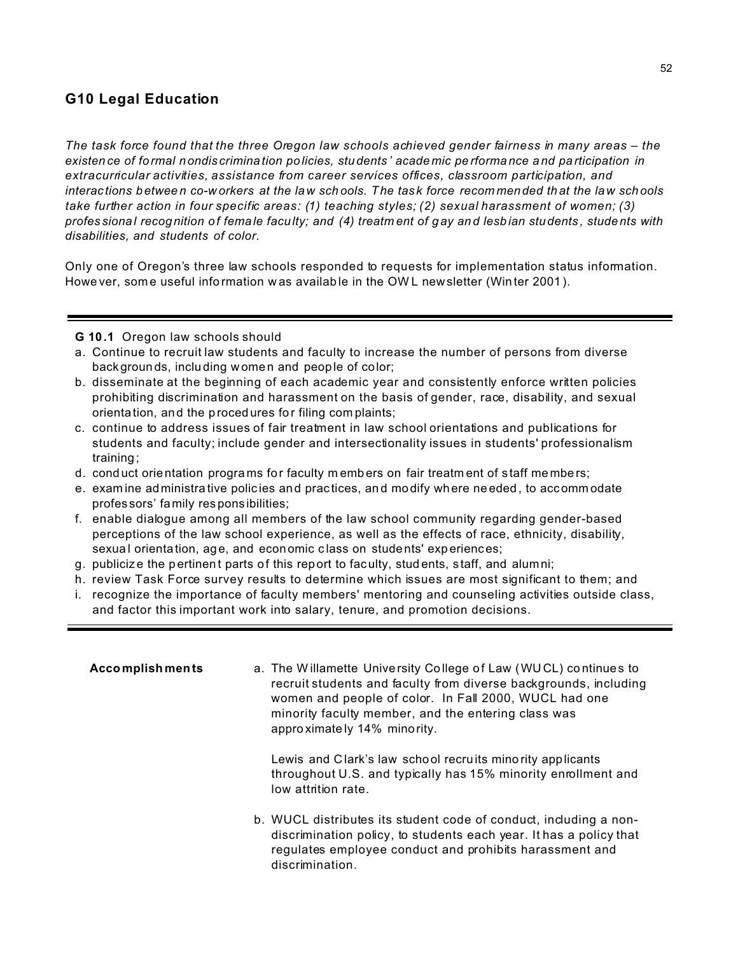# **G10 Legal Education**

The task force found that the three Oregon law schools achieved gender fairness in many areas – the existence of formal nondiscrimination policies, students' acade mic performance and participation in extracurricular activities, assistance from career services offices, classroom participation, and interactions between co-workers at the law schools. The task force recommended that the law schools take further action in four specific areas: (1) teaching styles; (2) sexual harassment of women; (3) professional recognition of female faculty; and (4) treatment of gay and lesbian students, students with disabilities, and students of color.

Only one of Oregon's three law schools responded to requests for implementation status information. Howe ver, some useful information was available in the OWL newsletter (Winter 2001).

- G 10.1 Oregon law schools should
- a. Continue to recruit law students and faculty to increase the number of persons from diverse backgrounds, including women and people of color;
- b. disseminate at the beginning of each academic year and consistently enforce written policies prohibiting discrimination and harassment on the basis of gender, race, disability, and sexual orientation, and the procedures for filing complaints;
- c. continue to address issues of fair treatment in law school orientations and publications for students and faculty; include gender and intersectionality issues in students' professionalism training:
- d. conduct orientation programs for faculty members on fair treatment of staff members;
- e. examine administrative policies and practices, and modify where needed, to accommodate professors' family responsibilities;
- f. enable dialogue among all members of the law school community regarding gender-based perceptions of the law school experience, as well as the effects of race, ethnicity, disability, sexual orientation, age, and economic class on students' experiences;
- g. publicize the pertinent parts of this report to faculty, students, staff, and alumni;
- h. review Task Force survey results to determine which issues are most significant to them; and
- i. recognize the importance of faculty members' mentoring and counseling activities outside class, and factor this important work into salary, tenure, and promotion decisions.

| <b>Accomplishments</b> | a. The Willamette University College of Law (WUCL) continues to<br>recruit students and faculty from diverse backgrounds, including<br>women and people of color. In Fall 2000, WUCL had one<br>minority faculty member, and the entering class was<br>approximately 14% minority. |
|------------------------|------------------------------------------------------------------------------------------------------------------------------------------------------------------------------------------------------------------------------------------------------------------------------------|
|                        | Lewis and Clark's law school recruits minority applicants<br>throughout U.S. and typically has 15% minority enrollment and<br>low attrition rate.                                                                                                                                  |
|                        | b. WUCL distributes its student code of conduct, including a non-<br>discrimination policy, to students each year. It has a policy that<br>regulates employee conduct and prohibits harassment and<br>discrimination.                                                              |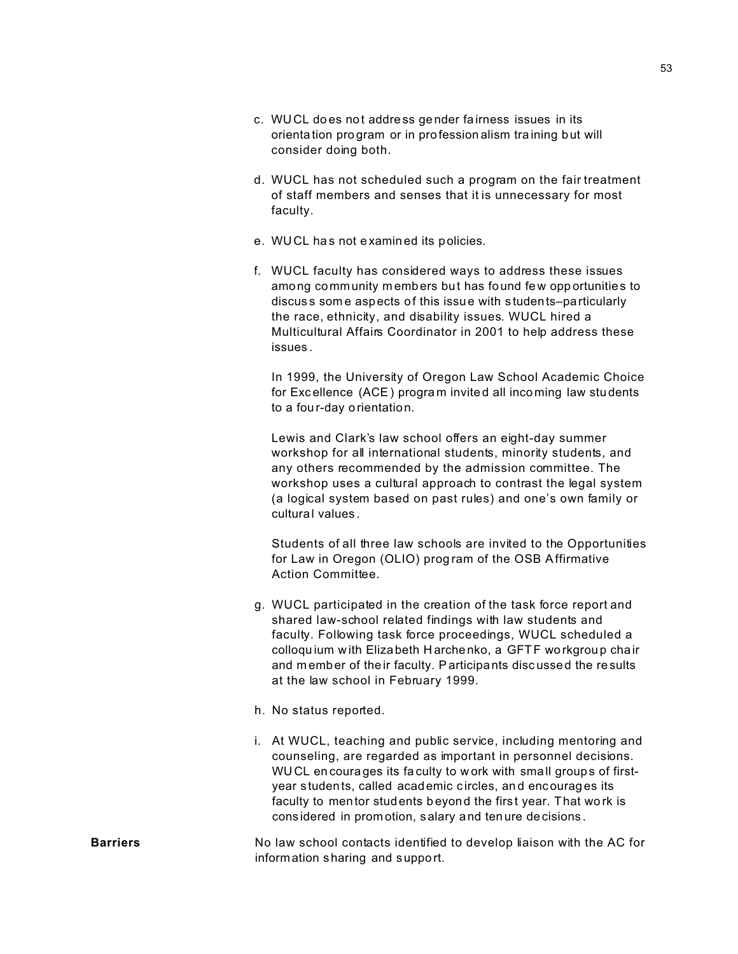- c. WUCL does not address gender fairness issues in its orientation program or in profession alism training but will consider doing both.
- d. WUCL has not scheduled such a program on the fair treatment of staff members and senses that it is unnecessary for most faculty.
- e. WUCL has not examined its policies.
- f. WUCL faculty has considered ways to address these issues among community members but has found few opportunities to discuss some aspects of this issue with students-particularly the race, ethnicity, and disability issues. WUCL hired a Multicultural Affairs Coordinator in 2001 to help address these issues.

In 1999, the University of Oregon Law School Academic Choice for Excellence (ACE) program invited all incoming law students to a four-day orientation.

Lewis and Clark's law school offers an eight-day summer workshop for all international students, minority students, and any others recommended by the admission committee. The workshop uses a cultural approach to contrast the legal system (a logical system based on past rules) and one's own family or cultural values.

Students of all three law schools are invited to the Opportunities for Law in Oregon (OLIO) program of the OSB Affirmative Action Committee.

- g. WUCL participated in the creation of the task force report and shared law-school related findings with law students and faculty. Following task force proceedings, WUCL scheduled a colloquium with Elizabeth Harchenko, a GFTF workgroup chair and member of their faculty. Participants discussed the results at the law school in February 1999.
- h. No status reported.
- i. At WUCL, teaching and public service, including mentoring and counseling, are regarded as important in personnel decisions. WUCL encourages its faculty to work with small groups of firstyear students, called academic circles, and encourages its faculty to mentor students beyond the first year. That work is considered in promotion, salary and tenure decisions.

No law school contacts identified to develop liaison with the AC for **Barriers** information sharing and support.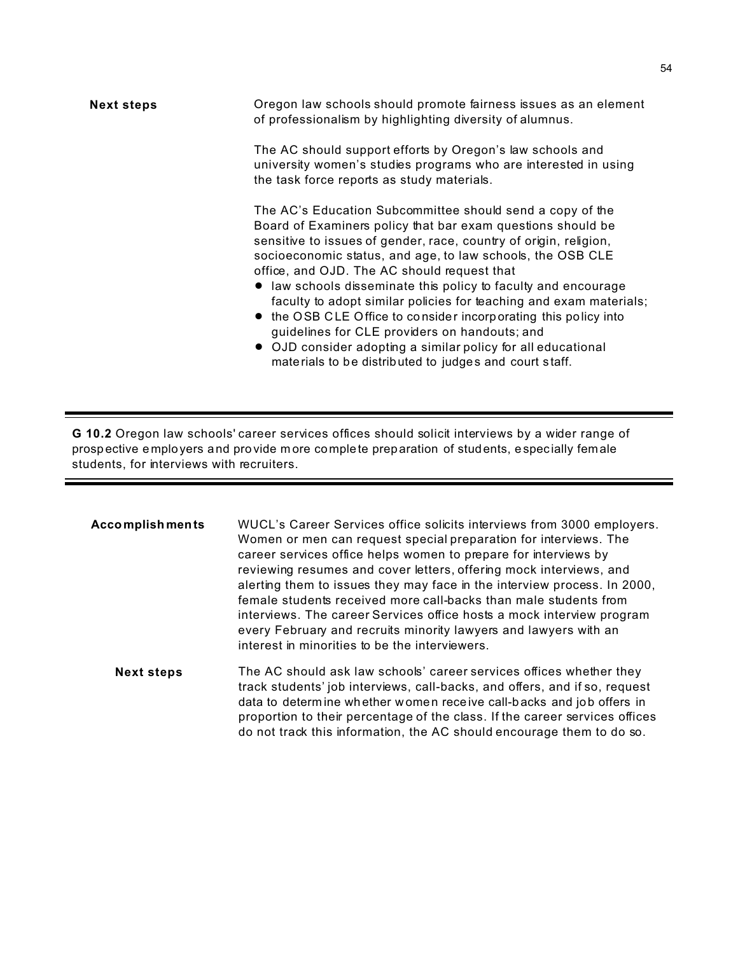| <b>Next steps</b> | Oregon law schools should promote fairness issues as an element<br>of professionalism by highlighting diversity of alumnus.                                                                                                                                                                                                                                                                                                                                                                                                                                                                                                                                                                      |
|-------------------|--------------------------------------------------------------------------------------------------------------------------------------------------------------------------------------------------------------------------------------------------------------------------------------------------------------------------------------------------------------------------------------------------------------------------------------------------------------------------------------------------------------------------------------------------------------------------------------------------------------------------------------------------------------------------------------------------|
|                   | The AC should support efforts by Oregon's law schools and<br>university women's studies programs who are interested in using<br>the task force reports as study materials.                                                                                                                                                                                                                                                                                                                                                                                                                                                                                                                       |
|                   | The AC's Education Subcommittee should send a copy of the<br>Board of Examiners policy that bar exam questions should be<br>sensitive to issues of gender, race, country of origin, religion,<br>socioeconomic status, and age, to law schools, the OSB CLE<br>office, and OJD. The AC should request that<br>• law schools disseminate this policy to faculty and encourage<br>faculty to adopt similar policies for teaching and exam materials;<br>• the OSB CLE Office to consider incorporating this policy into<br>guidelines for CLE providers on handouts; and<br>• OJD consider adopting a similar policy for all educational<br>materials to be distributed to judges and court staff. |

**G 10.2** Oregon law schools' career services offices should solicit interviews by a wider range of prosp ective e mployers and pro vide m ore co mplete prep aration of students, espec ially fem ale students, for interviews with recruiters.

| <b>Accomplishments</b> | WUCL's Career Services office solicits interviews from 3000 employers.<br>Women or men can request special preparation for interviews. The<br>career services office helps women to prepare for interviews by<br>reviewing resumes and cover letters, offering mock interviews, and<br>alerting them to issues they may face in the interview process. In 2000,<br>female students received more call-backs than male students from<br>interviews. The career Services office hosts a mock interview program<br>every February and recruits minority lawyers and lawyers with an<br>interest in minorities to be the interviewers. |
|------------------------|------------------------------------------------------------------------------------------------------------------------------------------------------------------------------------------------------------------------------------------------------------------------------------------------------------------------------------------------------------------------------------------------------------------------------------------------------------------------------------------------------------------------------------------------------------------------------------------------------------------------------------|
| <b>Next steps</b>      | The AC should ask law schools' career services offices whether they<br>track students' job interviews, call-backs, and offers, and if so, request<br>data to determine whether women receive call-backs and job offers in<br>proportion to their percentage of the class. If the career services offices<br>do not track this information, the AC should encourage them to do so.                                                                                                                                                                                                                                                  |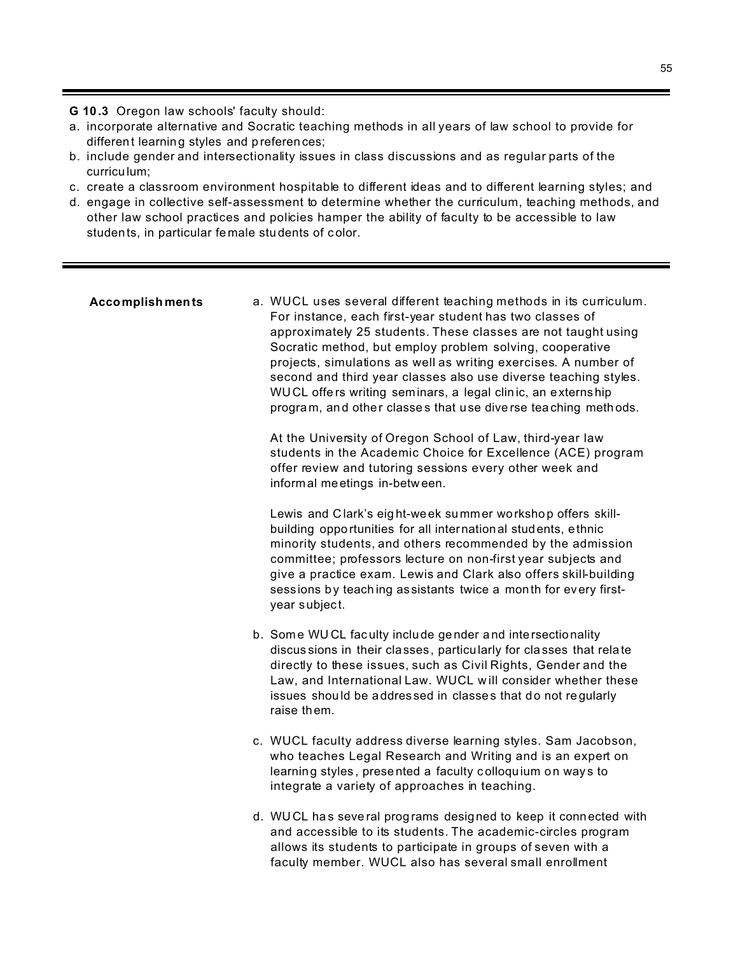G 10.3 Oregon law schools' faculty should:

- a. incorporate alternative and Socratic teaching methods in all years of law school to provide for different learning styles and preferences;
- b. include gender and intersectionality issues in class discussions and as regular parts of the curriculum:
- c. create a classroom environment hospitable to different ideas and to different learning styles; and
- d. engage in collective self-assessment to determine whether the curriculum, teaching methods, and other law school practices and policies hamper the ability of faculty to be accessible to law students, in particular female students of color.

#### **Accomplishments**

a. WUCL uses several different teaching methods in its curriculum. For instance, each first-year student has two classes of approximately 25 students. These classes are not taught using Socratic method, but employ problem solving, cooperative projects, simulations as well as writing exercises. A number of second and third year classes also use diverse teaching styles. WUCL offers writing seminars, a legal clinic, an externship program, and other classes that use diverse teaching methods.

At the University of Oregon School of Law, third-year law students in the Academic Choice for Excellence (ACE) program offer review and tutoring sessions every other week and informal meetings in-between.

Lewis and Clark's eight-week summer workshop offers skillbuilding opportunities for all international students, ethnic minority students, and others recommended by the admission committee; professors lecture on non-first year subjects and give a practice exam. Lewis and Clark also offers skill-building sessions by teaching assistants twice a month for every firstyear subject.

- b. Some WUCL faculty include gender and intersectionality discussions in their classes, particularly for classes that relate directly to these issues, such as Civil Rights, Gender and the Law, and International Law. WUCL will consider whether these issues should be addressed in classes that do not regularly raise them.
- c. WUCL faculty address diverse learning styles. Sam Jacobson, who teaches Legal Research and Writing and is an expert on learning styles, presented a faculty colloquium on ways to integrate a variety of approaches in teaching.
- d. WUCL has several programs designed to keep it connected with and accessible to its students. The academic-circles program allows its students to participate in groups of seven with a faculty member. WUCL also has several small enrollment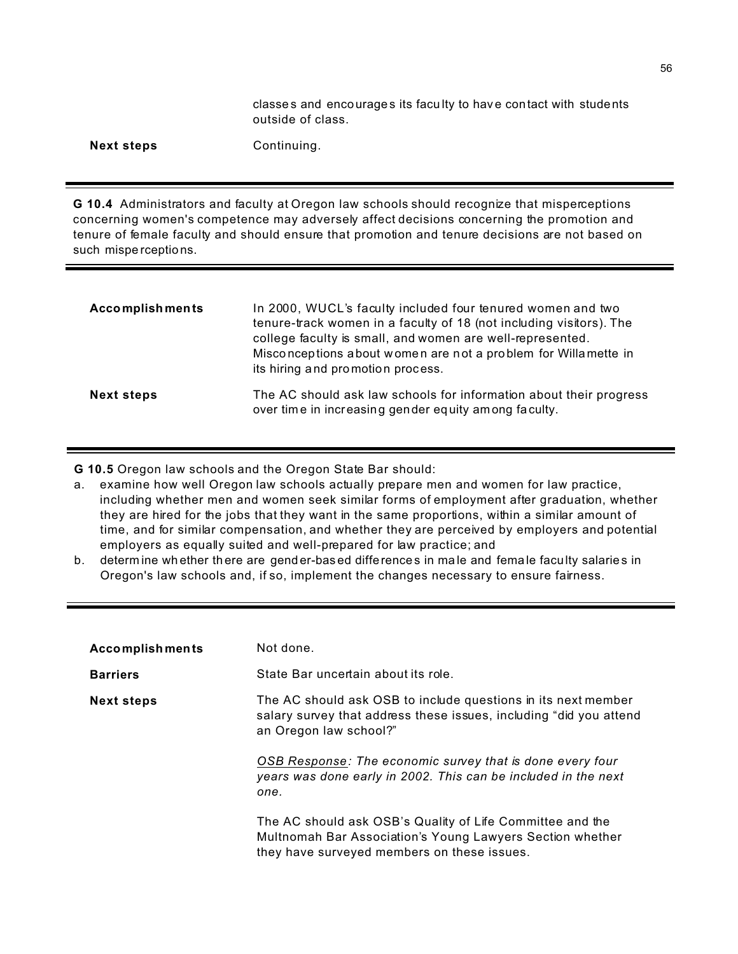classes and encourages its faculty to have contact with students outside of class.

| <b>Next steps</b> |
|-------------------|
|-------------------|

Continuing.

**G 10.4** Administrators and faculty at Oregon law schools should recognize that misperceptions concerning women's competence may adversely affect decisions concerning the promotion and tenure of female faculty and should ensure that promotion and tenure decisions are not based on such mispe rceptions.

| <b>Accomplishments</b> | In 2000, WUCL's faculty included four tenured women and two<br>tenure-track women in a faculty of 18 (not including visitors). The<br>college faculty is small, and women are well-represented.<br>Misconceptions about women are not a problem for Willamette in<br>its hiring and promotion process. |
|------------------------|--------------------------------------------------------------------------------------------------------------------------------------------------------------------------------------------------------------------------------------------------------------------------------------------------------|
| <b>Next steps</b>      | The AC should ask law schools for information about their progress<br>over time in increasing gender equity among faculty.                                                                                                                                                                             |

**G 10.5** Oregon law schools and the Oregon State Bar should:

- a. examine how well Oregon law schools actually prepare men and women for law practice, including whether men and women seek similar forms of employment after graduation, whether they are hired for the jobs that they want in the same proportions, within a similar amount of time, and for similar compensation, and whether they are perceived by employers and potential employers as equally suited and well-prepared for law practice; and
- b. determ ine wh ether th ere are gend er-bas ed difference s in ma le and female faculty salarie s in Oregon's law schools and, if so, implement the changes necessary to ensure fairness.

| <b>Accomplishments</b> | Not done.                                                                                                                                                                                                                                                                                    |
|------------------------|----------------------------------------------------------------------------------------------------------------------------------------------------------------------------------------------------------------------------------------------------------------------------------------------|
| <b>Barriers</b>        | State Bar uncertain about its role.                                                                                                                                                                                                                                                          |
| <b>Next steps</b>      | The AC should ask OSB to include questions in its next member<br>salary survey that address these issues, including "did you attend<br>an Oregon law school?"<br>OSB Response: The economic survey that is done every four<br>years was done early in 2002. This can be included in the next |
|                        | one.<br>The AC should ask OSB's Quality of Life Committee and the<br>Multnomah Bar Association's Young Lawyers Section whether<br>they have surveyed members on these issues.                                                                                                                |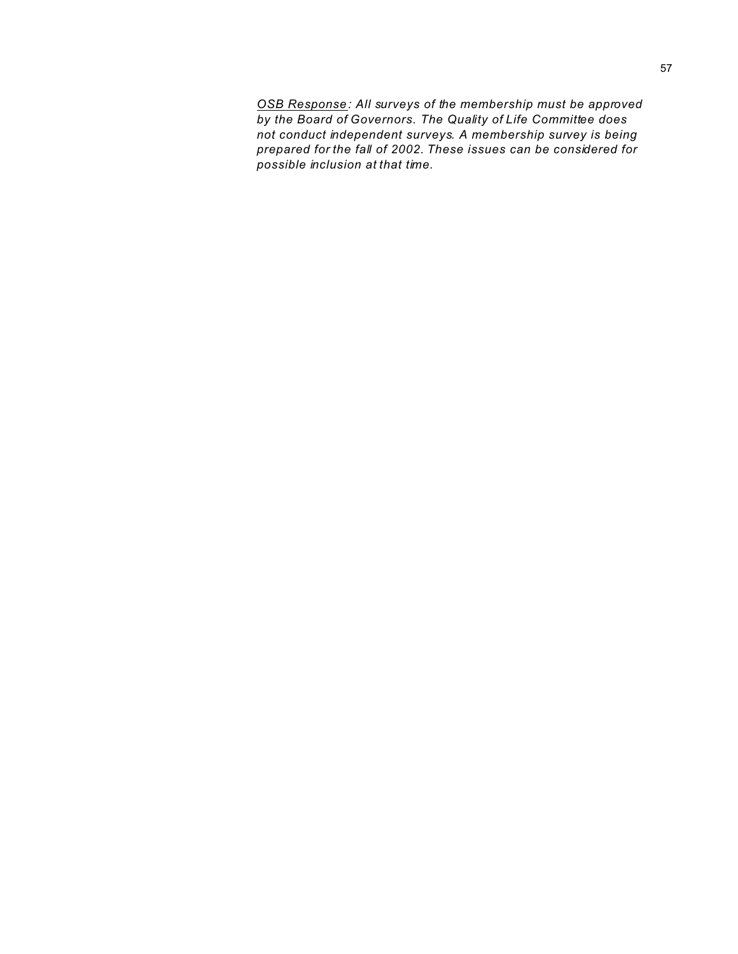*OSB Response: All surveys of the membership must be approved by the Board of Governors. The Quality of Life Committee does not conduct independent surveys. A membership survey is being prepared for the fall of 2002. These issues can be considered for possible inclusion at that time.*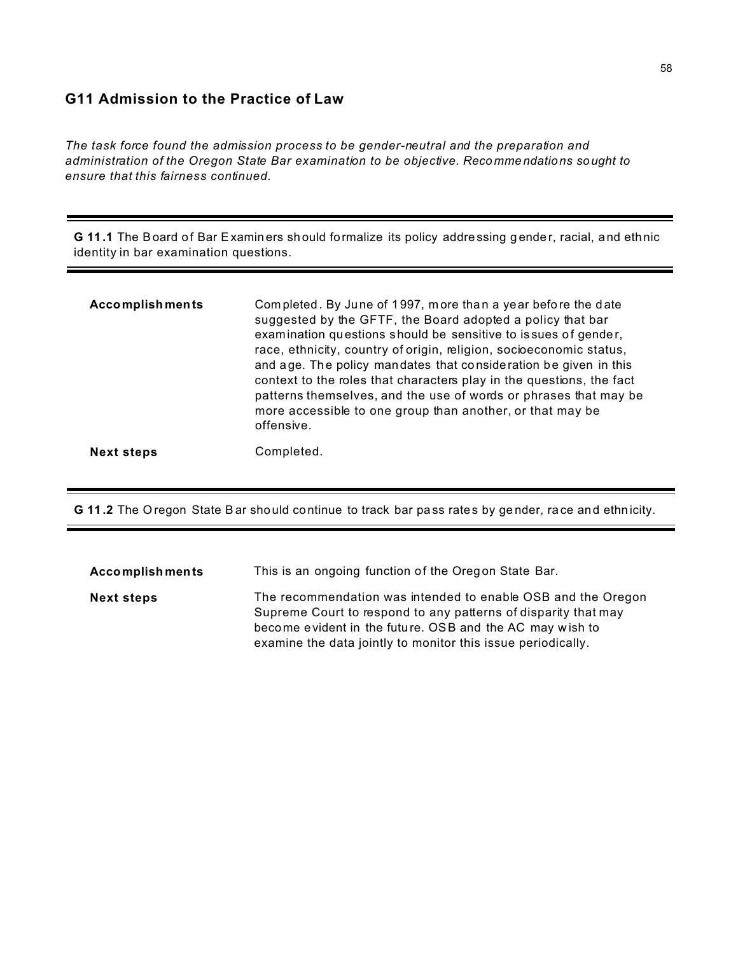### **G11 Admission to the Practice of Law**

*The task force found the admission process to be gender-neutral and the preparation and administration of the Oregon State Bar examination to be objective. Reco mme ndations sought to ensure that this fairness continued.*

**G 11.1** The Board of Bar Examiners should formalize its policy addressing gender, racial, and ethnic identity in bar examination questions.

| <b>Accomplishments</b> | Completed. By June of 1997, more than a year before the date<br>suggested by the GFTF, the Board adopted a policy that bar<br>examination questions should be sensitive to issues of gender,<br>race, ethnicity, country of origin, religion, socioeconomic status,<br>and age. The policy mandates that consideration be given in this<br>context to the roles that characters play in the questions, the fact<br>patterns themselves, and the use of words or phrases that may be<br>more accessible to one group than another, or that may be<br>offensive. |
|------------------------|----------------------------------------------------------------------------------------------------------------------------------------------------------------------------------------------------------------------------------------------------------------------------------------------------------------------------------------------------------------------------------------------------------------------------------------------------------------------------------------------------------------------------------------------------------------|
| <b>Next steps</b>      | Completed.                                                                                                                                                                                                                                                                                                                                                                                                                                                                                                                                                     |

**G 11.2** The O regon State Bar should continue to track bar pass rates by gender, race and ethnicity.

| <b>Accomplishments</b> | This is an ongoing function of the Oregon State Bar.                                                                                                                                                                                                       |
|------------------------|------------------------------------------------------------------------------------------------------------------------------------------------------------------------------------------------------------------------------------------------------------|
| <b>Next steps</b>      | The recommendation was intended to enable OSB and the Oregon<br>Supreme Court to respond to any patterns of disparity that may<br>become evident in the future. OSB and the AC may wish to<br>examine the data jointly to monitor this issue periodically. |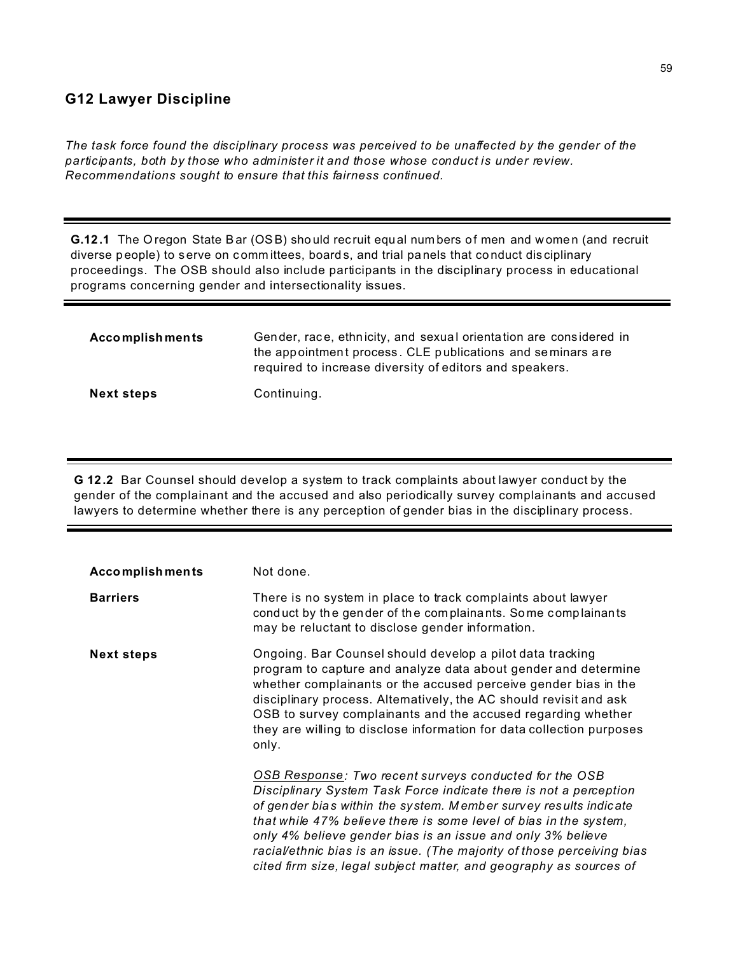## **G12 Lawyer Discipline**

*The task force found the disciplinary process was perceived to be unaffected by the gender of the participants, both by those who administer it and those whose conduct is under review. Recommendations sought to ensure that this fairness continued.*

**G.12.1** The Oregon State Bar (OSB) should recruit equal numbers of men and women (and recruit diverse people) to serve on committees, boards, and trial panels that conduct disciplinary proceedings. The OSB should also include participants in the disciplinary process in educational programs concerning gender and intersectionality issues.

| <b>Accomplishments</b> | Gender, race, ethnicity, and sexual orientation are considered in<br>the appointment process. CLE publications and seminars are<br>required to increase diversity of editors and speakers. |
|------------------------|--------------------------------------------------------------------------------------------------------------------------------------------------------------------------------------------|
| <b>Next steps</b>      | Continuing.                                                                                                                                                                                |

**G 12.2** Bar Counsel should develop a system to track complaints about lawyer conduct by the gender of the complainant and the accused and also periodically survey complainants and accused lawyers to determine whether there is any perception of gender bias in the disciplinary process.

| <b>Accomplishments</b> | Not done.                                                                                                                                                                                                                                                                                                                                                                                                                                                                           |
|------------------------|-------------------------------------------------------------------------------------------------------------------------------------------------------------------------------------------------------------------------------------------------------------------------------------------------------------------------------------------------------------------------------------------------------------------------------------------------------------------------------------|
| <b>Barriers</b>        | There is no system in place to track complaints about lawyer<br>conduct by the gender of the complainants. Some complainants<br>may be reluctant to disclose gender information.                                                                                                                                                                                                                                                                                                    |
| <b>Next steps</b>      | Ongoing. Bar Counsel should develop a pilot data tracking<br>program to capture and analyze data about gender and determine<br>whether complainants or the accused perceive gender bias in the<br>disciplinary process. Altematively, the AC should revisit and ask<br>OSB to survey complainants and the accused regarding whether<br>they are willing to disclose information for data collection purposes<br>only.                                                               |
|                        | OSB Response: Two recent surveys conducted for the OSB<br>Disciplinary System Task Force indicate there is not a perception<br>of gender bias within the system. Member survey results indicate<br>that while 47% believe there is some level of bias in the system,<br>only 4% believe gender bias is an issue and only 3% believe<br>racial/ethnic bias is an issue. (The majority of those perceiving bias<br>cited firm size, legal subject matter, and geography as sources of |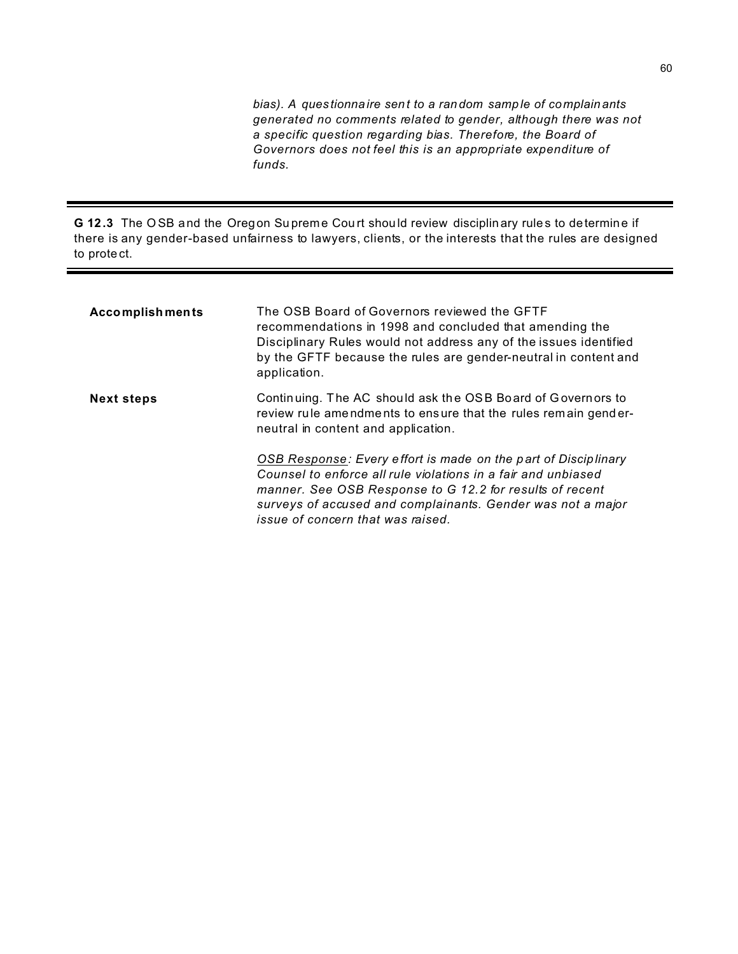*bias). A ques tionnaire sent to a ran dom samp le of complain ants generated no comments related to gender, although there was not a specific question regarding bias. Therefore, the Board of Governors does not feel this is an appropriate expenditure of funds.*

**G 12.3** The O SB and the Oregon Su prem e Cou rt shou ld review disciplin ary rules to determine if there is any gender-based unfairness to lawyers, clients, or the interests that the rules are designed to prote ct.

| <b>Accomplishments</b> | The OSB Board of Governors reviewed the GFTF<br>recommendations in 1998 and concluded that amending the<br>Disciplinary Rules would not address any of the issues identified<br>by the GFTF because the rules are gender-neutral in content and<br>application.                                 |
|------------------------|-------------------------------------------------------------------------------------------------------------------------------------------------------------------------------------------------------------------------------------------------------------------------------------------------|
| <b>Next steps</b>      | Continuing. The AC should ask the OSB Board of Governors to<br>review rule amendments to ensure that the rules remain gender-<br>neutral in content and application.                                                                                                                            |
|                        | OSB Response: Every effort is made on the part of Disciplinary<br>Counsel to enforce all rule violations in a fair and unbiased<br>manner. See OSB Response to G 12.2 for results of recent<br>surveys of accused and complainants. Gender was not a major<br>issue of concern that was raised. |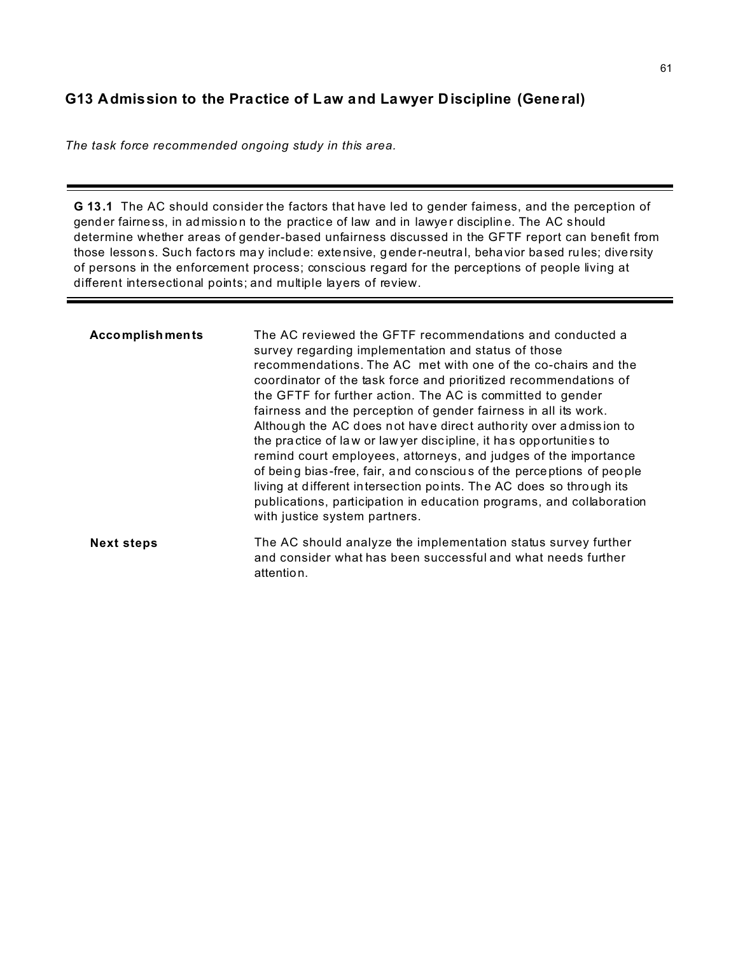# **G13 Admission to the Practice of Law and Lawyer Discipline (General)**

*The task force recommended ongoing study in this area.*

**G 13.1** The AC should consider the factors that have led to gender fairness, and the perception of gend er fairness, in ad mission to the practice of law and in lawyer discipline. The AC should determine whether areas of gender-based unfairness discussed in the GFTF report can benefit from those lesson s. Such factors may include: extensive, gender-neutral, behavior based rules; diversity of persons in the enforcement process; conscious regard for the perceptions of people living at different intersectional points; and multiple layers of review.

| <b>Accomplishments</b> | The AC reviewed the GFTF recommendations and conducted a<br>survey regarding implementation and status of those<br>recommendations. The AC met with one of the co-chairs and the<br>coordinator of the task force and prioritized recommendations of<br>the GFTF for further action. The AC is committed to gender<br>fairness and the perception of gender fairness in all its work.<br>Although the AC does not have direct authority over admission to<br>the practice of law or law yer discipline, it has opportunities to<br>remind court employees, attorneys, and judges of the importance<br>of being bias-free, fair, and conscious of the perceptions of people<br>living at different intersection points. The AC does so through its<br>publications, participation in education programs, and collaboration<br>with justice system partners. |
|------------------------|------------------------------------------------------------------------------------------------------------------------------------------------------------------------------------------------------------------------------------------------------------------------------------------------------------------------------------------------------------------------------------------------------------------------------------------------------------------------------------------------------------------------------------------------------------------------------------------------------------------------------------------------------------------------------------------------------------------------------------------------------------------------------------------------------------------------------------------------------------|
| <b>Next steps</b>      | The AC should analyze the implementation status survey further<br>and consider what has been successful and what needs further<br>attention.                                                                                                                                                                                                                                                                                                                                                                                                                                                                                                                                                                                                                                                                                                               |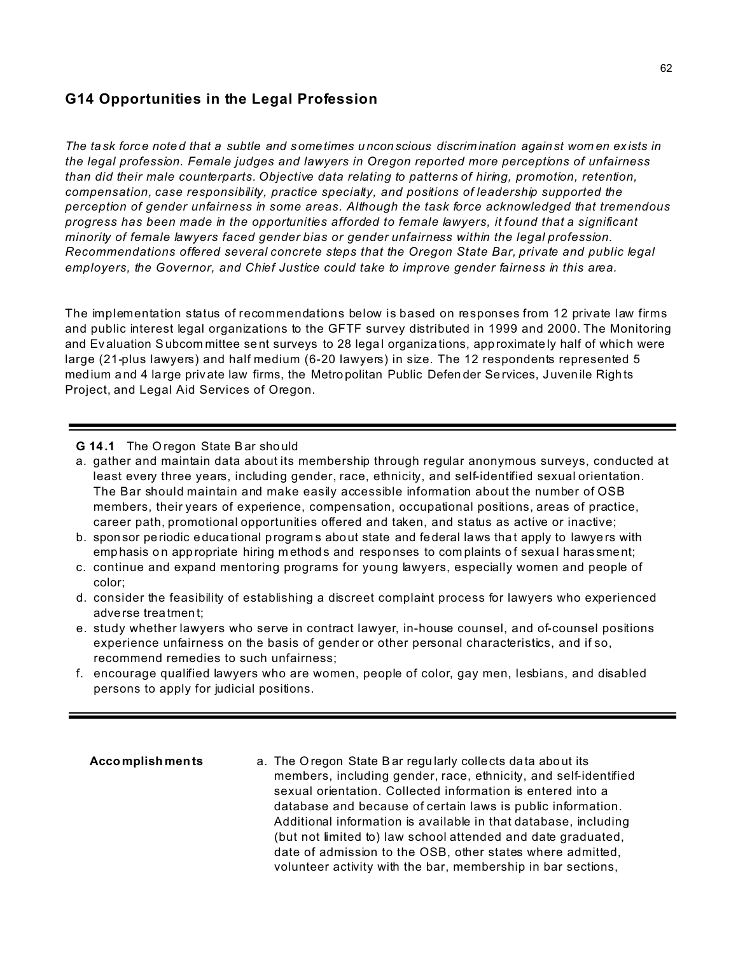### **G14 Opportunities in the Legal Profession**

*The ta sk force note d that a subtle and sometimes u ncon scious discrim ination against wom en ex ists in the legal profession. Female judges and lawyers in Oregon reported more perceptions of unfairness than did their male counterparts. Objective data relating to patterns of hiring, promotion, retention, compensation, case responsibility, practice specialty, and positions of leadership supported the perception of gender unfairness in some areas. Although the task force acknowledged that tremendous progress has been made in the opportunities afforded to female lawyers, it found that a significant minority of female lawyers faced gender bias or gender unfairness within the legal profession. Recommendations offered several concrete steps that the Oregon State Bar, private and public legal employers, the Governor, and Chief Justice could take to improve gender fairness in this area.*

The implementation status of recommendations below is based on responses from 12 private law firms and public interest legal organizations to the GFTF survey distributed in 1999 and 2000. The Monitoring and Ev aluation Subcom mittee sent surveys to 28 legal organizations, approximately half of which were large (21-plus lawyers) and half medium (6-20 lawyers) in size. The 12 respondents represented 5 med ium and 4 large private law firms, the Metro politan Public Defender Services, Juvenile Rights Project, and Legal Aid Services of Oregon.

#### **G 14.1** The O regon State Bar sho uld

- a. gather and maintain data about its membership through regular anonymous surveys, conducted at least every three years, including gender, race, ethnicity, and self-identified sexual orientation. The Bar should maintain and make easily accessible information about the number of OSB members, their years of experience, compensation, occupational positions, areas of practice, career path, promotional opportunities offered and taken, and status as active or inactive;
- b. spon sor pe riodic educa tional program s about state and federal laws tha t apply to lawye rs with emp hasis on app ropriate hiring m ethods and responses to complaints of sexual haras sment;
- c. continue and expand mentoring programs for young lawyers, especially women and people of color;
- d. consider the feasibility of establishing a discreet complaint process for lawyers who experienced adverse trea tment;
- e. study whether lawyers who serve in contract lawyer, in-house counsel, and of-counsel positions experience unfairness on the basis of gender or other personal characteristics, and if so, recommend remedies to such unfairness;
- f. encourage qualified lawyers who are women, people of color, gay men, lesbians, and disabled persons to apply for judicial positions.

**Accomplish ments** a. The O regon State Bar regu larly colle cts data abo ut its members, including gender, race, ethnicity, and self-identified sexual orientation. Collected information is entered into a database and because of certain laws is public information. Additional information is available in that database, including (but not limited to) law school attended and date graduated, date of admission to the OSB, other states where admitted, volunteer activity with the bar, membership in bar sections,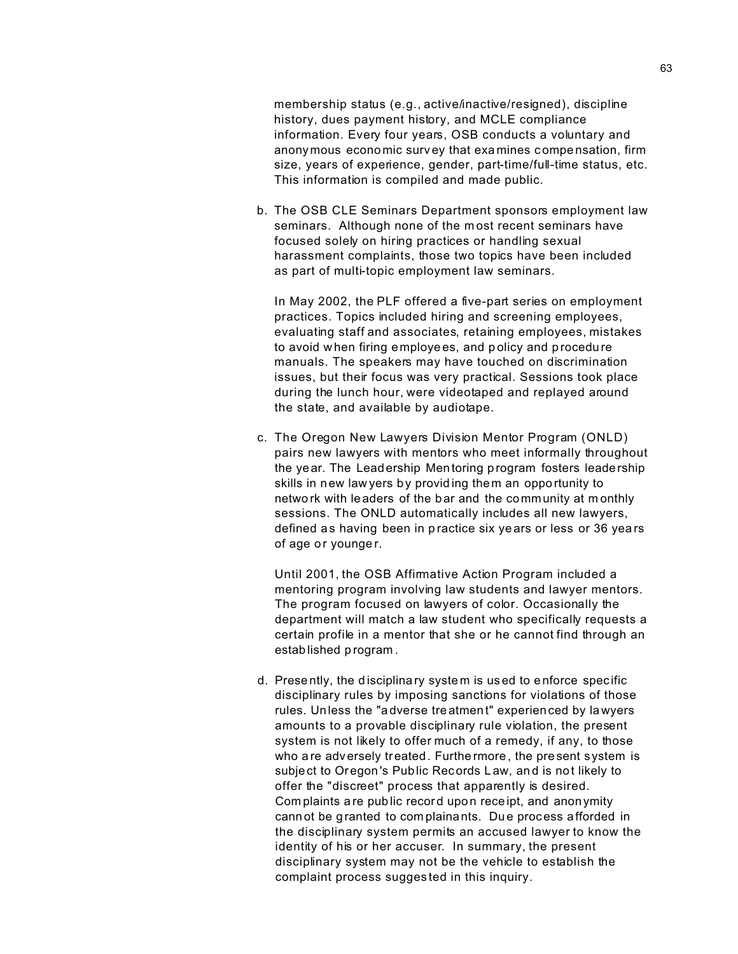membership status (e.g., active/inactive/resigned), discipline history, dues payment history, and MCLE compliance information. Every four years, OSB conducts a voluntary and anonymous econo mic surv ey that exa mines c ompe nsation, firm size, years of experience, gender, part-time/full-time status, etc. This information is compiled and made public.

b. The OSB CLE Seminars Department sponsors employment law seminars. Although none of the m ost recent seminars have focused solely on hiring practices or handling sexual harassment complaints, those two topics have been included as part of multi-topic employment law seminars.

In May 2002, the PLF offered a five-part series on employment practices. Topics included hiring and screening employees, evaluating staff and associates, retaining employees, mistakes to avoid w hen firing employe es, and p olicy and p rocedu re manuals. The speakers may have touched on discrimination issues, but their focus was very practical. Sessions took place during the lunch hour, were videotaped and replayed around the state, and available by audiotape.

c. The Oregon New Lawyers Division Mentor Program (ONLD) pairs new lawyers with mentors who meet informally throughout the year. The Lead ership Mentoring p rogram fosters leadership skills in new law yers by provid ing them an oppo rtunity to netwo rk with le aders of the b ar and the community at m onthly sessions. The ONLD automatically includes all new lawyers, defined as having been in practice six years or less or 36 years of age or younger.

Until 2001, the OSB Affirmative Action Program included a mentoring program involving law students and lawyer mentors. The program focused on lawyers of color. Occasionally the department will match a law student who specifically requests a certain profile in a mentor that she or he cannot find through an established p rogram .

d. Prese ntly, the d isciplina ry syste m is us ed to e nforce spec ific disciplinary rules by imposing sanctions for violations of those rules. Unless the "a dverse tre atmen t" experien ced by lawyers amounts to a provable disciplinary rule violation, the present system is not likely to offer much of a remedy, if any, to those who are adversely treated. Furthermore, the present system is subject to Oregon 's Public Records L aw, an d is not likely to offer the "discreet" process that apparently is desired. Com plaints a re pub lic record upo n rece ipt, and anon ymity cann ot be g ranted to com plainants. Du e proc ess afforded in the disciplinary system permits an accused lawyer to know the identity of his or her accuser. In summary, the present disciplinary system may not be the vehicle to establish the complaint process sugges ted in this inquiry.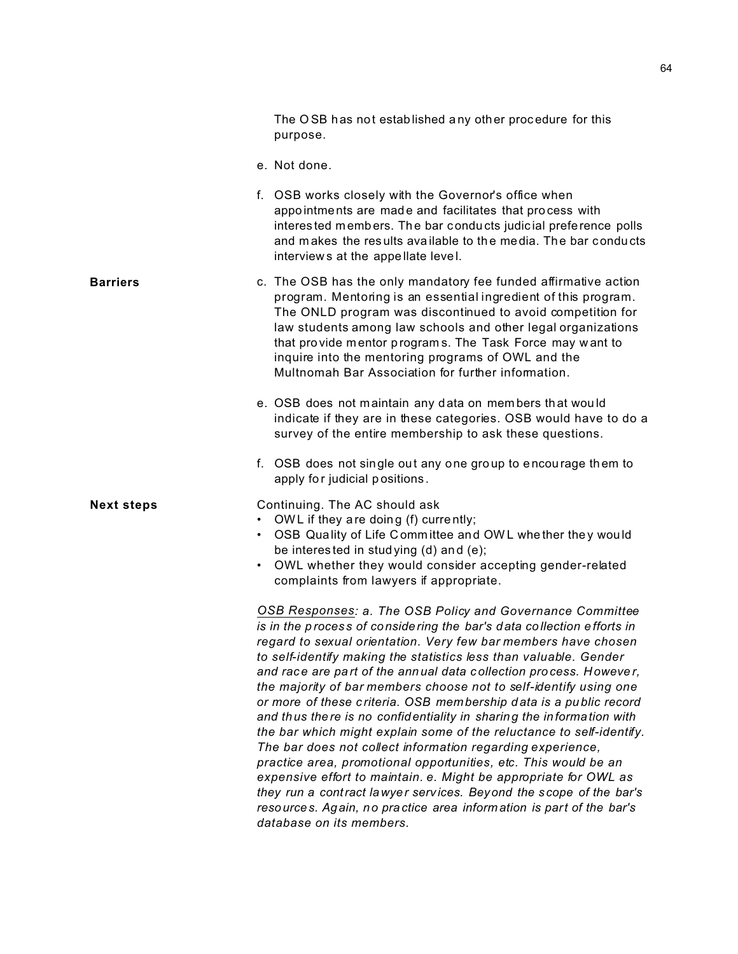|                   | The OSB has not established any other procedure for this<br>purpose.                                                                                                                                                                                                                                                                                                                                                                                                                                                                                                                                                                                                                                                                                                                                                                                                                                                                                                                                                   |
|-------------------|------------------------------------------------------------------------------------------------------------------------------------------------------------------------------------------------------------------------------------------------------------------------------------------------------------------------------------------------------------------------------------------------------------------------------------------------------------------------------------------------------------------------------------------------------------------------------------------------------------------------------------------------------------------------------------------------------------------------------------------------------------------------------------------------------------------------------------------------------------------------------------------------------------------------------------------------------------------------------------------------------------------------|
|                   | e. Not done.                                                                                                                                                                                                                                                                                                                                                                                                                                                                                                                                                                                                                                                                                                                                                                                                                                                                                                                                                                                                           |
|                   | f. OSB works closely with the Governor's office when<br>appointments are made and facilitates that process with<br>interested members. The bar conducts judicial preference polls<br>and makes the results available to the media. The bar conducts<br>interviews at the appellate level.                                                                                                                                                                                                                                                                                                                                                                                                                                                                                                                                                                                                                                                                                                                              |
| <b>Barriers</b>   | c. The OSB has the only mandatory fee funded affirmative action<br>program. Mentoring is an essential ingredient of this program.<br>The ONLD program was discontinued to avoid competition for<br>law students among law schools and other legal organizations<br>that provide mentor programs. The Task Force may want to<br>inquire into the mentoring programs of OWL and the<br>Multnomah Bar Association for further information.                                                                                                                                                                                                                                                                                                                                                                                                                                                                                                                                                                                |
|                   | e. OSB does not maintain any data on members that would<br>indicate if they are in these categories. OSB would have to do a<br>survey of the entire membership to ask these questions.                                                                                                                                                                                                                                                                                                                                                                                                                                                                                                                                                                                                                                                                                                                                                                                                                                 |
|                   | f. OSB does not single out any one group to encourage them to<br>apply for judicial positions.                                                                                                                                                                                                                                                                                                                                                                                                                                                                                                                                                                                                                                                                                                                                                                                                                                                                                                                         |
| <b>Next steps</b> | Continuing. The AC should ask<br>OWL if they are doing (f) currently;<br>OSB Quality of Life Committee and OWL whether they would<br>be interested in studying (d) and (e);<br>OWL whether they would consider accepting gender-related<br>complaints from lawyers if appropriate.                                                                                                                                                                                                                                                                                                                                                                                                                                                                                                                                                                                                                                                                                                                                     |
|                   | OSB Responses: a. The OSB Policy and Governance Committee<br>is in the process of considering the bar's data collection efforts in<br>regard to sexual orientation. Very few bar members have chosen<br>to self-identify making the statistics less than valuable. Gender<br>and race are part of the annual data collection process. However,<br>the majority of bar members choose not to self-identify using one<br>or more of these criteria. OSB membership data is a public record<br>and thus there is no confidentiality in sharing the information with<br>the bar which might explain some of the reluctance to self-identify.<br>The bar does not collect information regarding experience,<br>practice area, promotional opportunities, etc. This would be an<br>expensive effort to maintain. e. Might be appropriate for OWL as<br>they run a contract lawyer services. Beyond the scope of the bar's<br>resources. Again, no practice area information is part of the bar's<br>database on its members. |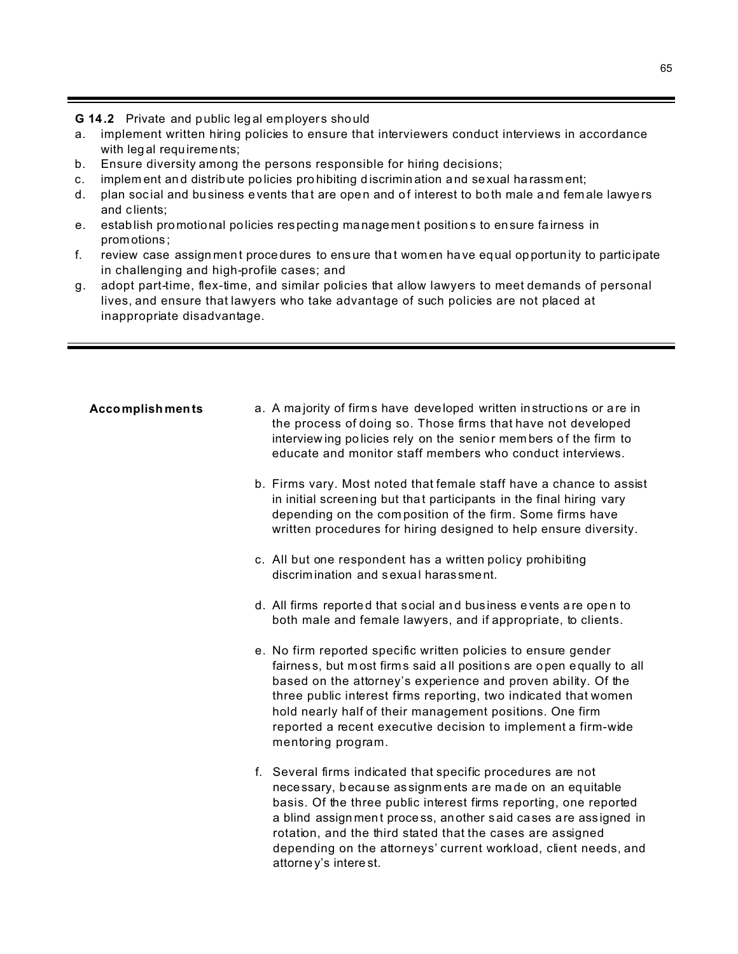- G 14.2 Private and public legal employers should
- a. implement written hiring policies to ensure that interviewers conduct interviews in accordance with legal requirements;
- $b_{-}$ Ensure diversity among the persons responsible for hiring decisions;
- implement and distribute policies prohibiting discrimination and sexual harassment;  $c.$
- d. plan social and business events that are open and of interest to both male and female lawyers and clients;
- e. establish promotional policies respecting management positions to ensure fairness in promotions:
- $f_{\perp}$ review case assignment procedures to ensure that women have equal opportunity to participate in challenging and high-profile cases; and
- adopt part-time, flex-time, and similar policies that allow lawyers to meet demands of personal  $g_{\rm A}$ lives, and ensure that lawyers who take advantage of such policies are not placed at inappropriate disadvantage.

# a. A majority of firms have developed written instructions or are in **Accomplishments** the process of doing so. Those firms that have not developed interviewing policies rely on the senior members of the firm to educate and monitor staff members who conduct interviews. b. Firms vary. Most noted that female staff have a chance to assist in initial screening but that participants in the final hiring vary depending on the composition of the firm. Some firms have written procedures for hiring designed to help ensure diversity. c. All but one respondent has a written policy prohibiting discrimination and sexual harassment. d. All firms reported that social and business events are open to both male and female lawyers, and if appropriate, to clients. e. No firm reported specific written policies to ensure gender fairness, but most firms said all positions are open equally to all based on the attorney's experience and proven ability. Of the three public interest firms reporting, two indicated that women hold nearly half of their management positions. One firm reported a recent executive decision to implement a firm-wide mentoring program. f. Several firms indicated that specific procedures are not necessary, because assignments are made on an equitable basis. Of the three public interest firms reporting, one reported a blind assignment process, another said cases are assigned in rotation, and the third stated that the cases are assigned depending on the attorneys' current workload, client needs, and attorney's interest.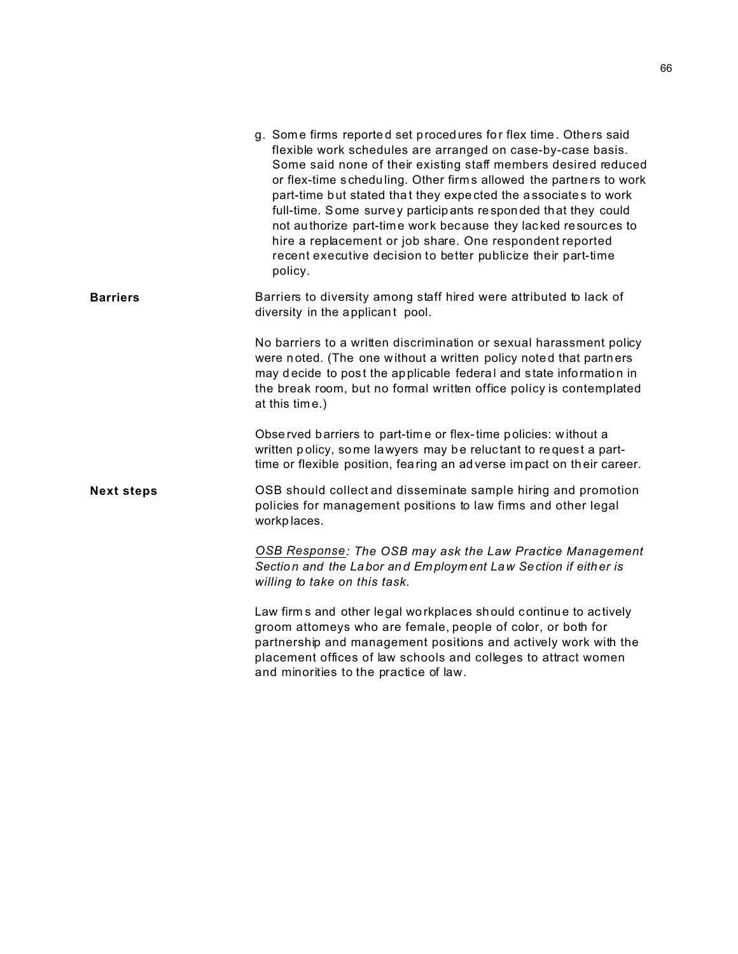|                   | g. Some firms reported set procedures for flex time. Others said<br>flexible work schedules are arranged on case-by-case basis.<br>Some said none of their existing staff members desired reduced<br>or flex-time scheduling. Other firms allowed the partners to work<br>part-time but stated that they expected the associates to work<br>full-time. Some survey participants responded that they could<br>not authorize part-time work because they lacked resources to<br>hire a replacement or job share. One respondent reported<br>recent executive decision to better publicize their part-time<br>policy. |
|-------------------|--------------------------------------------------------------------------------------------------------------------------------------------------------------------------------------------------------------------------------------------------------------------------------------------------------------------------------------------------------------------------------------------------------------------------------------------------------------------------------------------------------------------------------------------------------------------------------------------------------------------|
| <b>Barriers</b>   | Barriers to diversity among staff hired were attributed to lack of<br>diversity in the applicant pool.                                                                                                                                                                                                                                                                                                                                                                                                                                                                                                             |
|                   | No barriers to a written discrimination or sexual harassment policy<br>were noted. (The one without a written policy noted that partners<br>may decide to post the applicable federal and state information in<br>the break room, but no formal written office policy is contemplated<br>at this time.)                                                                                                                                                                                                                                                                                                            |
|                   | Observed barriers to part-time or flex-time policies: without a<br>written policy, some lawyers may be reluctant to request a part-<br>time or flexible position, fearing an adverse impact on their career.                                                                                                                                                                                                                                                                                                                                                                                                       |
| <b>Next steps</b> | OSB should collect and disseminate sample hiring and promotion<br>policies for management positions to law firms and other legal<br>workplaces.                                                                                                                                                                                                                                                                                                                                                                                                                                                                    |
|                   | OSB Response: The OSB may ask the Law Practice Management<br>Section and the Labor and Employment Law Section if either is<br>willing to take on this task.                                                                                                                                                                                                                                                                                                                                                                                                                                                        |
|                   | Law firms and other legal workplaces should continue to actively<br>groom attorneys who are female, people of color, or both for<br>partnership and management positions and actively work with the<br>placement offices of law schools and colleges to attract women<br>and minorities to the practice of law.                                                                                                                                                                                                                                                                                                    |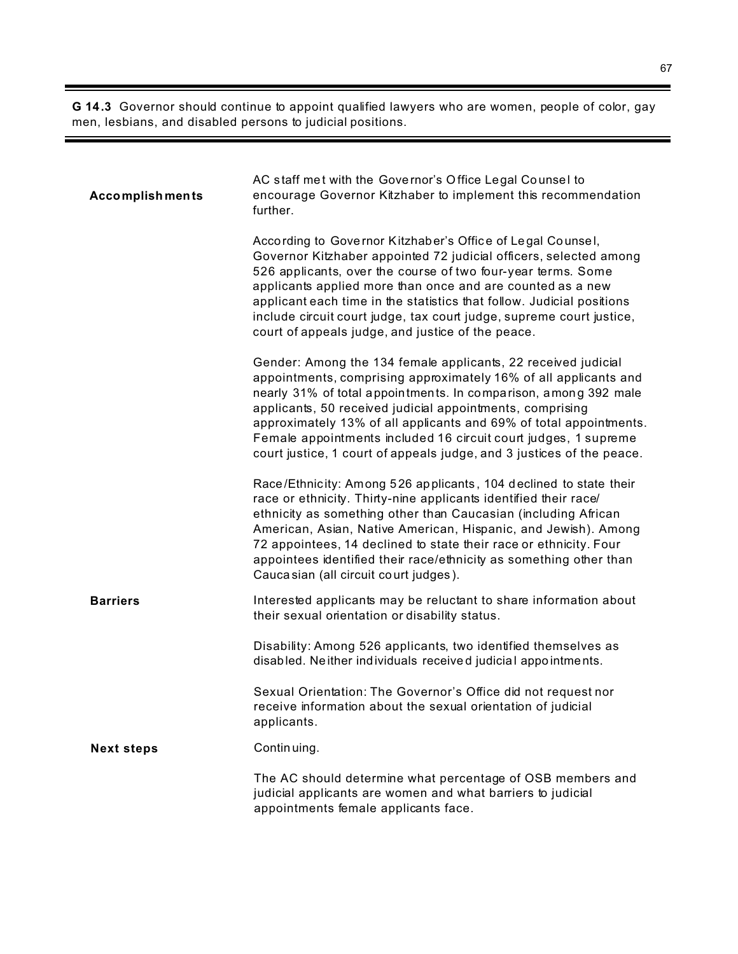**G 14.3** Governor should continue to appoint qualified lawyers who are women, people of color, gay men, lesbians, and disabled persons to judicial positions.

| <b>Accomplishments</b> | AC staff met with the Governor's Office Legal Counsel to<br>encourage Governor Kitzhaber to implement this recommendation<br>further.                                                                                                                                                                                                                                                                                                                                               |
|------------------------|-------------------------------------------------------------------------------------------------------------------------------------------------------------------------------------------------------------------------------------------------------------------------------------------------------------------------------------------------------------------------------------------------------------------------------------------------------------------------------------|
|                        | According to Governor Kitzhaber's Office of Legal Counsel,<br>Governor Kitzhaber appointed 72 judicial officers, selected among<br>526 applicants, over the course of two four-year terms. Some<br>applicants applied more than once and are counted as a new<br>applicant each time in the statistics that follow. Judicial positions<br>include circuit court judge, tax court judge, supreme court justice,<br>court of appeals judge, and justice of the peace.                 |
|                        | Gender: Among the 134 female applicants, 22 received judicial<br>appointments, comprising approximately 16% of all applicants and<br>nearly 31% of total appointments. In comparison, among 392 male<br>applicants, 50 received judicial appointments, comprising<br>approximately 13% of all applicants and 69% of total appointments.<br>Female appointments included 16 circuit court judges, 1 supreme<br>court justice, 1 court of appeals judge, and 3 justices of the peace. |
|                        | Race/Ethnicity: Among 526 applicants, 104 declined to state their<br>race or ethnicity. Thirty-nine applicants identified their race/<br>ethnicity as something other than Caucasian (including African<br>American, Asian, Native American, Hispanic, and Jewish). Among<br>72 appointees, 14 declined to state their race or ethnicity. Four<br>appointees identified their race/ethnicity as something other than<br>Cauca sian (all circuit court judges).                      |
| <b>Barriers</b>        | Interested applicants may be reluctant to share information about<br>their sexual orientation or disability status.                                                                                                                                                                                                                                                                                                                                                                 |
|                        | Disability: Among 526 applicants, two identified themselves as<br>disabled. Neither individuals received judicial appointments.                                                                                                                                                                                                                                                                                                                                                     |
|                        | Sexual Orientation: The Governor's Office did not request nor<br>receive information about the sexual orientation of judicial<br>applicants.                                                                                                                                                                                                                                                                                                                                        |
| <b>Next steps</b>      | Continuing.                                                                                                                                                                                                                                                                                                                                                                                                                                                                         |
|                        | The AC should determine what percentage of OSB members and<br>judicial applicants are women and what barriers to judicial<br>appointments female applicants face.                                                                                                                                                                                                                                                                                                                   |

ı